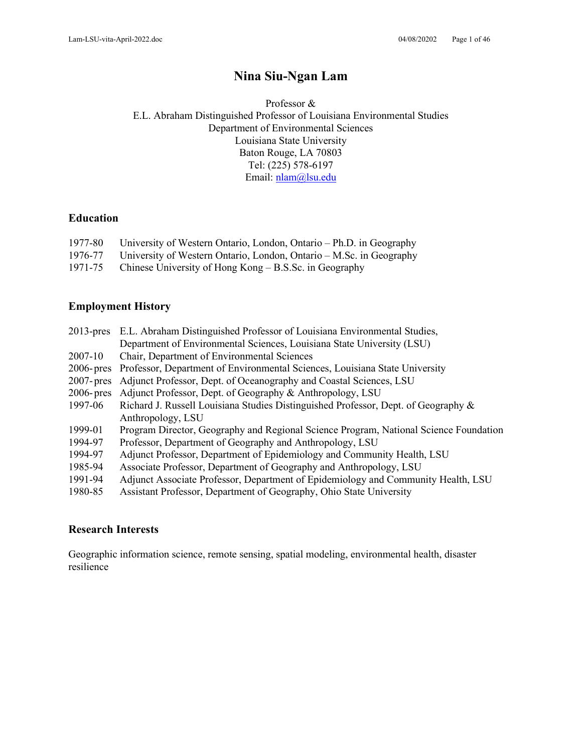# **Nina Siu-Ngan Lam**

Professor & E.L. Abraham Distinguished Professor of Louisiana Environmental Studies Department of Environmental Sciences Louisiana State University Baton Rouge, LA 70803 Tel: (225) 578-6197 Email: [nlam@lsu.edu](mailto:nlam@lsu.edu)

### **Education**

| 1977-80 University of Western Ontario, London, Ontario – Ph.D. in Geography |
|-----------------------------------------------------------------------------|
| 1976-77 University of Western Ontario, London, Ontario – M.Sc. in Geography |
| 1971-75 Chinese University of Hong Kong – B.S.Sc. in Geography              |

## **Employment History**

| Department of Environmental Sciences, Louisiana State University (LSU)<br>Chair, Department of Environmental Sciences<br>2007-10<br>$2006$ -pres<br>Professor, Department of Environmental Sciences, Louisiana State University<br>Adjunct Professor, Dept. of Oceanography and Coastal Sciences, LSU<br>$2007$ -pres<br>Adjunct Professor, Dept. of Geography & Anthropology, LSU<br>$2006$ -pres |  |
|----------------------------------------------------------------------------------------------------------------------------------------------------------------------------------------------------------------------------------------------------------------------------------------------------------------------------------------------------------------------------------------------------|--|
|                                                                                                                                                                                                                                                                                                                                                                                                    |  |
|                                                                                                                                                                                                                                                                                                                                                                                                    |  |
|                                                                                                                                                                                                                                                                                                                                                                                                    |  |
|                                                                                                                                                                                                                                                                                                                                                                                                    |  |
|                                                                                                                                                                                                                                                                                                                                                                                                    |  |
| Richard J. Russell Louisiana Studies Distinguished Professor, Dept. of Geography &<br>1997-06                                                                                                                                                                                                                                                                                                      |  |
| Anthropology, LSU                                                                                                                                                                                                                                                                                                                                                                                  |  |
| Program Director, Geography and Regional Science Program, National Science Foundation<br>1999-01                                                                                                                                                                                                                                                                                                   |  |
| Professor, Department of Geography and Anthropology, LSU<br>1994-97                                                                                                                                                                                                                                                                                                                                |  |
| Adjunct Professor, Department of Epidemiology and Community Health, LSU<br>1994-97                                                                                                                                                                                                                                                                                                                 |  |
| Associate Professor, Department of Geography and Anthropology, LSU<br>1985-94                                                                                                                                                                                                                                                                                                                      |  |
| Adjunct Associate Professor, Department of Epidemiology and Community Health, LSU<br>1991-94                                                                                                                                                                                                                                                                                                       |  |
| Assistant Professor, Department of Geography, Ohio State University<br>1980-85                                                                                                                                                                                                                                                                                                                     |  |

## **Research Interests**

Geographic information science, remote sensing, spatial modeling, environmental health, disaster resilience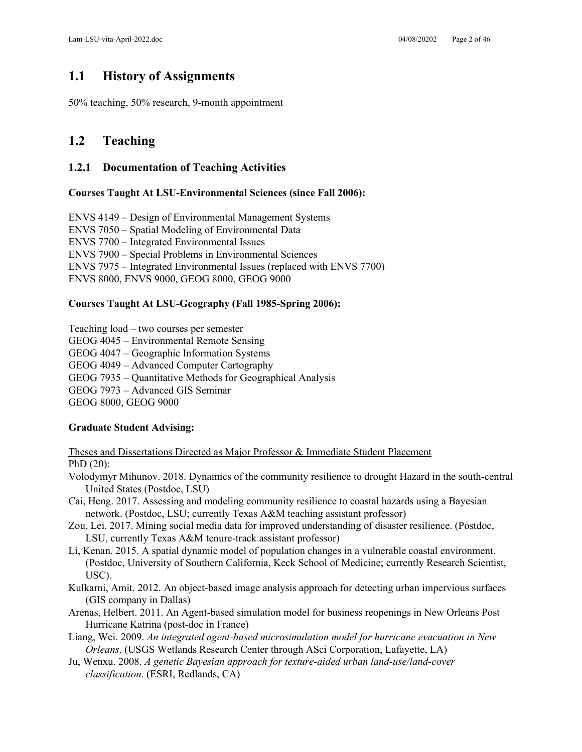## **1.1 History of Assignments**

50% teaching, 50% research, 9-month appointment

## **1.2 Teaching**

## **1.2.1 Documentation of Teaching Activities**

### **Courses Taught At LSU-Environmental Sciences (since Fall 2006):**

ENVS 4149 – Design of Environmental Management Systems ENVS 7050 – Spatial Modeling of Environmental Data ENVS 7700 – Integrated Environmental Issues ENVS 7900 – Special Problems in Environmental Sciences ENVS 7975 – Integrated Environmental Issues (replaced with ENVS 7700) ENVS 8000, ENVS 9000, GEOG 8000, GEOG 9000

## **Courses Taught At LSU-Geography (Fall 1985-Spring 2006):**

Teaching load – two courses per semester

- GEOG 4045 Environmental Remote Sensing
- GEOG 4047 Geographic Information Systems
- GEOG 4049 Advanced Computer Cartography
- GEOG 7935 Quantitative Methods for Geographical Analysis
- GEOG 7973 Advanced GIS Seminar

GEOG 8000, GEOG 9000

### **Graduate Student Advising:**

Theses and Dissertations Directed as Major Professor & Immediate Student Placement PhD (20):

- Volodymyr Mihunov. 2018. Dynamics of the community resilience to drought Hazard in the south-central United States (Postdoc, LSU)
- Cai, Heng. 2017. Assessing and modeling community resilience to coastal hazards using a Bayesian network. (Postdoc, LSU; currently Texas A&M teaching assistant professor)
- Zou, Lei. 2017. Mining social media data for improved understanding of disaster resilience. (Postdoc, LSU, currently Texas A&M tenure-track assistant professor)
- Li, Kenan. 2015. A spatial dynamic model of population changes in a vulnerable coastal environment. (Postdoc, University of Southern California, Keck School of Medicine; currently Research Scientist, USC).
- Kulkarni, Amit. 2012. An object-based image analysis approach for detecting urban impervious surfaces (GIS company in Dallas)
- Arenas, Helbert. 2011. An Agent-based simulation model for business reopenings in New Orleans Post Hurricane Katrina (post-doc in France)
- Liang, Wei. 2009. *An integrated agent-based microsimulation model for hurricane evacuation in New Orleans*. (USGS Wetlands Research Center through ASci Corporation, Lafayette, LA)
- Ju, Wenxu. 2008. *A genetic Bayesian approach for texture-aided urban land-use/land-cover classification*. (ESRI, Redlands, CA)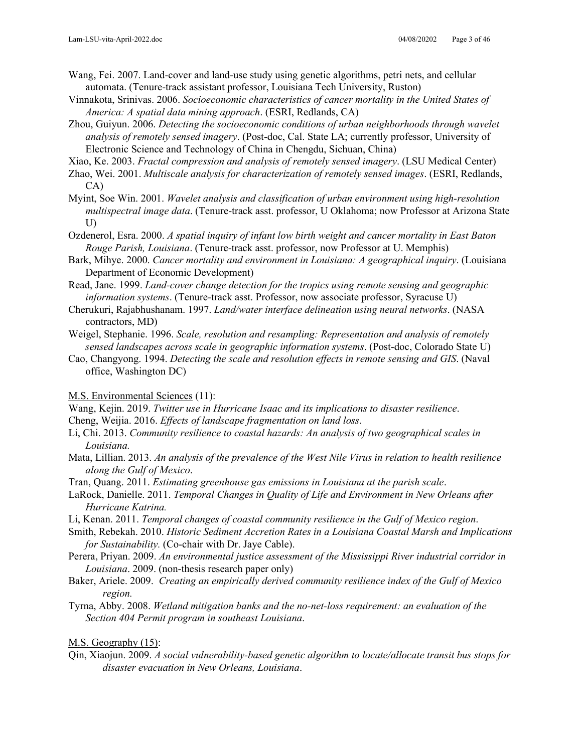- Wang, Fei. 2007. Land-cover and land-use study using genetic algorithms, petri nets, and cellular automata. (Tenure-track assistant professor, Louisiana Tech University, Ruston)
- Vinnakota, Srinivas. 2006. *Socioeconomic characteristics of cancer mortality in the United States of America: A spatial data mining approach*. (ESRI, Redlands, CA)
- Zhou, Guiyun. 2006. *Detecting the socioeconomic conditions of urban neighborhoods through wavelet analysis of remotely sensed imagery*. (Post-doc, Cal. State LA; currently professor, University of Electronic Science and Technology of China in Chengdu, Sichuan, China)
- Xiao, Ke. 2003. *Fractal compression and analysis of remotely sensed imagery*. (LSU Medical Center)
- Zhao, Wei. 2001. *Multiscale analysis for characterization of remotely sensed images*. (ESRI, Redlands, CA)
- Myint, Soe Win. 2001. *Wavelet analysis and classification of urban environment using high-resolution multispectral image data*. (Tenure-track asst. professor, U Oklahoma; now Professor at Arizona State U)
- Ozdenerol, Esra. 2000. *A spatial inquiry of infant low birth weight and cancer mortality in East Baton Rouge Parish, Louisiana*. (Tenure-track asst. professor, now Professor at U. Memphis)
- Bark, Mihye. 2000. *Cancer mortality and environment in Louisiana: A geographical inquiry*. (Louisiana Department of Economic Development)
- Read, Jane. 1999. *Land-cover change detection for the tropics using remote sensing and geographic information systems*. (Tenure-track asst. Professor, now associate professor, Syracuse U)
- Cherukuri, Rajabhushanam. 1997. *Land/water interface delineation using neural networks*. (NASA contractors, MD)
- Weigel, Stephanie. 1996. *Scale, resolution and resampling: Representation and analysis of remotely sensed landscapes across scale in geographic information systems*. (Post-doc, Colorado State U)
- Cao, Changyong. 1994. *Detecting the scale and resolution effects in remote sensing and GIS*. (Naval office, Washington DC)

M.S. Environmental Sciences (11):

Wang, Kejin. 2019. *Twitter use in Hurricane Isaac and its implications to disaster resilience*.

- Cheng, Weijia. 2016. *Effects of landscape fragmentation on land loss*.
- Li, Chi. 2013. *Community resilience to coastal hazards: An analysis of two geographical scales in Louisiana.*
- Mata, Lillian. 2013. *An analysis of the prevalence of the West Nile Virus in relation to health resilience along the Gulf of Mexico*.
- Tran, Quang. 2011. *Estimating greenhouse gas emissions in Louisiana at the parish scale*.
- LaRock, Danielle. 2011. *Temporal Changes in Quality of Life and Environment in New Orleans after Hurricane Katrina.*
- Li, Kenan. 2011. *Temporal changes of coastal community resilience in the Gulf of Mexico region*.
- Smith, Rebekah. 2010. *Historic Sediment Accretion Rates in a Louisiana Coastal Marsh and Implications for Sustainability.* (Co-chair with Dr. Jaye Cable).
- Perera, Priyan. 2009. *An environmental justice assessment of the Mississippi River industrial corridor in Louisiana*. 2009. (non-thesis research paper only)
- Baker, Ariele. 2009. *Creating an empirically derived community resilience index of the Gulf of Mexico region.*
- Tyrna, Abby. 2008. *Wetland mitigation banks and the no-net-loss requirement: an evaluation of the Section 404 Permit program in southeast Louisiana*.

### M.S. Geography (15):

Qin, Xiaojun. 2009. *A social vulnerability-based genetic algorithm to locate/allocate transit bus stops for disaster evacuation in New Orleans, Louisiana*.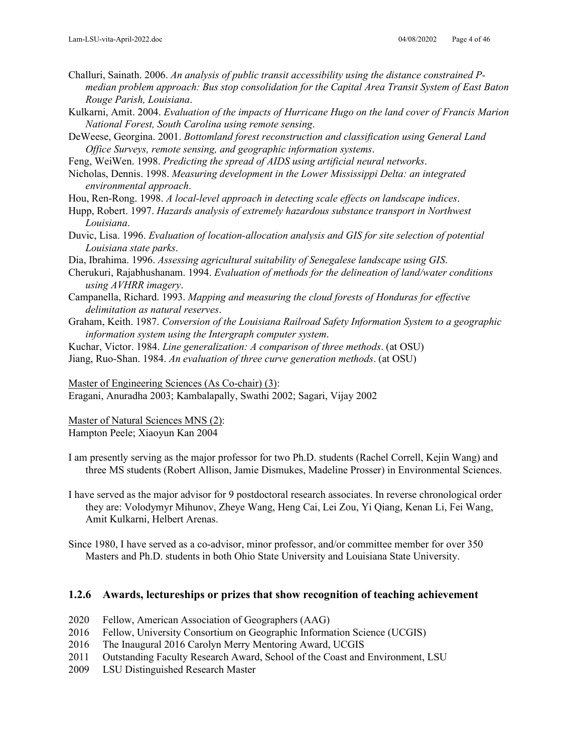Challuri, Sainath. 2006. *An analysis of public transit accessibility using the distance constrained Pmedian problem approach: Bus stop consolidation for the Capital Area Transit System of East Baton Rouge Parish, Louisiana*.

Kulkarni, Amit. 2004. *Evaluation of the impacts of Hurricane Hugo on the land cover of Francis Marion National Forest, South Carolina using remote sensing*.

DeWeese, Georgina. 2001. *Bottomland forest reconstruction and classification using General Land Office Surveys, remote sensing, and geographic information systems*.

Feng, WeiWen. 1998. *Predicting the spread of AIDS using artificial neural networks*.

Nicholas, Dennis. 1998. *Measuring development in the Lower Mississippi Delta: an integrated environmental approach*.

Hou, Ren-Rong. 1998. *A local-level approach in detecting scale effects on landscape indices*.

- Hupp, Robert. 1997. *Hazards analysis of extremely hazardous substance transport in Northwest Louisiana*.
- Duvic, Lisa. 1996. *Evaluation of location-allocation analysis and GIS for site selection of potential Louisiana state parks*.

Dia, Ibrahima. 1996. *Assessing agricultural suitability of Senegalese landscape using GIS*.

- Cherukuri, Rajabhushanam. 1994. *Evaluation of methods for the delineation of land/water conditions using AVHRR imagery*.
- Campanella, Richard. 1993. *Mapping and measuring the cloud forests of Honduras for effective delimitation as natural reserves*.
- Graham, Keith. 1987. *Conversion of the Louisiana Railroad Safety Information System to a geographic information system using the Intergraph computer system*.
- Kuchar, Victor. 1984. *Line generalization: A comparison of three methods*. (at OSU)

Jiang, Ruo-Shan. 1984. *An evaluation of three curve generation methods*. (at OSU)

Master of Engineering Sciences (As Co-chair) (3):

Eragani, Anuradha 2003; Kambalapally, Swathi 2002; Sagari, Vijay 2002

Master of Natural Sciences MNS (2): Hampton Peele; Xiaoyun Kan 2004

- I am presently serving as the major professor for two Ph.D. students (Rachel Correll, Kejin Wang) and three MS students (Robert Allison, Jamie Dismukes, Madeline Prosser) in Environmental Sciences.
- I have served as the major advisor for 9 postdoctoral research associates. In reverse chronological order they are: Volodymyr Mihunov, Zheye Wang, Heng Cai, Lei Zou, Yi Qiang, Kenan Li, Fei Wang, Amit Kulkarni, Helbert Arenas.
- Since 1980, I have served as a co-advisor, minor professor, and/or committee member for over 350 Masters and Ph.D. students in both Ohio State University and Louisiana State University.

### **1.2.6 Awards, lectureships or prizes that show recognition of teaching achievement**

- 2020 Fellow, American Association of Geographers (AAG)
- 2016 Fellow, University Consortium on Geographic Information Science (UCGIS)
- 2016 The Inaugural 2016 Carolyn Merry Mentoring Award, UCGIS
- 2011 Outstanding Faculty Research Award, School of the Coast and Environment, LSU
- 2009 LSU Distinguished Research Master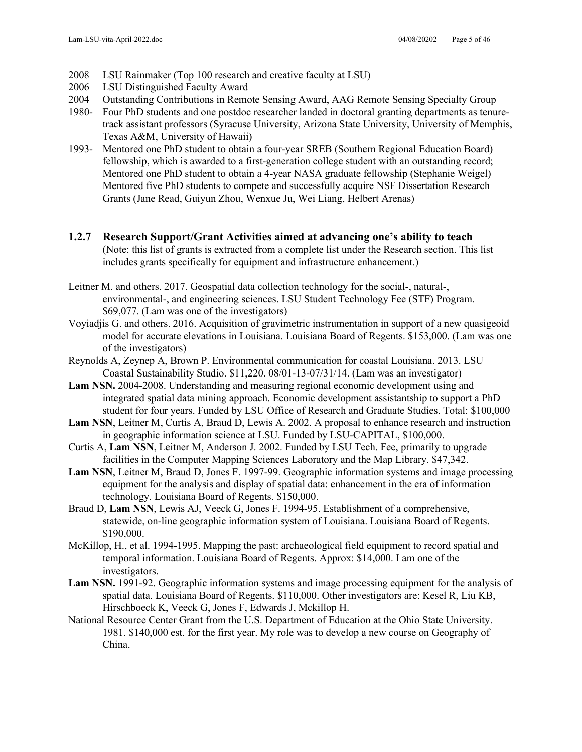- 2008 LSU Rainmaker (Top 100 research and creative faculty at LSU)
- 2006 LSU Distinguished Faculty Award
- 2004 Outstanding Contributions in Remote Sensing Award, AAG Remote Sensing Specialty Group
- 1980- Four PhD students and one postdoc researcher landed in doctoral granting departments as tenuretrack assistant professors (Syracuse University, Arizona State University, University of Memphis, Texas A&M, University of Hawaii)
- 1993- Mentored one PhD student to obtain a four-year SREB (Southern Regional Education Board) fellowship, which is awarded to a first-generation college student with an outstanding record; Mentored one PhD student to obtain a 4-year NASA graduate fellowship (Stephanie Weigel) Mentored five PhD students to compete and successfully acquire NSF Dissertation Research Grants (Jane Read, Guiyun Zhou, Wenxue Ju, Wei Liang, Helbert Arenas)
- **1.2.7 Research Support/Grant Activities aimed at advancing one's ability to teach** (Note: this list of grants is extracted from a complete list under the Research section. This list includes grants specifically for equipment and infrastructure enhancement.)
- Leitner M. and others. 2017. Geospatial data collection technology for the social-, natural-, environmental-, and engineering sciences. LSU Student Technology Fee (STF) Program. \$69,077. (Lam was one of the investigators)
- Voyiadjis G. and others. 2016. Acquisition of gravimetric instrumentation in support of a new quasigeoid model for accurate elevations in Louisiana. Louisiana Board of Regents. \$153,000. (Lam was one of the investigators)
- Reynolds A, Zeynep A, Brown P. Environmental communication for coastal Louisiana. 2013. LSU Coastal Sustainability Studio. \$11,220. 08/01-13-07/31/14. (Lam was an investigator)
- **Lam NSN.** 2004-2008. Understanding and measuring regional economic development using and integrated spatial data mining approach. Economic development assistantship to support a PhD student for four years. Funded by LSU Office of Research and Graduate Studies. Total: \$100,000
- **Lam NSN**, Leitner M, Curtis A, Braud D, Lewis A. 2002. A proposal to enhance research and instruction in geographic information science at LSU. Funded by LSU-CAPITAL, \$100,000.
- Curtis A, **Lam NSN**, Leitner M, Anderson J. 2002. Funded by LSU Tech. Fee, primarily to upgrade facilities in the Computer Mapping Sciences Laboratory and the Map Library. \$47,342.
- **Lam NSN**, Leitner M, Braud D, Jones F. 1997-99. Geographic information systems and image processing equipment for the analysis and display of spatial data: enhancement in the era of information technology. Louisiana Board of Regents. \$150,000.
- Braud D, **Lam NSN**, Lewis AJ, Veeck G, Jones F. 1994-95. Establishment of a comprehensive, statewide, on-line geographic information system of Louisiana. Louisiana Board of Regents. \$190,000.
- McKillop, H., et al. 1994-1995. Mapping the past: archaeological field equipment to record spatial and temporal information. Louisiana Board of Regents. Approx: \$14,000. I am one of the investigators.
- **Lam NSN.** 1991-92. Geographic information systems and image processing equipment for the analysis of spatial data. Louisiana Board of Regents. \$110,000. Other investigators are: Kesel R, Liu KB, Hirschboeck K, Veeck G, Jones F, Edwards J, Mckillop H.
- National Resource Center Grant from the U.S. Department of Education at the Ohio State University. 1981. \$140,000 est. for the first year. My role was to develop a new course on Geography of China.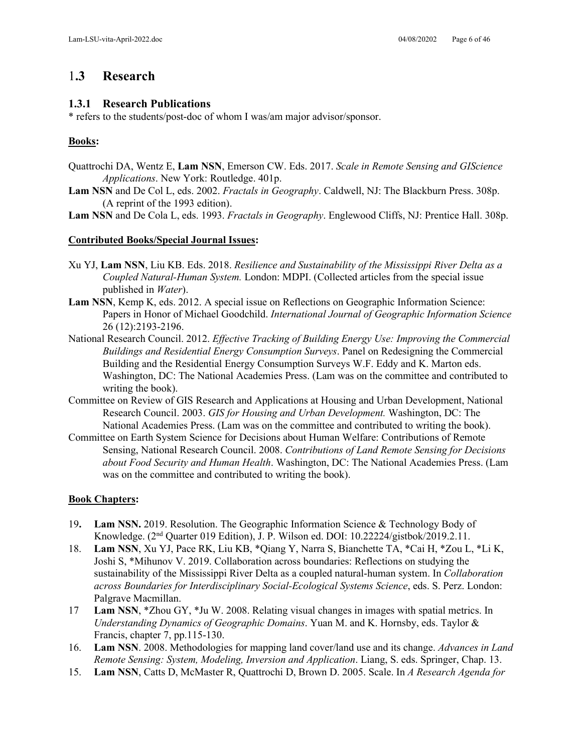# 1**.3 Research**

### **1.3.1 Research Publications**

\* refers to the students/post-doc of whom I was/am major advisor/sponsor.

## **Books:**

- Quattrochi DA, Wentz E, **Lam NSN**, Emerson CW. Eds. 2017. *Scale in Remote Sensing and GIScience Applications*. New York: Routledge. 401p.
- **Lam NSN** and De Col L, eds. 2002. *Fractals in Geography*. Caldwell, NJ: The Blackburn Press. 308p. (A reprint of the 1993 edition).
- **Lam NSN** and De Cola L, eds. 1993. *Fractals in Geography*. Englewood Cliffs, NJ: Prentice Hall. 308p.

### **Contributed Books/Special Journal Issues:**

- Xu YJ, **Lam NSN**, Liu KB. Eds. 2018. *Resilience and Sustainability of the Mississippi River Delta as a Coupled Natural-Human System.* London: MDPI. (Collected articles from the special issue published in *Water*).
- **Lam NSN**, Kemp K, eds. 2012. A special issue on Reflections on Geographic Information Science: Papers in Honor of Michael Goodchild. *International Journal of Geographic Information Science* 26 (12):2193-2196.
- National Research Council. 2012. *Effective Tracking of Building Energy Use: Improving the Commercial Buildings and Residential Energy Consumption Surveys*. Panel on Redesigning the Commercial Building and the Residential Energy Consumption Surveys W.F. Eddy and K. Marton eds. Washington, DC: The National Academies Press. (Lam was on the committee and contributed to writing the book).
- Committee on Review of GIS Research and Applications at Housing and Urban Development, National Research Council. 2003. *GIS for Housing and Urban Development.* Washington, DC: The National Academies Press. (Lam was on the committee and contributed to writing the book).
- Committee on Earth System Science for Decisions about Human Welfare: Contributions of Remote Sensing, National Research Council. 2008. *Contributions of Land Remote Sensing for Decisions about Food Security and Human Health*. Washington, DC: The National Academies Press. (Lam was on the committee and contributed to writing the book).

### **Book Chapters:**

- 19**. Lam NSN.** 2019. Resolution. The Geographic Information Science & Technology Body of Knowledge. (2nd Quarter 019 Edition), J. P. Wilson ed. DOI: 10.22224/gistbok/2019.2.11.
- 18. **Lam NSN**, Xu YJ, Pace RK, Liu KB, \*Qiang Y, Narra S, Bianchette TA, \*Cai H, \*Zou L, \*Li K, Joshi S, \*Mihunov V. 2019. Collaboration across boundaries: Reflections on studying the sustainability of the Mississippi River Delta as a coupled natural-human system. In *Collaboration across Boundaries for Interdisciplinary Social-Ecological Systems Science*, eds. S. Perz. London: Palgrave Macmillan.
- 17 **Lam NSN**, \*Zhou GY, \*Ju W. 2008. Relating visual changes in images with spatial metrics. In *Understanding Dynamics of Geographic Domains*. Yuan M. and K. Hornsby, eds. Taylor & Francis, chapter 7, pp.115-130.
- 16. **Lam NSN**. 2008. Methodologies for mapping land cover/land use and its change. *Advances in Land Remote Sensing: System, Modeling, Inversion and Application*. Liang, S. eds. Springer, Chap. 13.
- 15. **Lam NSN**, Catts D, McMaster R, Quattrochi D, Brown D. 2005. Scale. In *A Research Agenda for*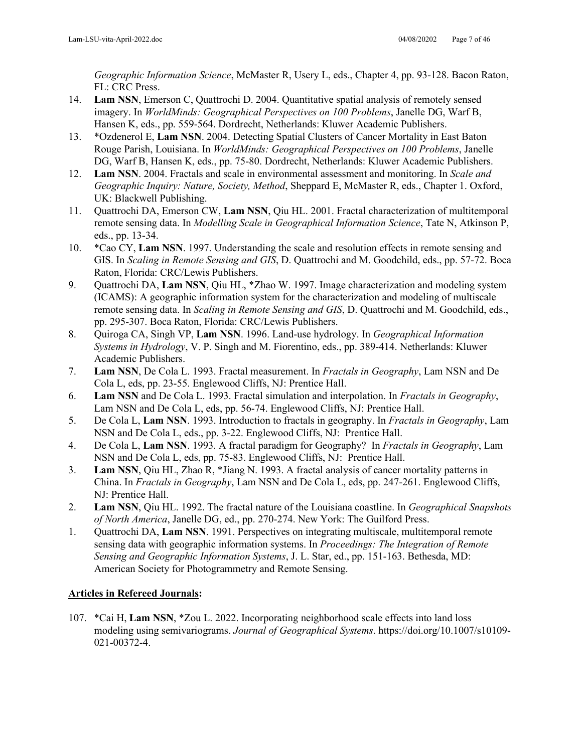*Geographic Information Science*, McMaster R, Usery L, eds., Chapter 4, pp. 93-128. Bacon Raton, FL: CRC Press.

- 14. **Lam NSN**, Emerson C, Quattrochi D. 2004. Quantitative spatial analysis of remotely sensed imagery. In *WorldMinds: Geographical Perspectives on 100 Problems*, Janelle DG, Warf B, Hansen K, eds., pp. 559-564. Dordrecht, Netherlands: Kluwer Academic Publishers.
- 13. \*Ozdenerol E, **Lam NSN**. 2004. Detecting Spatial Clusters of Cancer Mortality in East Baton Rouge Parish, Louisiana. In *WorldMinds: Geographical Perspectives on 100 Problems*, Janelle DG, Warf B, Hansen K, eds., pp. 75-80. Dordrecht, Netherlands: Kluwer Academic Publishers.
- 12. **Lam NSN**. 2004. Fractals and scale in environmental assessment and monitoring. In *Scale and Geographic Inquiry: Nature, Society, Method*, Sheppard E, McMaster R, eds., Chapter 1. Oxford, UK: Blackwell Publishing.
- 11. Quattrochi DA, Emerson CW, **Lam NSN**, Qiu HL. 2001. Fractal characterization of multitemporal remote sensing data. In *Modelling Scale in Geographical Information Science*, Tate N, Atkinson P, eds., pp. 13-34.
- 10. \*Cao CY, **Lam NSN**. 1997. Understanding the scale and resolution effects in remote sensing and GIS. In *Scaling in Remote Sensing and GIS*, D. Quattrochi and M. Goodchild, eds., pp. 57-72. Boca Raton, Florida: CRC/Lewis Publishers.
- 9. Quattrochi DA, **Lam NSN**, Qiu HL, \*Zhao W. 1997. Image characterization and modeling system (ICAMS): A geographic information system for the characterization and modeling of multiscale remote sensing data. In *Scaling in Remote Sensing and GIS*, D. Quattrochi and M. Goodchild, eds., pp. 295-307. Boca Raton, Florida: CRC/Lewis Publishers.
- 8. Quiroga CA, Singh VP, **Lam NSN**. 1996. Land-use hydrology. In *Geographical Information Systems in Hydrology*, V. P. Singh and M. Fiorentino, eds., pp. 389-414. Netherlands: Kluwer Academic Publishers.
- 7. **Lam NSN**, De Cola L. 1993. Fractal measurement. In *Fractals in Geography*, Lam NSN and De Cola L, eds, pp. 23-55. Englewood Cliffs, NJ: Prentice Hall.
- 6. **Lam NSN** and De Cola L. 1993. Fractal simulation and interpolation. In *Fractals in Geography*, Lam NSN and De Cola L, eds, pp. 56-74. Englewood Cliffs, NJ: Prentice Hall.
- 5. De Cola L, **Lam NSN**. 1993. Introduction to fractals in geography. In *Fractals in Geography*, Lam NSN and De Cola L, eds., pp. 3-22. Englewood Cliffs, NJ: Prentice Hall.
- 4. De Cola L, **Lam NSN**. 1993. A fractal paradigm for Geography? In *Fractals in Geography*, Lam NSN and De Cola L, eds, pp. 75-83. Englewood Cliffs, NJ: Prentice Hall.
- 3. **Lam NSN**, Qiu HL, Zhao R, \*Jiang N. 1993. A fractal analysis of cancer mortality patterns in China. In *Fractals in Geography*, Lam NSN and De Cola L, eds, pp. 247-261. Englewood Cliffs, NJ: Prentice Hall.
- 2. **Lam NSN**, Qiu HL. 1992. The fractal nature of the Louisiana coastline. In *Geographical Snapshots of North America*, Janelle DG, ed., pp. 270-274. New York: The Guilford Press.
- 1. Quattrochi DA, **Lam NSN**. 1991. Perspectives on integrating multiscale, multitemporal remote sensing data with geographic information systems. In *Proceedings: The Integration of Remote Sensing and Geographic Information Systems*, J. L. Star, ed., pp. 151-163. Bethesda, MD: American Society for Photogrammetry and Remote Sensing.

## **Articles in Refereed Journals:**

107. \*Cai H, **Lam NSN**, \*Zou L. 2022. Incorporating neighborhood scale effects into land loss modeling using semivariograms. *Journal of Geographical Systems*. https://doi.org/10.1007/s10109- 021-00372-4.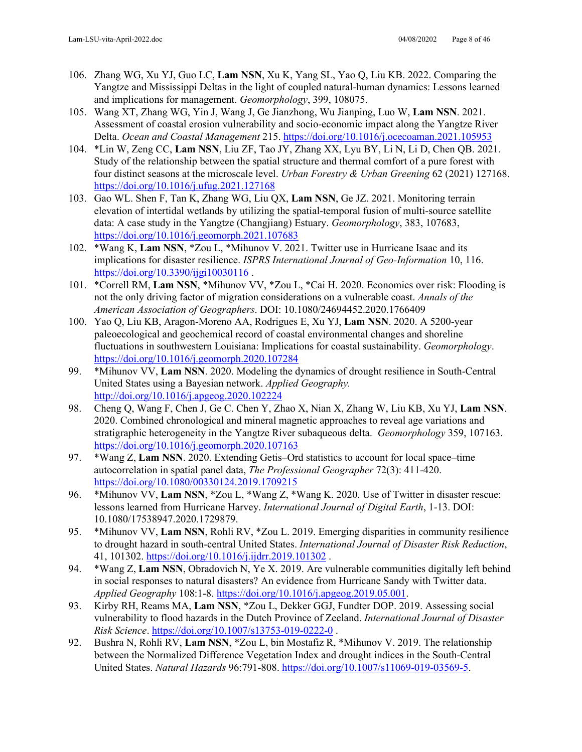- 106. Zhang WG, Xu YJ, Guo LC, **Lam NSN**, Xu K, Yang SL, Yao Q, Liu KB. 2022. Comparing the Yangtze and Mississippi Deltas in the light of coupled natural-human dynamics: Lessons learned and implications for management. *Geomorphology*, 399, 108075.
- 105. Wang XT, Zhang WG, Yin J, Wang J, Ge Jianzhong, Wu Jianping, Luo W, **Lam NSN**. 2021. Assessment of coastal erosion vulnerability and socio-economic impact along the Yangtze River Delta. *Ocean and Coastal Management* 215.<https://doi.org/10.1016/j.ocecoaman.2021.105953>
- 104. \*Lin W, Zeng CC, **Lam NSN**, Liu ZF, Tao JY, Zhang XX, Lyu BY, Li N, Li D, Chen QB. 2021. Study of the relationship between the spatial structure and thermal comfort of a pure forest with four distinct seasons at the microscale level. *Urban Forestry & Urban Greening* 62 (2021) 127168. <https://doi.org/10.1016/j.ufug.2021.127168>
- 103. Gao WL. Shen F, Tan K, Zhang WG, Liu QX, **Lam NSN**, Ge JZ. 2021. Monitoring terrain elevation of intertidal wetlands by utilizing the spatial-temporal fusion of multi-source satellite data: A case study in the Yangtze (Changjiang) Estuary. *Geomorphology*, 383, 107683, <https://doi.org/10.1016/j.geomorph.2021.107683>
- 102. \*Wang K, **Lam NSN**, \*Zou L, \*Mihunov V. 2021. Twitter use in Hurricane Isaac and its implications for disaster resilience. *ISPRS International Journal of Geo-Information* 10, 116. https://doi.org/10.3390/ijgi10030116.
- 101. \*Correll RM, **Lam NSN**, \*Mihunov VV, \*Zou L, \*Cai H. 2020. Economics over risk: Flooding is not the only driving factor of migration considerations on a vulnerable coast. *Annals of the American Association of Geographers*. DOI: 10.1080/24694452.2020.1766409
- 100. Yao Q, Liu KB, Aragon-Moreno AA, Rodrigues E, Xu YJ, **Lam NSN**. 2020. A 5200-year paleoecological and geochemical record of coastal environmental changes and shoreline fluctuations in southwestern Louisiana: Implications for coastal sustainability. *Geomorphology*. <https://doi.org/10.1016/j.geomorph.2020.107284>
- 99. \*Mihunov VV, **Lam NSN**. 2020. Modeling the dynamics of drought resilience in South-Central United States using a Bayesian network. *Applied Geography.* <http://doi.org/10.1016/j.apgeog.2020.102224>
- 98. Cheng Q, Wang F, Chen J, Ge C. Chen Y, Zhao X, Nian X, Zhang W, Liu KB, Xu YJ, **Lam NSN**. 2020. Combined chronological and mineral magnetic approaches to reveal age variations and stratigraphic heterogeneity in the Yangtze River subaqueous delta. *Geomorphology* 359, 107163. <https://doi.org/10.1016/j.geomorph.2020.107163>
- 97. \*Wang Z, **Lam NSN**. 2020. Extending Getis–Ord statistics to account for local space–time autocorrelation in spatial panel data, *The Professional Geographer* 72(3): 411-420. <https://doi.org/10.1080/00330124.2019.1709215>
- 96. \*Mihunov VV, **Lam NSN**, \*Zou L, \*Wang Z, \*Wang K. 2020. Use of Twitter in disaster rescue: lessons learned from Hurricane Harvey. *International Journal of Digital Earth*, 1-13. DOI: 10.1080/17538947.2020.1729879.
- 95. \*Mihunov VV, **Lam NSN**, Rohli RV, \*Zou L. 2019. Emerging disparities in community resilience to drought hazard in south-central United States. *International Journal of Disaster Risk Reduction*, 41, 101302.<https://doi.org/10.1016/j.ijdrr.2019.101302>.
- 94. \*Wang Z, **Lam NSN**, Obradovich N, Ye X. 2019. Are vulnerable communities digitally left behind in social responses to natural disasters? An evidence from Hurricane Sandy with Twitter data. *Applied Geography* 108:1-8. [https://doi.org/10.1016/j.apgeog.2019.05.001.](https://doi.org/10.1016/j.apgeog.2019.05.001)
- 93. Kirby RH, Reams MA, **Lam NSN**, \*Zou L, Dekker GGJ, Fundter DOP. 2019. Assessing social vulnerability to flood hazards in the Dutch Province of Zeeland. *International Journal of Disaster Risk Science*.<https://doi.org/10.1007/s13753-019-0222-0>.
- 92. Bushra N, Rohli RV, **Lam NSN**, \*Zou L, bin Mostafiz R, \*Mihunov V. 2019. The relationship between the Normalized Difference Vegetation Index and drought indices in the South-Central United States. *Natural Hazards* 96:791-808[. https://doi.org/10.1007/s11069-019-03569-5.](https://doi.org/10.1007/s11069-019-03569-5)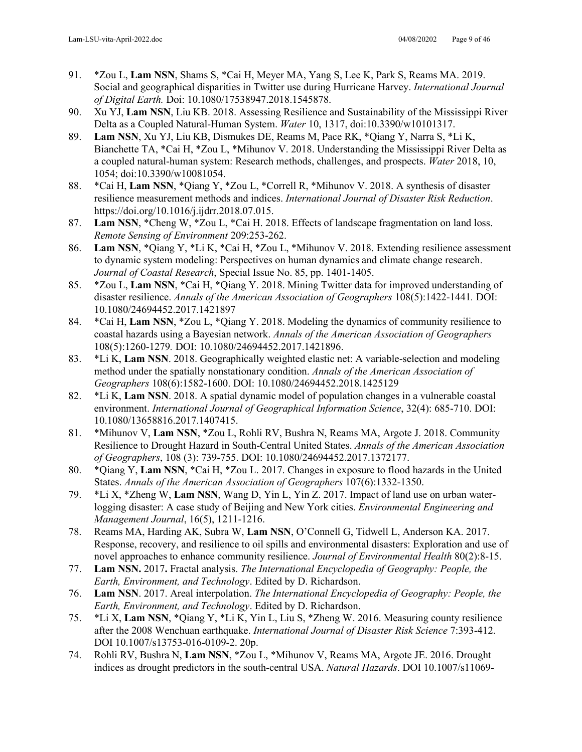- 91. \*Zou L, **Lam NSN**, Shams S, \*Cai H, Meyer MA, Yang S, Lee K, Park S, Reams MA. 2019. Social and geographical disparities in Twitter use during Hurricane Harvey. *International Journal of Digital Earth.* Doi: 10.1080/17538947.2018.1545878.
- 90. Xu YJ, **Lam NSN**, Liu KB. 2018. Assessing Resilience and Sustainability of the Mississippi River Delta as a Coupled Natural-Human System. *Water* 10, 1317, doi:10.3390/w10101317.
- 89. **Lam NSN**, Xu YJ, Liu KB, Dismukes DE, Reams M, Pace RK, \*Qiang Y, Narra S, \*Li K, Bianchette TA, \*Cai H, \*Zou L, \*Mihunov V. 2018. Understanding the Mississippi River Delta as a coupled natural-human system: Research methods, challenges, and prospects. *Water* 2018, 10, 1054; doi:10.3390/w10081054.
- 88. \*Cai H, **Lam NSN**, \*Qiang Y, \*Zou L, \*Correll R, \*Mihunov V. 2018. A synthesis of disaster resilience measurement methods and indices. *International Journal of Disaster Risk Reduction*. https://doi.org/10.1016/j.ijdrr.2018.07.015.
- 87. **Lam NSN**, \*Cheng W, \*Zou L, \*Cai H. 2018. Effects of landscape fragmentation on land loss. *Remote Sensing of Environment* 209:253-262.
- 86. **Lam NSN**, \*Qiang Y, \*Li K, \*Cai H, \*Zou L, \*Mihunov V. 2018. Extending resilience assessment to dynamic system modeling: Perspectives on human dynamics and climate change research. *Journal of Coastal Research*, Special Issue No. 85, pp. 1401-1405.
- 85. \*Zou L, **Lam NSN**, \*Cai H, \*Qiang Y. 2018. Mining Twitter data for improved understanding of disaster resilience. *Annals of the American Association of Geographers* 108(5):1422-1441*.* DOI: 10.1080/24694452.2017.1421897
- 84. \*Cai H, **Lam NSN**, \*Zou L, \*Qiang Y. 2018. Modeling the dynamics of community resilience to coastal hazards using a Bayesian network. *Annals of the American Association of Geographers* 108(5):1260-1279*.* DOI: 10.1080/24694452.2017.1421896.
- 83. \*Li K, **Lam NSN**. 2018. Geographically weighted elastic net: A variable-selection and modeling method under the spatially nonstationary condition. *Annals of the American Association of Geographers* 108(6):1582-1600. DOI: 10.1080/24694452.2018.1425129
- 82. \*Li K, **Lam NSN**. 2018. A spatial dynamic model of population changes in a vulnerable coastal environment. *International Journal of Geographical Information Science*, 32(4): 685-710. DOI: 10.1080/13658816.2017.1407415.
- 81. \*Mihunov V, **Lam NSN**, \*Zou L, Rohli RV, Bushra N, Reams MA, Argote J. 2018. Community Resilience to Drought Hazard in South-Central United States. *Annals of the American Association of Geographers*, 108 (3): 739-755. DOI: 10.1080/24694452.2017.1372177.
- 80. \*Qiang Y, **Lam NSN**, \*Cai H, \*Zou L. 2017. Changes in exposure to flood hazards in the United States. *Annals of the American Association of Geographers* 107(6):1332-1350.
- 79. \*Li X, \*Zheng W, **Lam NSN**, Wang D, Yin L, Yin Z. 2017. Impact of land use on urban waterlogging disaster: A case study of Beijing and New York cities. *Environmental Engineering and Management Journal*, 16(5), 1211-1216.
- 78. Reams MA, Harding AK, Subra W, **Lam NSN**, O'Connell G, Tidwell L, Anderson KA. 2017. Response, recovery, and resilience to oil spills and environmental disasters: Exploration and use of novel approaches to enhance community resilience. *Journal of Environmental Health* 80(2):8-15.
- 77. **Lam NSN.** 2017**.** Fractal analysis. *The International Encyclopedia of Geography: People, the Earth, Environment, and Technology*. Edited by D. Richardson.
- 76. **Lam NSN**. 2017. Areal interpolation. *The International Encyclopedia of Geography: People, the Earth, Environment, and Technology*. Edited by D. Richardson.
- 75. \*Li X, **Lam NSN**, \*Qiang Y, \*Li K, Yin L, Liu S, \*Zheng W. 2016. Measuring county resilience after the 2008 Wenchuan earthquake. *International Journal of Disaster Risk Science* 7:393-412. DOI 10.1007/s13753-016-0109-2. 20p.
- 74. Rohli RV, Bushra N, **Lam NSN**, \*Zou L, \*Mihunov V, Reams MA, Argote JE. 2016. Drought indices as drought predictors in the south-central USA. *Natural Hazards*. DOI 10.1007/s11069-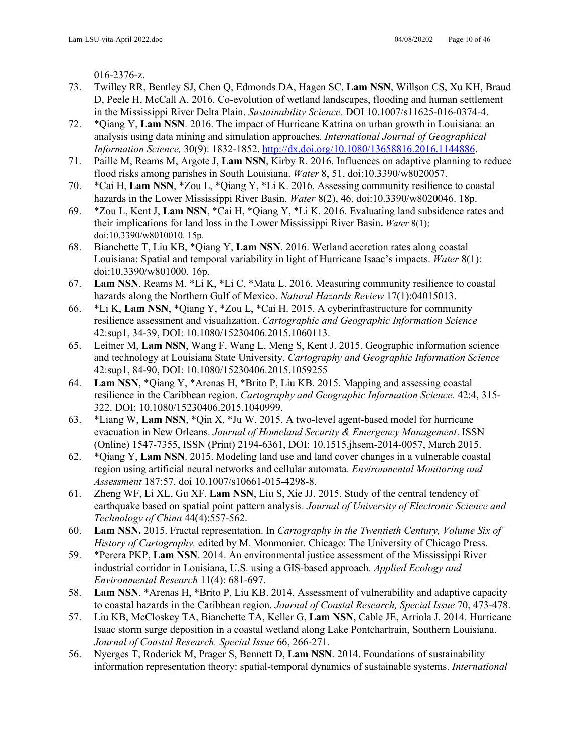016-2376-z.

- 73. Twilley RR, Bentley SJ, Chen Q, Edmonds DA, Hagen SC. **Lam NSN**, Willson CS, Xu KH, Braud D, Peele H, McCall A. 2016. Co-evolution of wetland landscapes, flooding and human settlement in the Mississippi River Delta Plain. *Sustainability Science.* DOI 10.1007/s11625-016-0374-4.
- 72. \*Qiang Y, **Lam NSN**. 2016. The impact of Hurricane Katrina on urban growth in Louisiana: an analysis using data mining and simulation approaches*. International Journal of Geographical Information Science,* 30(9): 1832-1852. [http://dx.doi.org/10.1080/13658816.2016.1144886.](http://dx.doi.org/10.1080/13658816.2016.1144886)
- 71. Paille M, Reams M, Argote J, **Lam NSN**, Kirby R. 2016. Influences on adaptive planning to reduce flood risks among parishes in South Louisiana. *Water* 8, 51, doi:10.3390/w8020057.
- 70. \*Cai H, **Lam NSN**, \*Zou L, \*Qiang Y, \*Li K. 2016. Assessing community resilience to coastal hazards in the Lower Mississippi River Basin. *Water* 8(2), 46, doi:10.3390/w8020046. 18p.
- 69. \*Zou L, Kent J, **Lam NSN**, \*Cai H, \*Qiang Y, \*Li K. 2016. Evaluating land subsidence rates and their implications for land loss in the Lower Mississippi River Basin**.** *Water* 8(1); doi:10.3390/w8010010. 15p.
- 68. Bianchette T, Liu KB, \*Qiang Y, **Lam NSN**. 2016. Wetland accretion rates along coastal Louisiana: Spatial and temporal variability in light of Hurricane Isaac's impacts. *Water* 8(1): doi:10.3390/w801000. 16p.
- 67. **Lam NSN**, Reams M, \*Li K, \*Li C, \*Mata L. 2016. Measuring community resilience to coastal hazards along the Northern Gulf of Mexico. *Natural Hazards Review* 17(1):04015013.
- 66. \*Li K, **Lam NSN**, \*Qiang Y, \*Zou L, \*Cai H. 2015. A cyberinfrastructure for community resilience assessment and visualization. *Cartographic and Geographic Information Science* 42:sup1, 34-39, DOI: 10.1080/15230406.2015.1060113.
- 65. Leitner M, **Lam NSN**, Wang F, Wang L, Meng S, Kent J. 2015. Geographic information science and technology at Louisiana State University. *Cartography and Geographic Information Science* 42:sup1, 84-90, DOI: 10.1080/15230406.2015.1059255
- 64. **Lam NSN**, \*Qiang Y, \*Arenas H, \*Brito P, Liu KB. 2015. Mapping and assessing coastal resilience in the Caribbean region. *Cartography and Geographic Information Science*. 42:4, 315- 322. DOI: 10.1080/15230406.2015.1040999.
- 63. \*Liang W, **Lam NSN**, \*Qin X, \*Ju W. 2015. A two-level agent-based model for hurricane evacuation in New Orleans. *Journal of Homeland Security & Emergency Management*. ISSN (Online) 1547-7355, ISSN (Print) 2194-6361, DOI: 10.1515.jhsem-2014-0057, March 2015.
- 62. \*Qiang Y, **Lam NSN**. 2015. Modeling land use and land cover changes in a vulnerable coastal region using artificial neural networks and cellular automata. *Environmental Monitoring and Assessment* 187:57. doi 10.1007/s10661-015-4298-8.
- 61. Zheng WF, Li XL, Gu XF, **Lam NSN**, Liu S, Xie JJ. 2015. Study of the central tendency of earthquake based on spatial point pattern analysis. *Journal of University of Electronic Science and Technology of China* 44(4):557-562.
- 60. **Lam NSN.** 2015. Fractal representation. In *Cartography in the Twentieth Century, Volume Six of History of Cartography,* edited by M. Monmonier. Chicago: The University of Chicago Press.
- 59. \*Perera PKP, **Lam NSN**. 2014. An environmental justice assessment of the Mississippi River industrial corridor in Louisiana, U.S. using a GIS-based approach. *Applied Ecology and Environmental Research* 11(4): 681-697.
- 58. **Lam NSN**, \*Arenas H, \*Brito P, Liu KB. 2014. Assessment of vulnerability and adaptive capacity to coastal hazards in the Caribbean region. *Journal of Coastal Research, Special Issue* 70, 473-478.
- 57. Liu KB, McCloskey TA, Bianchette TA, Keller G, **Lam NSN**, Cable JE, Arriola J. 2014. Hurricane Isaac storm surge deposition in a coastal wetland along Lake Pontchartrain, Southern Louisiana. *Journal of Coastal Research, Special Issue* 66, 266-271.
- 56. Nyerges T, Roderick M, Prager S, Bennett D, **Lam NSN**. 2014. Foundations of sustainability information representation theory: spatial-temporal dynamics of sustainable systems. *International*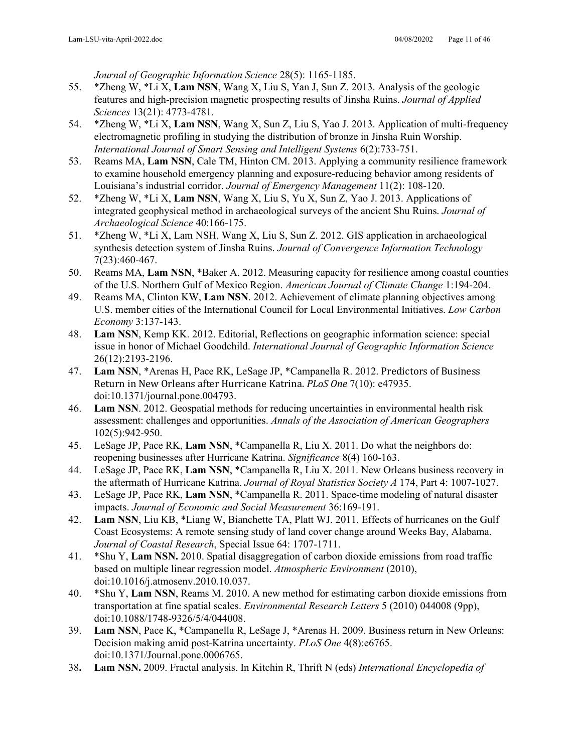*Journal of Geographic Information Science* 28(5): 1165-1185.

- 55. \*Zheng W, \*Li X, **Lam NSN**, Wang X, Liu S, Yan J, Sun Z. 2013. Analysis of the geologic features and high-precision magnetic prospecting results of Jinsha Ruins. *Journal of Applied Sciences* 13(21): 4773-4781.
- 54. \*Zheng W, \*Li X, **Lam NSN**, Wang X, Sun Z, Liu S, Yao J. 2013. Application of multi-frequency electromagnetic profiling in studying the distribution of bronze in Jinsha Ruin Worship. *International Journal of Smart Sensing and Intelligent Systems* 6(2):733-751.
- 53. Reams MA, **Lam NSN**, Cale TM, Hinton CM. 2013. Applying a community resilience framework to examine household emergency planning and exposure-reducing behavior among residents of Louisiana's industrial corridor. *Journal of Emergency Management* 11(2): 108-120.
- 52. \*Zheng W, \*Li X, **Lam NSN**, Wang X, Liu S, Yu X, Sun Z, Yao J. 2013. Applications of integrated geophysical method in archaeological surveys of the ancient Shu Ruins. *Journal of Archaeological Science* 40:166-175.
- 51. \*Zheng W, \*Li X, Lam NSH, Wang X, Liu S, Sun Z. 2012. GIS application in archaeological synthesis detection system of Jinsha Ruins. *Journal of Convergence Information Technology* 7(23):460-467.
- 50. Reams MA, **Lam NSN**, \*Baker A. 2012. Measuring capacity for resilience among coastal counties of the U.S. Northern Gulf of Mexico Region. *American Journal of Climate Change* 1:194-204.
- 49. Reams MA, Clinton KW, **Lam NSN**. 2012. Achievement of climate planning objectives among U.S. member cities of the International Council for Local Environmental Initiatives. *Low Carbon Economy* 3:137-143.
- 48. **Lam NSN**, Kemp KK. 2012. Editorial, Reflections on geographic information science: special issue in honor of Michael Goodchild. *International Journal of Geographic Information Science* 26(12):2193-2196.
- 47. **Lam NSN**, \*Arenas H, Pace RK, LeSage JP, \*Campanella R. 2012. Predictors of Business Return in New Orleans after Hurricane Katrina. *PLoS One* 7(10): e47935. doi:10.1371/journal.pone.004793.
- 46. **Lam NSN**. 2012. Geospatial methods for reducing uncertainties in environmental health risk assessment: challenges and opportunities. *Annals of the Association of American Geographers*  102(5):942-950.
- 45. LeSage JP, Pace RK, **Lam NSN**, \*Campanella R, Liu X. 2011. Do what the neighbors do: reopening businesses after Hurricane Katrina. *Significance* 8(4) 160-163.
- 44. LeSage JP, Pace RK, **Lam NSN**, \*Campanella R, Liu X. 2011. New Orleans business recovery in the aftermath of Hurricane Katrina. *Journal of Royal Statistics Society A* 174, Part 4: 1007-1027.
- 43. LeSage JP, Pace RK, **Lam NSN**, \*Campanella R. 2011. Space-time modeling of natural disaster impacts. *Journal of Economic and Social Measurement* 36:169-191.
- 42. **Lam NSN**, Liu KB, \*Liang W, Bianchette TA, Platt WJ. 2011. Effects of hurricanes on the Gulf Coast Ecosystems: A remote sensing study of land cover change around Weeks Bay, Alabama. *Journal of Coastal Research*, Special Issue 64: 1707-1711.
- 41. \*Shu Y, **Lam NSN.** 2010. Spatial disaggregation of carbon dioxide emissions from road traffic based on multiple linear regression model. *Atmospheric Environment* (2010), doi:10.1016/j.atmosenv.2010.10.037.
- 40. \*Shu Y, **Lam NSN**, Reams M. 2010. A new method for estimating carbon dioxide emissions from transportation at fine spatial scales. *Environmental Research Letters* 5 (2010) 044008 (9pp), doi:10.1088/1748-9326/5/4/044008.
- 39. **Lam NSN**, Pace K, \*Campanella R, LeSage J, \*Arenas H. 2009. Business return in New Orleans: Decision making amid post-Katrina uncertainty. *PLoS One* 4(8):e6765. doi:10.1371/Journal.pone.0006765.
- 38**. Lam NSN.** 2009. Fractal analysis. In Kitchin R, Thrift N (eds) *International Encyclopedia of*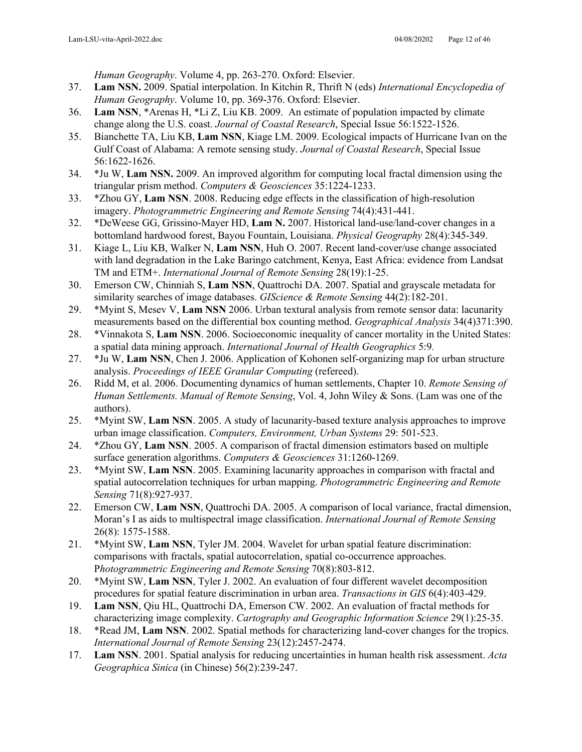*Human Geography*. Volume 4, pp. 263-270. Oxford: Elsevier.

- 37. **Lam NSN.** 2009. Spatial interpolation. In Kitchin R, Thrift N (eds) *International Encyclopedia of Human Geography*. Volume 10, pp. 369-376. Oxford: Elsevier.
- 36. **Lam NSN**, \*Arenas H, \*Li Z, Liu KB. 2009. An estimate of population impacted by climate change along the U.S. coast. *Journal of Coastal Research*, Special Issue 56:1522-1526.
- 35. Bianchette TA, Liu KB, **Lam NSN**, Kiage LM. 2009. Ecological impacts of Hurricane Ivan on the Gulf Coast of Alabama: A remote sensing study. *Journal of Coastal Research*, Special Issue 56:1622-1626.
- 34. \*Ju W, **Lam NSN.** 2009. An improved algorithm for computing local fractal dimension using the triangular prism method. *Computers & Geosciences* 35:1224-1233.
- 33. \*Zhou GY, **Lam NSN**. 2008. Reducing edge effects in the classification of high-resolution imagery. *Photogrammetric Engineering and Remote Sensing* 74(4):431-441.
- 32. \*DeWeese GG, Grissino-Mayer HD, **Lam N.** 2007. Historical land-use/land-cover changes in a bottomland hardwood forest, Bayou Fountain, Louisiana. *Physical Geography* 28(4):345-349.
- 31. Kiage L, Liu KB, Walker N, **Lam NSN**, Huh O. 2007. Recent land-cover/use change associated with land degradation in the Lake Baringo catchment, Kenya, East Africa: evidence from Landsat TM and ETM+. *International Journal of Remote Sensing* 28(19):1-25.
- 30. Emerson CW, Chinniah S, **Lam NSN**, Quattrochi DA. 2007. Spatial and grayscale metadata for similarity searches of image databases. *GIScience & Remote Sensing* 44(2):182-201.
- 29. \*Myint S, Mesev V, **Lam NSN** 2006. Urban textural analysis from remote sensor data: lacunarity measurements based on the differential box counting method. *Geographical Analysis* 34(4)371:390.
- 28. \*Vinnakota S, **Lam NSN**. 2006. Socioeconomic inequality of cancer mortality in the United States: a spatial data mining approach. *International Journal of Health Geographics* 5:9*.*
- 27. \*Ju W, **Lam NSN**, Chen J. 2006. Application of Kohonen self-organizing map for urban structure analysis. *Proceedings of IEEE Granular Computing* (refereed).
- 26. Ridd M, et al. 2006. Documenting dynamics of human settlements, Chapter 10. *Remote Sensing of Human Settlements. Manual of Remote Sensing*, Vol. 4, John Wiley & Sons. (Lam was one of the authors).
- 25. \*Myint SW, **Lam NSN**. 2005. A study of lacunarity-based texture analysis approaches to improve urban image classification. *Computers, Environment, Urban Systems* 29: 501-523.
- 24. \*Zhou GY, **Lam NSN**. 2005. A comparison of fractal dimension estimators based on multiple surface generation algorithms. *Computers & Geosciences* 31:1260-1269.
- 23. \*Myint SW, **Lam NSN**. 2005. Examining lacunarity approaches in comparison with fractal and spatial autocorrelation techniques for urban mapping. *Photogrammetric Engineering and Remote Sensing* 71(8):927-937.
- 22. Emerson CW, **Lam NSN**, Quattrochi DA. 2005. A comparison of local variance, fractal dimension, Moran's I as aids to multispectral image classification. *International Journal of Remote Sensing* 26(8): 1575-1588.
- 21. \*Myint SW, **Lam NSN**, Tyler JM. 2004. Wavelet for urban spatial feature discrimination: comparisons with fractals, spatial autocorrelation, spatial co-occurrence approaches. P*hotogrammetric Engineering and Remote Sensing* 70(8):803-812.
- 20. \*Myint SW, **Lam NSN**, Tyler J. 2002. An evaluation of four different wavelet decomposition procedures for spatial feature discrimination in urban area. *Transactions in GIS* 6(4):403-429.
- 19. **Lam NSN**, Qiu HL, Quattrochi DA, Emerson CW. 2002. An evaluation of fractal methods for characterizing image complexity. *Cartography and Geographic Information Science* 29(1):25-35.
- 18. \*Read JM, **Lam NSN**. 2002. Spatial methods for characterizing land-cover changes for the tropics. *International Journal of Remote Sensing* 23(12):2457-2474.
- 17. **Lam NSN**. 2001. Spatial analysis for reducing uncertainties in human health risk assessment. *Acta Geographica Sinica* (in Chinese) 56(2):239-247.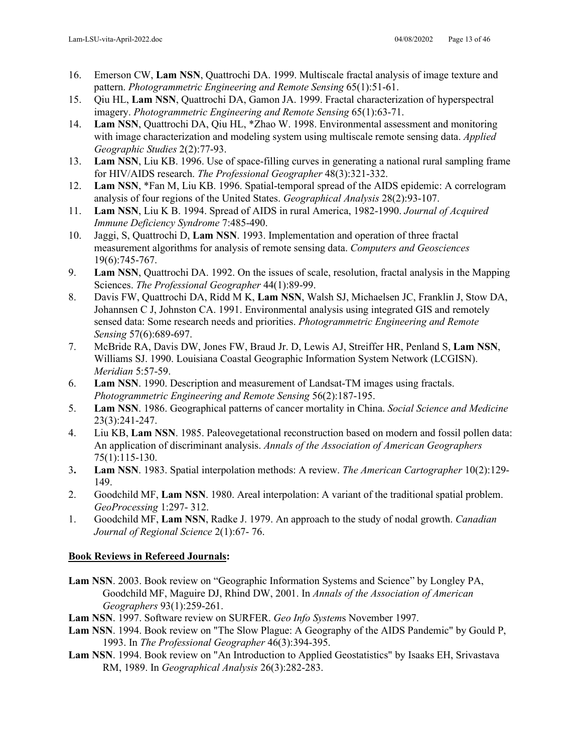- 16. Emerson CW, **Lam NSN**, Quattrochi DA. 1999. Multiscale fractal analysis of image texture and pattern. *Photogrammetric Engineering and Remote Sensing* 65(1):51-61.
- 15. Qiu HL, **Lam NSN**, Quattrochi DA, Gamon JA. 1999. Fractal characterization of hyperspectral imagery. *Photogrammetric Engineering and Remote Sensing* 65(1):63-71.
- 14. **Lam NSN**, Quattrochi DA, Qiu HL, \*Zhao W. 1998. Environmental assessment and monitoring with image characterization and modeling system using multiscale remote sensing data. *Applied Geographic Studies* 2(2):77-93.
- 13. **Lam NSN**, Liu KB. 1996. Use of space-filling curves in generating a national rural sampling frame for HIV/AIDS research. *The Professional Geographer* 48(3):321-332.
- 12. **Lam NSN**, \*Fan M, Liu KB. 1996. Spatial-temporal spread of the AIDS epidemic: A correlogram analysis of four regions of the United States. *Geographical Analysis* 28(2):93-107.
- 11. **Lam NSN**, Liu K B. 1994. Spread of AIDS in rural America, 1982-1990. *Journal of Acquired Immune Deficiency Syndrome* 7:485-490.
- 10. Jaggi, S, Quattrochi D, **Lam NSN**. 1993. Implementation and operation of three fractal measurement algorithms for analysis of remote sensing data. *Computers and Geosciences* 19(6):745-767.
- 9. **Lam NSN**, Quattrochi DA. 1992. On the issues of scale, resolution, fractal analysis in the Mapping Sciences. *The Professional Geographer* 44(1):89-99.
- 8. Davis FW, Quattrochi DA, Ridd M K, **Lam NSN**, Walsh SJ, Michaelsen JC, Franklin J, Stow DA, Johannsen C J, Johnston CA. 1991. Environmental analysis using integrated GIS and remotely sensed data: Some research needs and priorities. *Photogrammetric Engineering and Remote Sensing* 57(6):689-697.
- 7. McBride RA, Davis DW, Jones FW, Braud Jr. D, Lewis AJ, Streiffer HR, Penland S, **Lam NSN**, Williams SJ. 1990. Louisiana Coastal Geographic Information System Network (LCGISN). *Meridian* 5:57-59.
- 6. **Lam NSN**. 1990. Description and measurement of Landsat-TM images using fractals. *Photogrammetric Engineering and Remote Sensing* 56(2):187-195.
- 5. **Lam NSN**. 1986. Geographical patterns of cancer mortality in China. *Social Science and Medicine* 23(3):241-247.
- 4. Liu KB, **Lam NSN**. 1985. Paleovegetational reconstruction based on modern and fossil pollen data: An application of discriminant analysis. *Annals of the Association of American Geographers* 75(1):115-130.
- 3**. Lam NSN**. 1983. Spatial interpolation methods: A review. *The American Cartographer* 10(2):129- 149.
- 2. Goodchild MF, **Lam NSN**. 1980. Areal interpolation: A variant of the traditional spatial problem. *GeoProcessing* 1:297- 312.
- 1. Goodchild MF, **Lam NSN**, Radke J. 1979. An approach to the study of nodal growth. *Canadian Journal of Regional Science* 2(1):67- 76.

## **Book Reviews in Refereed Journals:**

- **Lam NSN**. 2003. Book review on "Geographic Information Systems and Science" by Longley PA, Goodchild MF, Maguire DJ, Rhind DW, 2001. In *Annals of the Association of American Geographers* 93(1):259-261.
- **Lam NSN**. 1997. Software review on SURFER. *Geo Info System*s November 1997.
- **Lam NSN**. 1994. Book review on "The Slow Plague: A Geography of the AIDS Pandemic" by Gould P, 1993. In *The Professional Geographer* 46(3):394-395.
- **Lam NSN**. 1994. Book review on "An Introduction to Applied Geostatistics" by Isaaks EH, Srivastava RM, 1989. In *Geographical Analysis* 26(3):282-283.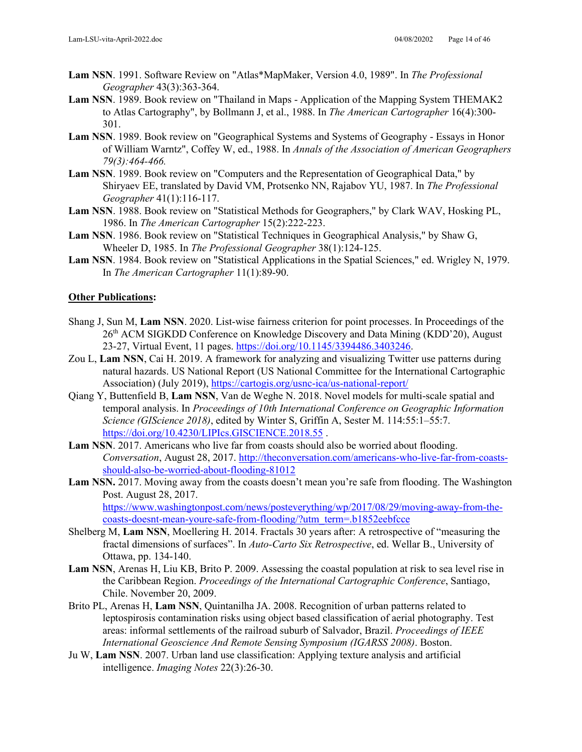- **Lam NSN**. 1991. Software Review on "Atlas\*MapMaker, Version 4.0, 1989". In *The Professional Geographer* 43(3):363-364.
- **Lam NSN**. 1989. Book review on "Thailand in Maps Application of the Mapping System THEMAK2 to Atlas Cartography", by Bollmann J, et al., 1988. In *The American Cartographer* 16(4):300- 301.
- **Lam NSN**. 1989. Book review on "Geographical Systems and Systems of Geography Essays in Honor of William Warntz", Coffey W, ed., 1988. In *Annals of the Association of American Geographers 79(3):464-466.*
- **Lam NSN**. 1989. Book review on "Computers and the Representation of Geographical Data," by Shiryaev EE, translated by David VM, Protsenko NN, Rajabov YU, 1987. In *The Professional Geographer* 41(1):116-117.
- **Lam NSN**. 1988. Book review on "Statistical Methods for Geographers," by Clark WAV, Hosking PL, 1986. In *The American Cartographer* 15(2):222-223.
- **Lam NSN**. 1986. Book review on "Statistical Techniques in Geographical Analysis," by Shaw G, Wheeler D, 1985. In *The Professional Geographer* 38(1):124-125.
- **Lam NSN**. 1984. Book review on "Statistical Applications in the Spatial Sciences," ed. Wrigley N, 1979. In *The American Cartographer* 11(1):89-90.

### **Other Publications:**

- Shang J, Sun M, **Lam NSN**. 2020. List-wise fairness criterion for point processes. In Proceedings of the 26th ACM SIGKDD Conference on Knowledge Discovery and Data Mining (KDD'20), August 23-27, Virtual Event, 11 pages. [https://doi.org/10.1145/3394486.3403246.](https://doi.org/10.1145/3394486.3403246)
- Zou L, **Lam NSN**, Cai H. 2019. A framework for analyzing and visualizing Twitter use patterns during natural hazards. US National Report (US National Committee for the International Cartographic Association) (July 2019),<https://cartogis.org/usnc-ica/us-national-report/>
- Qiang Y, Buttenfield B, **Lam NSN**, Van de Weghe N. 2018. Novel models for multi-scale spatial and temporal analysis. In *Proceedings of 10th International Conference on Geographic Information Science (GIScience 2018)*, edited by Winter S, Griffin A, Sester M. 114:55:1–55:7. <https://doi.org/10.4230/LIPIcs.GISCIENCE.2018.55>.
- **Lam NSN**. 2017. Americans who live far from coasts should also be worried about flooding. *Conversation*, August 28, 2017. [http://theconversation.com/americans-who-live-far-from-coasts](http://theconversation.com/americans-who-live-far-from-coasts-should-also-be-worried-about-flooding-81012)[should-also-be-worried-about-flooding-81012](http://theconversation.com/americans-who-live-far-from-coasts-should-also-be-worried-about-flooding-81012)
- Lam NSN. 2017. Moving away from the coasts doesn't mean you're safe from flooding. The Washington Post. August 28, 2017. [https://www.washingtonpost.com/news/posteverything/wp/2017/08/29/moving-away-from-the](https://www.washingtonpost.com/news/posteverything/wp/2017/08/29/moving-away-from-the-coasts-doesnt-mean-youre-safe-from-flooding/?utm_term=.b1852eebfcce)[coasts-doesnt-mean-youre-safe-from-flooding/?utm\\_term=.b1852eebfcce](https://www.washingtonpost.com/news/posteverything/wp/2017/08/29/moving-away-from-the-coasts-doesnt-mean-youre-safe-from-flooding/?utm_term=.b1852eebfcce)
- Shelberg M, **Lam NSN**, Moellering H. 2014. Fractals 30 years after: A retrospective of "measuring the fractal dimensions of surfaces". In *Auto-Carto Six Retrospective*, ed. Wellar B., University of Ottawa, pp. 134-140.
- **Lam NSN**, Arenas H, Liu KB, Brito P. 2009. Assessing the coastal population at risk to sea level rise in the Caribbean Region. *Proceedings of the International Cartographic Conference*, Santiago, Chile. November 20, 2009.
- Brito PL, Arenas H, **Lam NSN**, Quintanilha JA. 2008. Recognition of urban patterns related to leptospirosis contamination risks using object based classification of aerial photography. Test areas: informal settlements of the railroad suburb of Salvador, Brazil. *Proceedings of IEEE International Geoscience And Remote Sensing Symposium (IGARSS 2008)*. Boston.
- Ju W, **Lam NSN**. 2007. Urban land use classification: Applying texture analysis and artificial intelligence. *Imaging Notes* 22(3):26-30.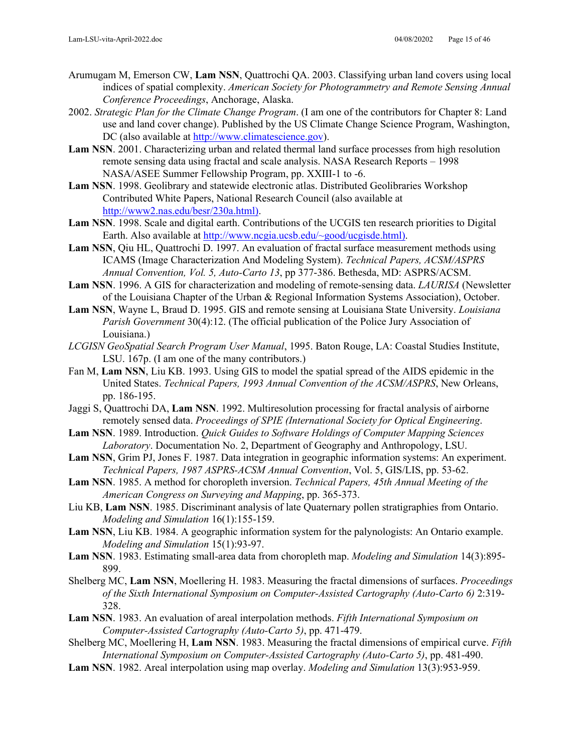- Arumugam M, Emerson CW, **Lam NSN**, Quattrochi QA. 2003. Classifying urban land covers using local indices of spatial complexity. *American Society for Photogrammetry and Remote Sensing Annual Conference Proceedings*, Anchorage, Alaska.
- 2002. *Strategic Plan for the Climate Change Program*. (I am one of the contributors for Chapter 8: Land use and land cover change). Published by the US Climate Change Science Program, Washington, DC (also available at [http://www.climatescience.gov\)](http://www.climatescience.gov/).
- **Lam NSN**. 2001. Characterizing urban and related thermal land surface processes from high resolution remote sensing data using fractal and scale analysis. NASA Research Reports – 1998 NASA/ASEE Summer Fellowship Program, pp. XXIII-1 to -6.
- **Lam NSN**. 1998. Geolibrary and statewide electronic atlas. Distributed Geolibraries Workshop Contributed White Papers, National Research Council (also available at [http://www2.nas.edu/besr/230a.html\).](http://www2.nas.edu/besr/230a.html))
- **Lam NSN**. 1998. Scale and digital earth. Contributions of the UCGIS ten research priorities to Digital Earth. Also available at [http://www.ncgia.ucsb.edu/~good/ucgisde.html\).](http://www.ncgia.ucsb.edu/%7Egood/ucgisde.html))
- **Lam NSN**, Qiu HL, Quattrochi D. 1997. An evaluation of fractal surface measurement methods using ICAMS (Image Characterization And Modeling System). *Technical Papers, ACSM/ASPRS Annual Convention, Vol. 5, Auto-Carto 13*, pp 377-386. Bethesda, MD: ASPRS/ACSM.
- **Lam NSN**. 1996. A GIS for characterization and modeling of remote-sensing data. *LAURISA* (Newsletter of the Louisiana Chapter of the Urban & Regional Information Systems Association), October.
- **Lam NSN**, Wayne L, Braud D. 1995. GIS and remote sensing at Louisiana State University. *Louisiana Parish Government* 30(4):12. (The official publication of the Police Jury Association of Louisiana.)
- *LCGISN GeoSpatial Search Program User Manual*, 1995. Baton Rouge, LA: Coastal Studies Institute, LSU. 167p. (I am one of the many contributors.)
- Fan M, **Lam NSN**, Liu KB. 1993. Using GIS to model the spatial spread of the AIDS epidemic in the United States. *Technical Papers, 1993 Annual Convention of the ACSM/ASPRS*, New Orleans, pp. 186-195.
- Jaggi S, Quattrochi DA, **Lam NSN**. 1992. Multiresolution processing for fractal analysis of airborne remotely sensed data. *Proceedings of SPIE (International Society for Optical Engineering*.
- **Lam NSN**. 1989. Introduction. *Quick Guides to Software Holdings of Computer Mapping Sciences Laboratory*. Documentation No. 2, Department of Geography and Anthropology, LSU.
- **Lam NSN**, Grim PJ, Jones F. 1987. Data integration in geographic information systems: An experiment. *Technical Papers, 1987 ASPRS-ACSM Annual Convention*, Vol. 5, GIS/LIS, pp. 53-62.
- **Lam NSN**. 1985. A method for choropleth inversion. *Technical Papers, 45th Annual Meeting of the American Congress on Surveying and Mapping*, pp. 365-373.
- Liu KB, **Lam NSN**. 1985. Discriminant analysis of late Quaternary pollen stratigraphies from Ontario. *Modeling and Simulation* 16(1):155-159.
- **Lam NSN**, Liu KB. 1984. A geographic information system for the palynologists: An Ontario example. *Modeling and Simulation* 15(1):93-97.
- **Lam NSN**. 1983. Estimating small-area data from choropleth map. *Modeling and Simulation* 14(3):895- 899.
- Shelberg MC, **Lam NSN**, Moellering H. 1983. Measuring the fractal dimensions of surfaces. *Proceedings of the Sixth International Symposium on Computer-Assisted Cartography (Auto-Carto 6)* 2:319- 328.
- **Lam NSN**. 1983. An evaluation of areal interpolation methods. *Fifth International Symposium on Computer-Assisted Cartography (Auto-Carto 5)*, pp. 471-479.
- Shelberg MC, Moellering H, **Lam NSN**. 1983. Measuring the fractal dimensions of empirical curve. *Fifth International Symposium on Computer-Assisted Cartography (Auto-Carto 5)*, pp. 481-490.
- **Lam NSN**. 1982. Areal interpolation using map overlay. *Modeling and Simulation* 13(3):953-959.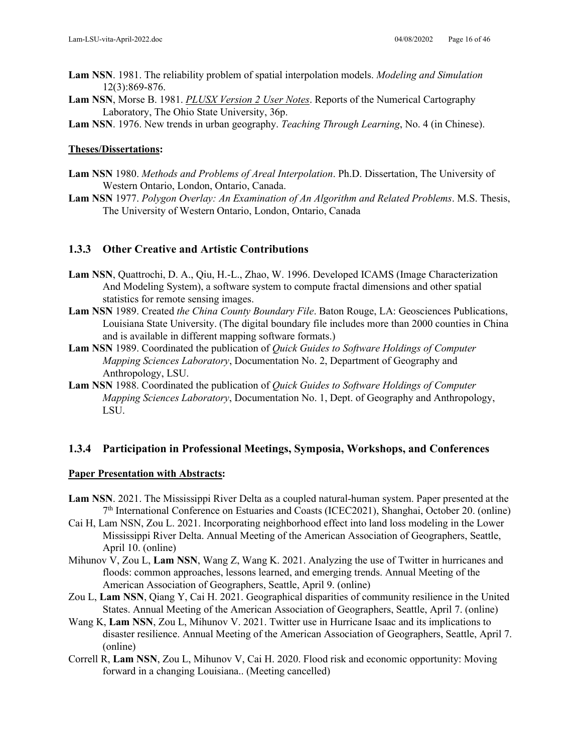- **Lam NSN**. 1981. The reliability problem of spatial interpolation models. *Modeling and Simulation* 12(3):869-876.
- **Lam NSN**, Morse B. 1981. *PLUSX Version 2 User Notes*. Reports of the Numerical Cartography Laboratory, The Ohio State University, 36p.
- **Lam NSN**. 1976. New trends in urban geography. *Teaching Through Learning*, No. 4 (in Chinese).

#### **Theses/Dissertations:**

- **Lam NSN** 1980. *Methods and Problems of Areal Interpolation*. Ph.D. Dissertation, The University of Western Ontario, London, Ontario, Canada.
- **Lam NSN** 1977. *Polygon Overlay: An Examination of An Algorithm and Related Problems*. M.S. Thesis, The University of Western Ontario, London, Ontario, Canada

### **1.3.3 Other Creative and Artistic Contributions**

- **Lam NSN**, Quattrochi, D. A., Qiu, H.-L., Zhao, W. 1996. Developed ICAMS (Image Characterization And Modeling System), a software system to compute fractal dimensions and other spatial statistics for remote sensing images.
- **Lam NSN** 1989. Created *the China County Boundary File*. Baton Rouge, LA: Geosciences Publications, Louisiana State University. (The digital boundary file includes more than 2000 counties in China and is available in different mapping software formats.)
- **Lam NSN** 1989. Coordinated the publication of *Quick Guides to Software Holdings of Computer Mapping Sciences Laboratory*, Documentation No. 2, Department of Geography and Anthropology, LSU.
- **Lam NSN** 1988. Coordinated the publication of *Quick Guides to Software Holdings of Computer Mapping Sciences Laboratory*, Documentation No. 1, Dept. of Geography and Anthropology, LSU.

### **1.3.4 Participation in Professional Meetings, Symposia, Workshops, and Conferences**

#### **Paper Presentation with Abstracts:**

- **Lam NSN**. 2021. The Mississippi River Delta as a coupled natural-human system. Paper presented at the 7th International Conference on Estuaries and Coasts (ICEC2021), Shanghai, October 20. (online)
- Cai H, Lam NSN, Zou L. 2021. Incorporating neighborhood effect into land loss modeling in the Lower Mississippi River Delta. Annual Meeting of the American Association of Geographers, Seattle, April 10. (online)
- Mihunov V, Zou L, **Lam NSN**, Wang Z, Wang K. 2021. Analyzing the use of Twitter in hurricanes and floods: common approaches, lessons learned, and emerging trends. Annual Meeting of the American Association of Geographers, Seattle, April 9. (online)
- Zou L, **Lam NSN**, Qiang Y, Cai H. 2021. Geographical disparities of community resilience in the United States. Annual Meeting of the American Association of Geographers, Seattle, April 7. (online)
- Wang K, **Lam NSN**, Zou L, Mihunov V. 2021. Twitter use in Hurricane Isaac and its implications to disaster resilience. Annual Meeting of the American Association of Geographers, Seattle, April 7. (online)
- Correll R, **Lam NSN**, Zou L, Mihunov V, Cai H. 2020. Flood risk and economic opportunity: Moving forward in a changing Louisiana.. (Meeting cancelled)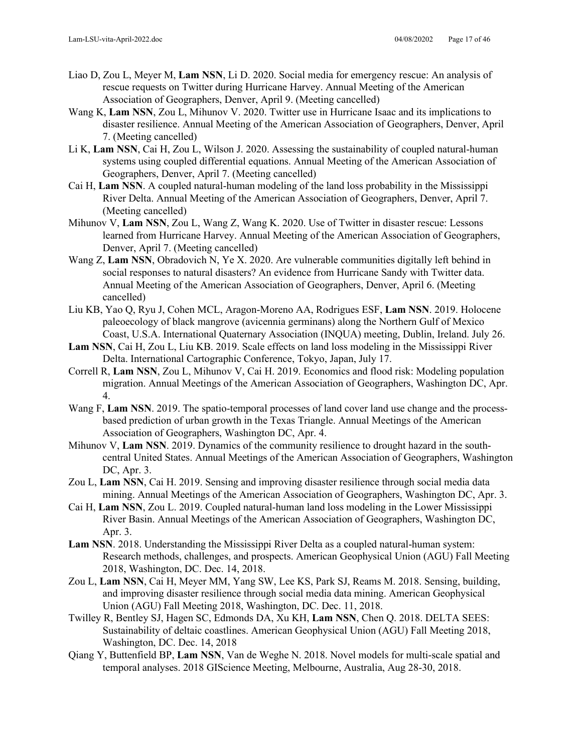- Liao D, Zou L, Meyer M, **Lam NSN**, Li D. 2020. Social media for emergency rescue: An analysis of rescue requests on Twitter during Hurricane Harvey. Annual Meeting of the American Association of Geographers, Denver, April 9. (Meeting cancelled)
- Wang K, **Lam NSN**, Zou L, Mihunov V. 2020. Twitter use in Hurricane Isaac and its implications to disaster resilience. Annual Meeting of the American Association of Geographers, Denver, April 7. (Meeting cancelled)
- Li K, **Lam NSN**, Cai H, Zou L, Wilson J. 2020. Assessing the sustainability of coupled natural-human systems using coupled differential equations. Annual Meeting of the American Association of Geographers, Denver, April 7. (Meeting cancelled)
- Cai H, **Lam NSN**. A coupled natural-human modeling of the land loss probability in the Mississippi River Delta. Annual Meeting of the American Association of Geographers, Denver, April 7. (Meeting cancelled)
- Mihunov V, **Lam NSN**, Zou L, Wang Z, Wang K. 2020. Use of Twitter in disaster rescue: Lessons learned from Hurricane Harvey. Annual Meeting of the American Association of Geographers, Denver, April 7. (Meeting cancelled)
- Wang Z, **Lam NSN**, Obradovich N, Ye X. 2020. Are vulnerable communities digitally left behind in social responses to natural disasters? An evidence from Hurricane Sandy with Twitter data. Annual Meeting of the American Association of Geographers, Denver, April 6. (Meeting cancelled)
- Liu KB, Yao Q, Ryu J, Cohen MCL, Aragon-Moreno AA, Rodrigues ESF, **Lam NSN**. 2019. Holocene paleoecology of black mangrove (avicennia germinans) along the Northern Gulf of Mexico Coast, U.S.A. International Quaternary Association (INQUA) meeting, Dublin, Ireland. July 26.
- **Lam NSN**, Cai H, Zou L, Liu KB. 2019. Scale effects on land loss modeling in the Mississippi River Delta. International Cartographic Conference, Tokyo, Japan, July 17.
- Correll R, **Lam NSN**, Zou L, Mihunov V, Cai H. 2019. Economics and flood risk: Modeling population migration. Annual Meetings of the American Association of Geographers, Washington DC, Apr. 4.
- Wang F, **Lam NSN**. 2019. The spatio-temporal processes of land cover land use change and the processbased prediction of urban growth in the Texas Triangle. Annual Meetings of the American Association of Geographers, Washington DC, Apr. 4.
- Mihunov V, **Lam NSN**. 2019. Dynamics of the community resilience to drought hazard in the southcentral United States. Annual Meetings of the American Association of Geographers, Washington DC, Apr. 3.
- Zou L, **Lam NSN**, Cai H. 2019. Sensing and improving disaster resilience through social media data mining. Annual Meetings of the American Association of Geographers, Washington DC, Apr. 3.
- Cai H, **Lam NSN**, Zou L. 2019. Coupled natural-human land loss modeling in the Lower Mississippi River Basin. Annual Meetings of the American Association of Geographers, Washington DC, Apr. 3.
- **Lam NSN**. 2018. Understanding the Mississippi River Delta as a coupled natural-human system: Research methods, challenges, and prospects. American Geophysical Union (AGU) Fall Meeting 2018, Washington, DC. Dec. 14, 2018.
- Zou L, **Lam NSN**, Cai H, Meyer MM, Yang SW, Lee KS, Park SJ, Reams M. 2018. Sensing, building, and improving disaster resilience through social media data mining. American Geophysical Union (AGU) Fall Meeting 2018, Washington, DC. Dec. 11, 2018.
- Twilley R, Bentley SJ, Hagen SC, Edmonds DA, Xu KH, **Lam NSN**, Chen Q. 2018. DELTA SEES: Sustainability of deltaic coastlines. American Geophysical Union (AGU) Fall Meeting 2018, Washington, DC. Dec. 14, 2018
- Qiang Y, Buttenfield BP, **Lam NSN**, Van de Weghe N. 2018. Novel models for multi-scale spatial and temporal analyses. 2018 GIScience Meeting, Melbourne, Australia, Aug 28-30, 2018.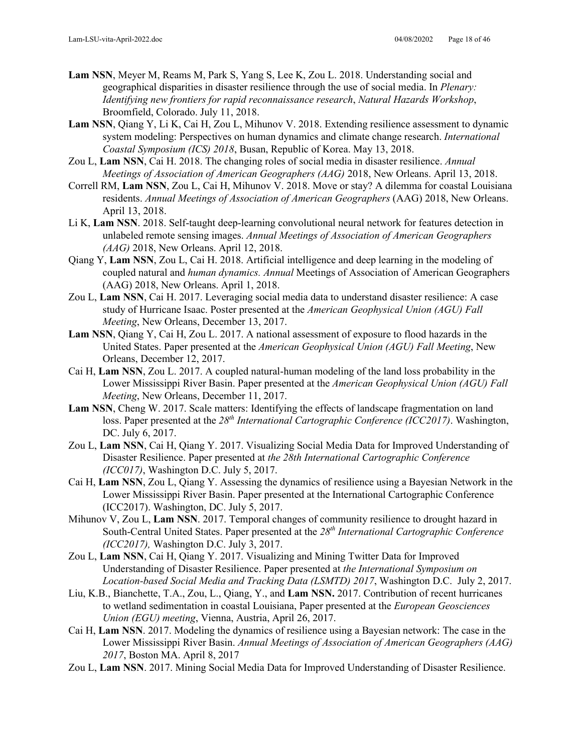- **Lam NSN**, Meyer M, Reams M, Park S, Yang S, Lee K, Zou L. 2018. Understanding social and geographical disparities in disaster resilience through the use of social media. In *Plenary: Identifying new frontiers for rapid reconnaissance research*, *Natural Hazards Workshop*, Broomfield, Colorado. July 11, 2018.
- **Lam NSN**, Qiang Y, Li K, Cai H, Zou L, Mihunov V. 2018. Extending resilience assessment to dynamic system modeling: Perspectives on human dynamics and climate change research. *International Coastal Symposium (ICS) 2018*, Busan, Republic of Korea. May 13, 2018.
- Zou L, **Lam NSN**, Cai H. 2018. The changing roles of social media in disaster resilience. *Annual Meetings of Association of American Geographers (AAG)* 2018, New Orleans. April 13, 2018.
- Correll RM, **Lam NSN**, Zou L, Cai H, Mihunov V. 2018. Move or stay? A dilemma for coastal Louisiana residents. *Annual Meetings of Association of American Geographers* (AAG) 2018, New Orleans. April 13, 2018.
- Li K, **Lam NSN**. 2018. Self-taught deep-learning convolutional neural network for features detection in unlabeled remote sensing images. *Annual Meetings of Association of American Geographers (AAG)* 2018, New Orleans. April 12, 2018.
- Qiang Y, **Lam NSN**, Zou L, Cai H. 2018. Artificial intelligence and deep learning in the modeling of coupled natural and *human dynamics. Annual* Meetings of Association of American Geographers (AAG) 2018, New Orleans. April 1, 2018.
- Zou L, **Lam NSN**, Cai H. 2017. Leveraging social media data to understand disaster resilience: A case study of Hurricane Isaac. Poster presented at the *American Geophysical Union (AGU) Fall Meeting*, New Orleans, December 13, 2017.
- **Lam NSN**, Qiang Y, Cai H, Zou L. 2017. A national assessment of exposure to flood hazards in the United States. Paper presented at the *American Geophysical Union (AGU) Fall Meeting*, New Orleans, December 12, 2017.
- Cai H, **Lam NSN**, Zou L. 2017. A coupled natural-human modeling of the land loss probability in the Lower Mississippi River Basin. Paper presented at the *American Geophysical Union (AGU) Fall Meeting*, New Orleans, December 11, 2017.
- Lam NSN, Cheng W. 2017. Scale matters: Identifying the effects of landscape fragmentation on land loss. Paper presented at the 28<sup>th</sup> *International Cartographic Conference (ICC2017)*. Washington, DC. July 6, 2017.
- Zou L, **Lam NSN**, Cai H, Qiang Y. 2017. Visualizing Social Media Data for Improved Understanding of Disaster Resilience. Paper presented at *the 28th International Cartographic Conference (ICC017)*, Washington D.C. July 5, 2017.
- Cai H, **Lam NSN**, Zou L, Qiang Y. Assessing the dynamics of resilience using a Bayesian Network in the Lower Mississippi River Basin. Paper presented at the International Cartographic Conference (ICC2017). Washington, DC. July 5, 2017.
- Mihunov V, Zou L, **Lam NSN**. 2017. Temporal changes of community resilience to drought hazard in South-Central United States. Paper presented at the *28th International Cartographic Conference (ICC2017),* Washington D.C. July 3, 2017.
- Zou L, **Lam NSN**, Cai H, Qiang Y. 2017. Visualizing and Mining Twitter Data for Improved Understanding of Disaster Resilience. Paper presented at *the International Symposium on Location-based Social Media and Tracking Data (LSMTD) 2017*, Washington D.C. July 2, 2017.
- Liu, K.B., Bianchette, T.A., Zou, L., Qiang, Y., and **Lam NSN.** 2017. Contribution of recent hurricanes to wetland sedimentation in coastal Louisiana, Paper presented at the *European Geosciences Union (EGU) meeting*, Vienna, Austria, April 26, 2017.
- Cai H, **Lam NSN**. 2017. Modeling the dynamics of resilience using a Bayesian network: The case in the Lower Mississippi River Basin. *Annual Meetings of Association of American Geographers (AAG) 2017*, Boston MA. April 8, 2017
- Zou L, **Lam NSN**. 2017. Mining Social Media Data for Improved Understanding of Disaster Resilience.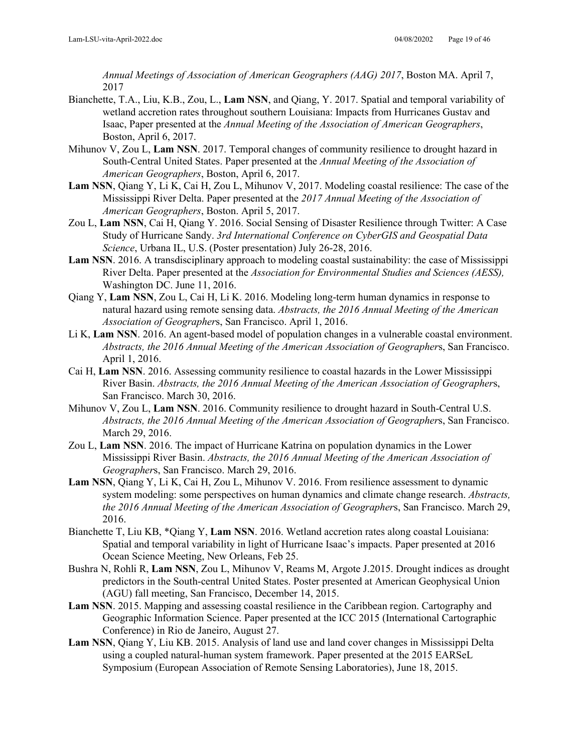*Annual Meetings of Association of American Geographers (AAG) 2017*, Boston MA. April 7, 2017

- Bianchette, T.A., Liu, K.B., Zou, L., **Lam NSN**, and Qiang, Y. 2017. Spatial and temporal variability of wetland accretion rates throughout southern Louisiana: Impacts from Hurricanes Gustav and Isaac, Paper presented at the *Annual Meeting of the Association of American Geographers*, Boston, April 6, 2017.
- Mihunov V, Zou L, **Lam NSN**. 2017. Temporal changes of community resilience to drought hazard in South-Central United States. Paper presented at the *Annual Meeting of the Association of American Geographers*, Boston, April 6, 2017.
- **Lam NSN**, Qiang Y, Li K, Cai H, Zou L, Mihunov V, 2017. Modeling coastal resilience: The case of the Mississippi River Delta. Paper presented at the *2017 Annual Meeting of the Association of American Geographers*, Boston. April 5, 2017.
- Zou L, **Lam NSN**, Cai H, Qiang Y. 2016. Social Sensing of Disaster Resilience through Twitter: A Case Study of Hurricane Sandy. *3rd International Conference on CyberGIS and Geospatial Data Science*, Urbana IL, U.S. (Poster presentation) July 26-28, 2016.
- **Lam NSN**. 2016. A transdisciplinary approach to modeling coastal sustainability: the case of Mississippi River Delta. Paper presented at the *Association for Environmental Studies and Sciences (AESS),* Washington DC. June 11, 2016.
- Qiang Y, **Lam NSN**, Zou L, Cai H, Li K. 2016. Modeling long-term human dynamics in response to natural hazard using remote sensing data. *Abstracts, the 2016 Annual Meeting of the American Association of Geographer*s, San Francisco. April 1, 2016.
- Li K, **Lam NSN**. 2016. An agent-based model of population changes in a vulnerable coastal environment. *Abstracts, the 2016 Annual Meeting of the American Association of Geographer*s, San Francisco. April 1, 2016.
- Cai H, **Lam NSN**. 2016. Assessing community resilience to coastal hazards in the Lower Mississippi River Basin. *Abstracts, the 2016 Annual Meeting of the American Association of Geographer*s, San Francisco. March 30, 2016.
- Mihunov V, Zou L, **Lam NSN**. 2016. Community resilience to drought hazard in South-Central U.S. *Abstracts, the 2016 Annual Meeting of the American Association of Geographer*s, San Francisco. March 29, 2016.
- Zou L, **Lam NSN**. 2016. The impact of Hurricane Katrina on population dynamics in the Lower Mississippi River Basin. *Abstracts, the 2016 Annual Meeting of the American Association of Geographer*s, San Francisco. March 29, 2016.
- **Lam NSN**, Qiang Y, Li K, Cai H, Zou L, Mihunov V. 2016. From resilience assessment to dynamic system modeling: some perspectives on human dynamics and climate change research. *Abstracts, the 2016 Annual Meeting of the American Association of Geographer*s, San Francisco. March 29, 2016.
- Bianchette T, Liu KB, \*Qiang Y, **Lam NSN**. 2016. Wetland accretion rates along coastal Louisiana: Spatial and temporal variability in light of Hurricane Isaac's impacts. Paper presented at 2016 Ocean Science Meeting, New Orleans, Feb 25.
- Bushra N, Rohli R, **Lam NSN**, Zou L, Mihunov V, Reams M, Argote J.2015. Drought indices as drought predictors in the South-central United States. Poster presented at American Geophysical Union (AGU) fall meeting, San Francisco, December 14, 2015.
- **Lam NSN**. 2015. Mapping and assessing coastal resilience in the Caribbean region. Cartography and Geographic Information Science. Paper presented at the ICC 2015 (International Cartographic Conference) in Rio de Janeiro, August 27.
- **Lam NSN**, Qiang Y, Liu KB. 2015. Analysis of land use and land cover changes in Mississippi Delta using a coupled natural-human system framework. Paper presented at the 2015 EARSeL Symposium (European Association of Remote Sensing Laboratories), June 18, 2015.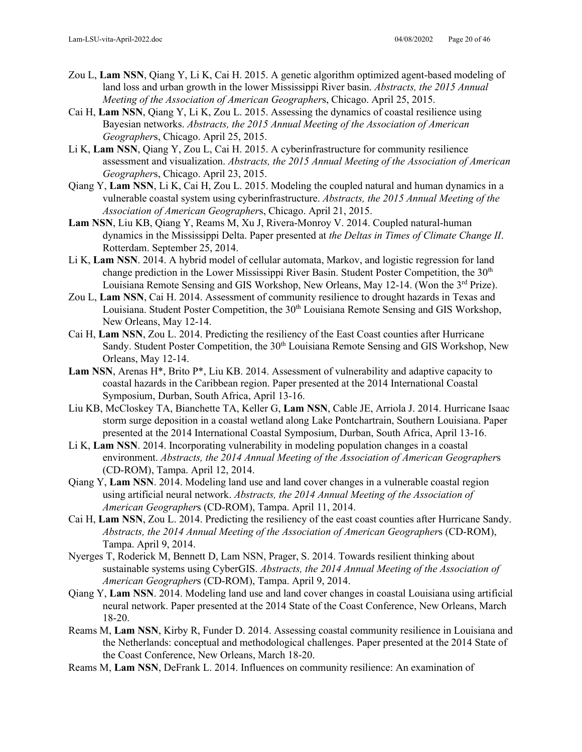- Zou L, **Lam NSN**, Qiang Y, Li K, Cai H. 2015. A genetic algorithm optimized agent-based modeling of land loss and urban growth in the lower Mississippi River basin. *Abstracts, the 2015 Annual Meeting of the Association of American Geographer*s, Chicago. April 25, 2015.
- Cai H, **Lam NSN**, Qiang Y, Li K, Zou L. 2015. Assessing the dynamics of coastal resilience using Bayesian networks. *Abstracts, the 2015 Annual Meeting of the Association of American Geographer*s, Chicago. April 25, 2015.
- Li K, **Lam NSN**, Qiang Y, Zou L, Cai H. 2015. A cyberinfrastructure for community resilience assessment and visualization. *Abstracts, the 2015 Annual Meeting of the Association of American Geographer*s, Chicago. April 23, 2015.
- Qiang Y, **Lam NSN**, Li K, Cai H, Zou L. 2015. Modeling the coupled natural and human dynamics in a vulnerable coastal system using cyberinfrastructure. *Abstracts, the 2015 Annual Meeting of the Association of American Geographer*s, Chicago. April 21, 2015.
- **Lam NSN**, Liu KB, Qiang Y, Reams M, Xu J, Rivera-Monroy V. 2014. Coupled natural-human dynamics in the Mississippi Delta. Paper presented at *the Deltas in Times of Climate Change II*. Rotterdam. September 25, 2014.
- Li K, **Lam NSN**. 2014. A hybrid model of cellular automata, Markov, and logistic regression for land change prediction in the Lower Mississippi River Basin. Student Poster Competition, the 30<sup>th</sup> Louisiana Remote Sensing and GIS Workshop, New Orleans, May 12-14. (Won the 3<sup>rd</sup> Prize).
- Zou L, **Lam NSN**, Cai H. 2014. Assessment of community resilience to drought hazards in Texas and Louisiana. Student Poster Competition, the  $30<sup>th</sup>$  Louisiana Remote Sensing and GIS Workshop, New Orleans, May 12-14.
- Cai H, **Lam NSN**, Zou L. 2014. Predicting the resiliency of the East Coast counties after Hurricane Sandy. Student Poster Competition, the 30<sup>th</sup> Louisiana Remote Sensing and GIS Workshop, New Orleans, May 12-14.
- Lam NSN, Arenas H<sup>\*</sup>, Brito P<sup>\*</sup>, Liu KB. 2014. Assessment of vulnerability and adaptive capacity to coastal hazards in the Caribbean region. Paper presented at the 2014 International Coastal Symposium, Durban, South Africa, April 13-16.
- Liu KB, McCloskey TA, Bianchette TA, Keller G, **Lam NSN**, Cable JE, Arriola J. 2014. Hurricane Isaac storm surge deposition in a coastal wetland along Lake Pontchartrain, Southern Louisiana. Paper presented at the 2014 International Coastal Symposium, Durban, South Africa, April 13-16.
- Li K, **Lam NSN**. 2014. Incorporating vulnerability in modeling population changes in a coastal environment. *Abstracts, the 2014 Annual Meeting of the Association of American Geographer*s (CD-ROM), Tampa. April 12, 2014.
- Qiang Y, **Lam NSN**. 2014. Modeling land use and land cover changes in a vulnerable coastal region using artificial neural network. *Abstracts, the 2014 Annual Meeting of the Association of American Geographer*s (CD-ROM), Tampa. April 11, 2014.
- Cai H, **Lam NSN**, Zou L. 2014. Predicting the resiliency of the east coast counties after Hurricane Sandy. *Abstracts, the 2014 Annual Meeting of the Association of American Geographer*s (CD-ROM), Tampa. April 9, 2014.
- Nyerges T, Roderick M, Bennett D, Lam NSN, Prager, S. 2014. Towards resilient thinking about sustainable systems using CyberGIS. *Abstracts, the 2014 Annual Meeting of the Association of American Geographer*s (CD-ROM), Tampa. April 9, 2014.
- Qiang Y, **Lam NSN**. 2014. Modeling land use and land cover changes in coastal Louisiana using artificial neural network. Paper presented at the 2014 State of the Coast Conference, New Orleans, March 18-20.
- Reams M, **Lam NSN**, Kirby R, Funder D. 2014. Assessing coastal community resilience in Louisiana and the Netherlands: conceptual and methodological challenges. Paper presented at the 2014 State of the Coast Conference, New Orleans, March 18-20.
- Reams M, **Lam NSN**, DeFrank L. 2014. Influences on community resilience: An examination of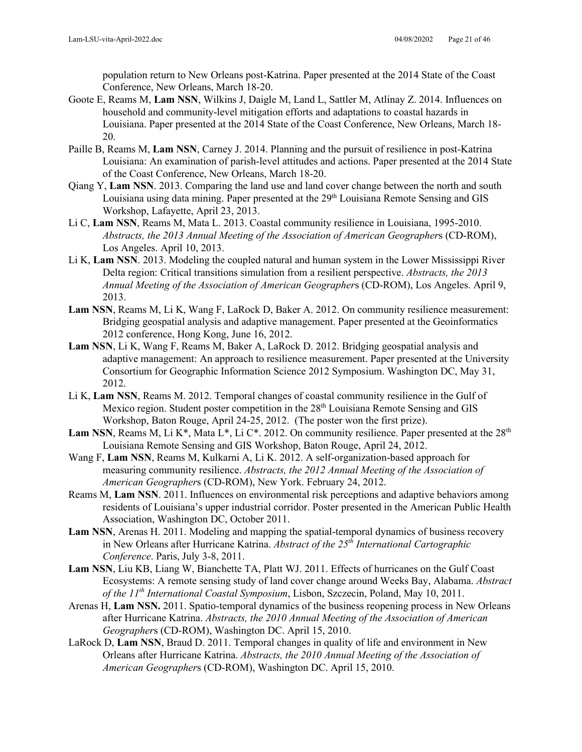population return to New Orleans post-Katrina. Paper presented at the 2014 State of the Coast Conference, New Orleans, March 18-20.

- Goote E, Reams M, **Lam NSN**, Wilkins J, Daigle M, Land L, Sattler M, Atlinay Z. 2014. Influences on household and community-level mitigation efforts and adaptations to coastal hazards in Louisiana. Paper presented at the 2014 State of the Coast Conference, New Orleans, March 18- 20.
- Paille B, Reams M, **Lam NSN**, Carney J. 2014. Planning and the pursuit of resilience in post-Katrina Louisiana: An examination of parish-level attitudes and actions. Paper presented at the 2014 State of the Coast Conference, New Orleans, March 18-20.
- Qiang Y, **Lam NSN**. 2013. Comparing the land use and land cover change between the north and south Louisiana using data mining. Paper presented at the 29<sup>th</sup> Louisiana Remote Sensing and GIS Workshop, Lafayette, April 23, 2013.
- Li C, **Lam NSN**, Reams M, Mata L. 2013. Coastal community resilience in Louisiana, 1995-2010. *Abstracts, the 2013 Annual Meeting of the Association of American Geographer*s (CD-ROM), Los Angeles. April 10, 2013.
- Li K, **Lam NSN**. 2013. Modeling the coupled natural and human system in the Lower Mississippi River Delta region: Critical transitions simulation from a resilient perspective. *Abstracts, the 2013 Annual Meeting of the Association of American Geographer*s (CD-ROM), Los Angeles. April 9, 2013.
- **Lam NSN**, Reams M, Li K, Wang F, LaRock D, Baker A. 2012. On community resilience measurement: Bridging geospatial analysis and adaptive management. Paper presented at the Geoinformatics 2012 conference, Hong Kong, June 16, 2012.
- **Lam NSN**, Li K, Wang F, Reams M, Baker A, LaRock D. 2012. Bridging geospatial analysis and adaptive management: An approach to resilience measurement. Paper presented at the University Consortium for Geographic Information Science 2012 Symposium. Washington DC, May 31, 2012.
- Li K, **Lam NSN**, Reams M. 2012. Temporal changes of coastal community resilience in the Gulf of Mexico region. Student poster competition in the 28<sup>th</sup> Louisiana Remote Sensing and GIS Workshop, Baton Rouge, April 24-25, 2012. (The poster won the first prize).
- **Lam NSN, Reams M, Li K\*, Mata L\*, Li C\*. 2012. On community resilience. Paper presented at the**  $28<sup>th</sup>$ Louisiana Remote Sensing and GIS Workshop, Baton Rouge, April 24, 2012.
- Wang F, **Lam NSN**, Reams M, Kulkarni A, Li K. 2012. A self-organization-based approach for measuring community resilience. *Abstracts, the 2012 Annual Meeting of the Association of American Geographer*s (CD-ROM), New York. February 24, 2012.
- Reams M, **Lam NSN**. 2011. Influences on environmental risk perceptions and adaptive behaviors among residents of Louisiana's upper industrial corridor. Poster presented in the American Public Health Association, Washington DC, October 2011.
- **Lam NSN**, Arenas H. 2011. Modeling and mapping the spatial-temporal dynamics of business recovery in New Orleans after Hurricane Katrina. *Abstract of the 25th International Cartographic Conference*. Paris, July 3-8, 2011.
- **Lam NSN**, Liu KB, Liang W, Bianchette TA, Platt WJ. 2011. Effects of hurricanes on the Gulf Coast Ecosystems: A remote sensing study of land cover change around Weeks Bay, Alabama. *Abstract of the 11th International Coastal Symposium*, Lisbon, Szczecin, Poland, May 10, 2011.
- Arenas H, **Lam NSN.** 2011. Spatio-temporal dynamics of the business reopening process in New Orleans after Hurricane Katrina. *Abstracts, the 2010 Annual Meeting of the Association of American Geographer*s (CD-ROM), Washington DC. April 15, 2010.
- LaRock D, **Lam NSN**, Braud D. 2011. Temporal changes in quality of life and environment in New Orleans after Hurricane Katrina. *Abstracts, the 2010 Annual Meeting of the Association of American Geographer*s (CD-ROM), Washington DC. April 15, 2010.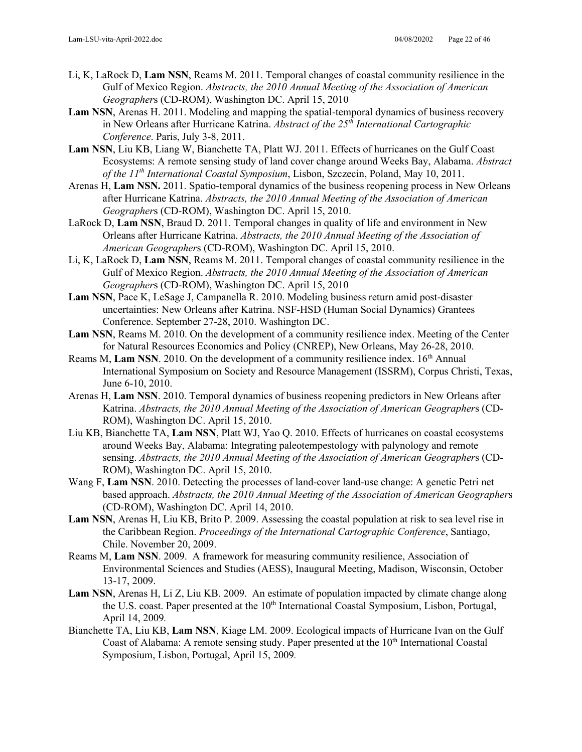- Li, K, LaRock D, **Lam NSN**, Reams M. 2011. Temporal changes of coastal community resilience in the Gulf of Mexico Region. *Abstracts, the 2010 Annual Meeting of the Association of American Geographer*s (CD-ROM), Washington DC. April 15, 2010
- **Lam NSN**, Arenas H. 2011. Modeling and mapping the spatial-temporal dynamics of business recovery in New Orleans after Hurricane Katrina. *Abstract of the 25th International Cartographic Conference*. Paris, July 3-8, 2011.
- **Lam NSN**, Liu KB, Liang W, Bianchette TA, Platt WJ. 2011. Effects of hurricanes on the Gulf Coast Ecosystems: A remote sensing study of land cover change around Weeks Bay, Alabama. *Abstract of the 11th International Coastal Symposium*, Lisbon, Szczecin, Poland, May 10, 2011.
- Arenas H, **Lam NSN.** 2011. Spatio-temporal dynamics of the business reopening process in New Orleans after Hurricane Katrina. *Abstracts, the 2010 Annual Meeting of the Association of American Geographer*s (CD-ROM), Washington DC. April 15, 2010.
- LaRock D, **Lam NSN**, Braud D. 2011. Temporal changes in quality of life and environment in New Orleans after Hurricane Katrina. *Abstracts, the 2010 Annual Meeting of the Association of American Geographer*s (CD-ROM), Washington DC. April 15, 2010.
- Li, K, LaRock D, **Lam NSN**, Reams M. 2011. Temporal changes of coastal community resilience in the Gulf of Mexico Region. *Abstracts, the 2010 Annual Meeting of the Association of American Geographer*s (CD-ROM), Washington DC. April 15, 2010
- **Lam NSN**, Pace K, LeSage J, Campanella R. 2010. Modeling business return amid post-disaster uncertainties: New Orleans after Katrina. NSF-HSD (Human Social Dynamics) Grantees Conference. September 27-28, 2010. Washington DC.
- **Lam NSN**, Reams M. 2010. On the development of a community resilience index. Meeting of the Center for Natural Resources Economics and Policy (CNREP), New Orleans, May 26-28, 2010.
- Reams M, Lam NSN. 2010. On the development of a community resilience index. 16<sup>th</sup> Annual International Symposium on Society and Resource Management (ISSRM), Corpus Christi, Texas, June 6-10, 2010.
- Arenas H, **Lam NSN**. 2010. Temporal dynamics of business reopening predictors in New Orleans after Katrina. *Abstracts, the 2010 Annual Meeting of the Association of American Geographer*s (CD-ROM), Washington DC. April 15, 2010.
- Liu KB, Bianchette TA, **Lam NSN**, Platt WJ, Yao Q. 2010. Effects of hurricanes on coastal ecosystems around Weeks Bay, Alabama: Integrating paleotempestology with palynology and remote sensing. *Abstracts, the 2010 Annual Meeting of the Association of American Geographer*s (CD-ROM), Washington DC. April 15, 2010.
- Wang F, **Lam NSN**. 2010. Detecting the processes of land-cover land-use change: A genetic Petri net based approach. *Abstracts, the 2010 Annual Meeting of the Association of American Geographer*s (CD-ROM), Washington DC. April 14, 2010.
- **Lam NSN**, Arenas H, Liu KB, Brito P. 2009. Assessing the coastal population at risk to sea level rise in the Caribbean Region. *Proceedings of the International Cartographic Conference*, Santiago, Chile. November 20, 2009.
- Reams M, **Lam NSN**. 2009. A framework for measuring community resilience, Association of Environmental Sciences and Studies (AESS), Inaugural Meeting, Madison, Wisconsin, October 13-17, 2009.
- **Lam NSN**, Arenas H, Li Z, Liu KB. 2009. An estimate of population impacted by climate change along the U.S. coast. Paper presented at the 10<sup>th</sup> International Coastal Symposium, Lisbon, Portugal, April 14, 2009*.*
- Bianchette TA, Liu KB, **Lam NSN**, Kiage LM. 2009. Ecological impacts of Hurricane Ivan on the Gulf Coast of Alabama: A remote sensing study. Paper presented at the  $10<sup>th</sup>$  International Coastal Symposium, Lisbon, Portugal, April 15, 2009*.*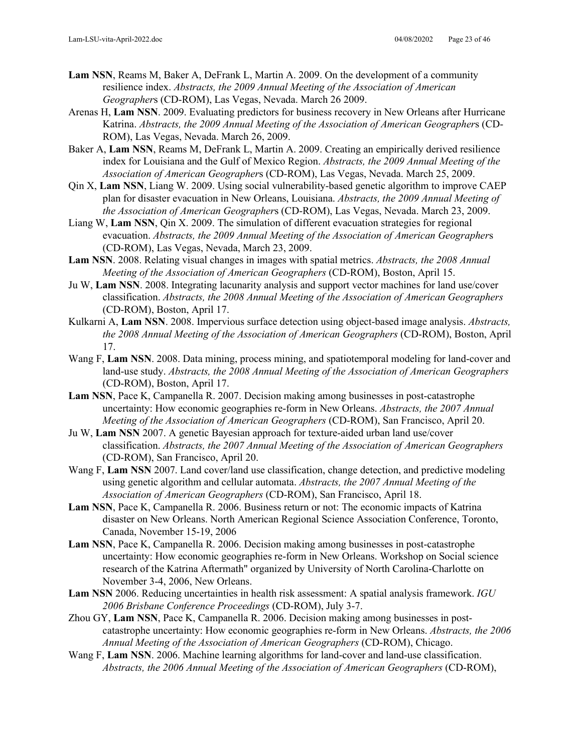- **Lam NSN**, Reams M, Baker A, DeFrank L, Martin A. 2009. On the development of a community resilience index. *Abstracts, the 2009 Annual Meeting of the Association of American Geographer*s (CD-ROM), Las Vegas, Nevada. March 26 2009.
- Arenas H, **Lam NSN**. 2009. Evaluating predictors for business recovery in New Orleans after Hurricane Katrina. *Abstracts, the 2009 Annual Meeting of the Association of American Geographer*s (CD-ROM), Las Vegas, Nevada. March 26, 2009.
- Baker A, **Lam NSN**, Reams M, DeFrank L, Martin A. 2009. Creating an empirically derived resilience index for Louisiana and the Gulf of Mexico Region. *Abstracts, the 2009 Annual Meeting of the Association of American Geographer*s (CD-ROM), Las Vegas, Nevada. March 25, 2009.
- Qin X, **Lam NSN**, Liang W. 2009. Using social vulnerability-based genetic algorithm to improve CAEP plan for disaster evacuation in New Orleans, Louisiana. *Abstracts, the 2009 Annual Meeting of the Association of American Geographer*s (CD-ROM), Las Vegas, Nevada. March 23, 2009.
- Liang W, **Lam NSN**, Qin X. 2009. The simulation of different evacuation strategies for regional evacuation. *Abstracts, the 2009 Annual Meeting of the Association of American Geographer*s (CD-ROM), Las Vegas, Nevada, March 23, 2009.
- **Lam NSN**. 2008. Relating visual changes in images with spatial metrics. *Abstracts, the 2008 Annual Meeting of the Association of American Geographers* (CD-ROM), Boston, April 15.
- Ju W, **Lam NSN**. 2008. Integrating lacunarity analysis and support vector machines for land use/cover classification. *Abstracts, the 2008 Annual Meeting of the Association of American Geographers*  (CD-ROM), Boston, April 17.
- Kulkarni A, **Lam NSN**. 2008. Impervious surface detection using object-based image analysis. *Abstracts, the 2008 Annual Meeting of the Association of American Geographers* (CD-ROM), Boston, April 17.
- Wang F, **Lam NSN**. 2008. Data mining, process mining, and spatiotemporal modeling for land-cover and land-use study. *Abstracts, the 2008 Annual Meeting of the Association of American Geographers*  (CD-ROM), Boston, April 17.
- **Lam NSN**, Pace K, Campanella R. 2007. Decision making among businesses in post-catastrophe uncertainty: How economic geographies re-form in New Orleans. *Abstracts, the 2007 Annual Meeting of the Association of American Geographers* (CD-ROM), San Francisco, April 20.
- Ju W, **Lam NSN** 2007. A genetic Bayesian approach for texture-aided urban land use/cover classification. *Abstracts, the 2007 Annual Meeting of the Association of American Geographers* (CD-ROM), San Francisco, April 20.
- Wang F, **Lam NSN** 2007. Land cover/land use classification, change detection, and predictive modeling using genetic algorithm and cellular automata. *Abstracts, the 2007 Annual Meeting of the Association of American Geographers* (CD-ROM), San Francisco, April 18.
- **Lam NSN**, Pace K, Campanella R. 2006. Business return or not: The economic impacts of Katrina disaster on New Orleans. North American Regional Science Association Conference, Toronto, Canada, November 15-19, 2006
- **Lam NSN**, Pace K, Campanella R. 2006. Decision making among businesses in post-catastrophe uncertainty: How economic geographies re-form in New Orleans. Workshop on Social science research of the Katrina Aftermath" organized by University of North Carolina-Charlotte on November 3-4, 2006, New Orleans.
- **Lam NSN** 2006. Reducing uncertainties in health risk assessment: A spatial analysis framework. *IGU 2006 Brisbane Conference Proceedings* (CD-ROM), July 3-7.
- Zhou GY, **Lam NSN**, Pace K, Campanella R. 2006. Decision making among businesses in postcatastrophe uncertainty: How economic geographies re-form in New Orleans. *Abstracts, the 2006 Annual Meeting of the Association of American Geographers* (CD-ROM), Chicago.
- Wang F, **Lam NSN**. 2006. Machine learning algorithms for land-cover and land-use classification. *Abstracts, the 2006 Annual Meeting of the Association of American Geographers* (CD-ROM),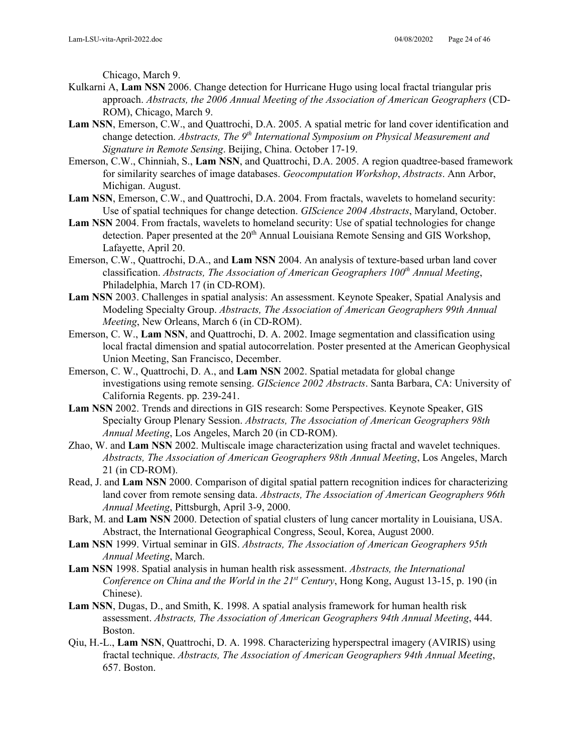Chicago, March 9.

- Kulkarni A, **Lam NSN** 2006. Change detection for Hurricane Hugo using local fractal triangular pris approach. *Abstracts, the 2006 Annual Meeting of the Association of American Geographers* (CD-ROM), Chicago, March 9.
- **Lam NSN**, Emerson, C.W., and Quattrochi, D.A. 2005. A spatial metric for land cover identification and change detection. *Abstracts, The 9th International Symposium on Physical Measurement and Signature in Remote Sensing*. Beijing, China. October 17-19.
- Emerson, C.W., Chinniah, S., **Lam NSN**, and Quattrochi, D.A. 2005. A region quadtree-based framework for similarity searches of image databases. *Geocomputation Workshop*, *Abstracts*. Ann Arbor, Michigan. August.
- **Lam NSN**, Emerson, C.W., and Quattrochi, D.A. 2004. From fractals, wavelets to homeland security: Use of spatial techniques for change detection. *GIScience 2004 Abstracts*, Maryland, October.
- **Lam NSN** 2004. From fractals, wavelets to homeland security: Use of spatial technologies for change detection. Paper presented at the 20<sup>th</sup> Annual Louisiana Remote Sensing and GIS Workshop, Lafayette, April 20.
- Emerson, C.W., Quattrochi, D.A., and **Lam NSN** 2004. An analysis of texture-based urban land cover classification. *Abstracts, The Association of American Geographers 100th Annual Meeting*, Philadelphia, March 17 (in CD-ROM).
- **Lam NSN** 2003. Challenges in spatial analysis: An assessment. Keynote Speaker, Spatial Analysis and Modeling Specialty Group. *Abstracts, The Association of American Geographers 99th Annual Meeting*, New Orleans, March 6 (in CD-ROM).
- Emerson, C. W., **Lam NSN**, and Quattrochi, D. A. 2002. Image segmentation and classification using local fractal dimension and spatial autocorrelation. Poster presented at the American Geophysical Union Meeting, San Francisco, December.
- Emerson, C. W., Quattrochi, D. A., and **Lam NSN** 2002. Spatial metadata for global change investigations using remote sensing. *GIScience 2002 Abstracts*. Santa Barbara, CA: University of California Regents. pp. 239-241.
- **Lam NSN** 2002. Trends and directions in GIS research: Some Perspectives. Keynote Speaker, GIS Specialty Group Plenary Session. *Abstracts, The Association of American Geographers 98th Annual Meeting*, Los Angeles, March 20 (in CD-ROM).
- Zhao, W. and **Lam NSN** 2002. Multiscale image characterization using fractal and wavelet techniques. *Abstracts, The Association of American Geographers 98th Annual Meeting*, Los Angeles, March 21 (in CD-ROM).
- Read, J. and **Lam NSN** 2000. Comparison of digital spatial pattern recognition indices for characterizing land cover from remote sensing data. *Abstracts, The Association of American Geographers 96th Annual Meeting*, Pittsburgh, April 3-9, 2000.
- Bark, M. and **Lam NSN** 2000. Detection of spatial clusters of lung cancer mortality in Louisiana, USA. Abstract, the International Geographical Congress, Seoul, Korea, August 2000.
- **Lam NSN** 1999. Virtual seminar in GIS. *Abstracts, The Association of American Geographers 95th Annual Meeting*, March.
- **Lam NSN** 1998. Spatial analysis in human health risk assessment. *Abstracts, the International Conference on China and the World in the 21<sup>st</sup> Century, Hong Kong, August 13-15, p. 190 (in* Chinese).
- **Lam NSN**, Dugas, D., and Smith, K. 1998. A spatial analysis framework for human health risk assessment. *Abstracts, The Association of American Geographers 94th Annual Meeting*, 444. Boston.
- Qiu, H.-L., **Lam NSN**, Quattrochi, D. A. 1998. Characterizing hyperspectral imagery (AVIRIS) using fractal technique. *Abstracts, The Association of American Geographers 94th Annual Meeting*, 657. Boston.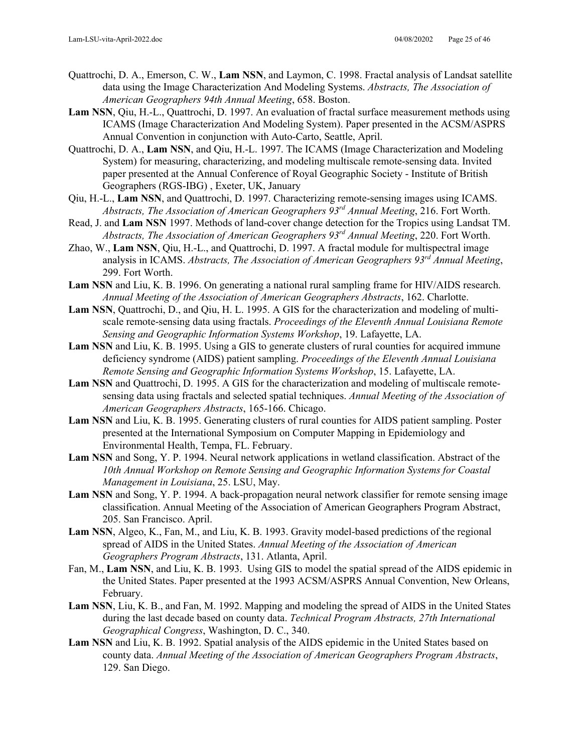- Quattrochi, D. A., Emerson, C. W., **Lam NSN**, and Laymon, C. 1998. Fractal analysis of Landsat satellite data using the Image Characterization And Modeling Systems. *Abstracts, The Association of American Geographers 94th Annual Meeting*, 658. Boston.
- **Lam NSN**, Qiu, H.-L., Quattrochi, D. 1997. An evaluation of fractal surface measurement methods using ICAMS (Image Characterization And Modeling System). Paper presented in the ACSM/ASPRS Annual Convention in conjunction with Auto-Carto, Seattle, April.
- Quattrochi, D. A., **Lam NSN**, and Qiu, H.-L. 1997. The ICAMS (Image Characterization and Modeling System) for measuring, characterizing, and modeling multiscale remote-sensing data. Invited paper presented at the Annual Conference of Royal Geographic Society - Institute of British Geographers (RGS-IBG) , Exeter, UK, January
- Qiu, H.-L., **Lam NSN**, and Quattrochi, D. 1997. Characterizing remote-sensing images using ICAMS. *Abstracts, The Association of American Geographers 93rd Annual Meeting*, 216. Fort Worth.
- Read, J. and **Lam NSN** 1997. Methods of land-cover change detection for the Tropics using Landsat TM. *Abstracts, The Association of American Geographers 93rd Annual Meeting*, 220. Fort Worth.
- Zhao, W., **Lam NSN**, Qiu, H.-L., and Quattrochi, D. 1997. A fractal module for multispectral image analysis in ICAMS. *Abstracts, The Association of American Geographers 93rd Annual Meeting*, 299. Fort Worth.
- **Lam NSN** and Liu, K. B. 1996. On generating a national rural sampling frame for HIV/AIDS research. *Annual Meeting of the Association of American Geographers Abstracts*, 162. Charlotte.
- **Lam NSN**, Quattrochi, D., and Qiu, H. L. 1995. A GIS for the characterization and modeling of multiscale remote-sensing data using fractals. *Proceedings of the Eleventh Annual Louisiana Remote Sensing and Geographic Information Systems Workshop*, 19. Lafayette, LA.
- **Lam NSN** and Liu, K. B. 1995. Using a GIS to generate clusters of rural counties for acquired immune deficiency syndrome (AIDS) patient sampling. *Proceedings of the Eleventh Annual Louisiana Remote Sensing and Geographic Information Systems Workshop*, 15. Lafayette, LA.
- **Lam NSN** and Quattrochi, D. 1995. A GIS for the characterization and modeling of multiscale remotesensing data using fractals and selected spatial techniques. *Annual Meeting of the Association of American Geographers Abstracts*, 165-166. Chicago.
- **Lam NSN** and Liu, K. B. 1995. Generating clusters of rural counties for AIDS patient sampling. Poster presented at the International Symposium on Computer Mapping in Epidemiology and Environmental Health, Tempa, FL. February.
- **Lam NSN** and Song, Y. P. 1994. Neural network applications in wetland classification. Abstract of the *10th Annual Workshop on Remote Sensing and Geographic Information Systems for Coastal Management in Louisiana*, 25. LSU, May.
- **Lam NSN** and Song, Y. P. 1994. A back-propagation neural network classifier for remote sensing image classification. Annual Meeting of the Association of American Geographers Program Abstract, 205. San Francisco. April.
- **Lam NSN**, Algeo, K., Fan, M., and Liu, K. B. 1993. Gravity model-based predictions of the regional spread of AIDS in the United States. *Annual Meeting of the Association of American Geographers Program Abstracts*, 131. Atlanta, April.
- Fan, M., **Lam NSN**, and Liu, K. B. 1993. Using GIS to model the spatial spread of the AIDS epidemic in the United States. Paper presented at the 1993 ACSM/ASPRS Annual Convention, New Orleans, February.
- **Lam NSN**, Liu, K. B., and Fan, M. 1992. Mapping and modeling the spread of AIDS in the United States during the last decade based on county data. *Technical Program Abstracts, 27th International Geographical Congress*, Washington, D. C., 340.
- **Lam NSN** and Liu, K. B. 1992. Spatial analysis of the AIDS epidemic in the United States based on county data. *Annual Meeting of the Association of American Geographers Program Abstracts*, 129. San Diego.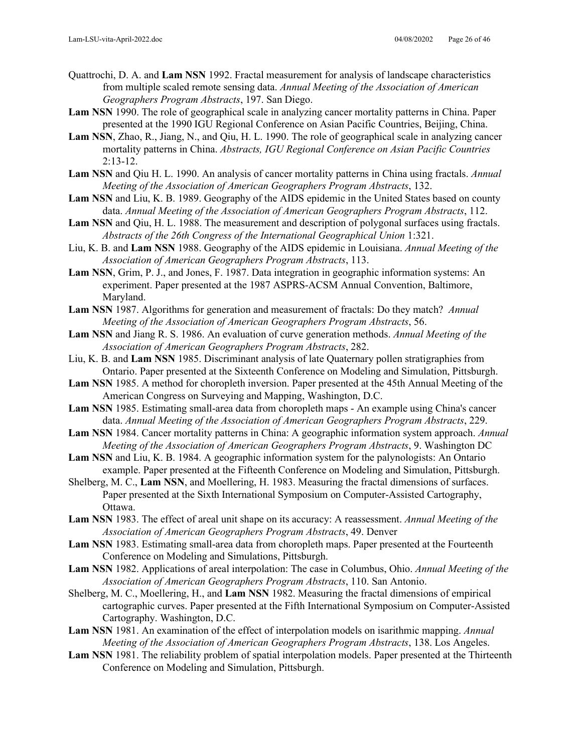- Quattrochi, D. A. and **Lam NSN** 1992. Fractal measurement for analysis of landscape characteristics from multiple scaled remote sensing data. *Annual Meeting of the Association of American Geographers Program Abstracts*, 197. San Diego.
- **Lam NSN** 1990. The role of geographical scale in analyzing cancer mortality patterns in China. Paper presented at the 1990 IGU Regional Conference on Asian Pacific Countries, Beijing, China.
- **Lam NSN**, Zhao, R., Jiang, N., and Qiu, H. L. 1990. The role of geographical scale in analyzing cancer mortality patterns in China. *Abstracts, IGU Regional Conference on Asian Pacific Countries*  $2:13-12.$
- **Lam NSN** and Qiu H. L. 1990. An analysis of cancer mortality patterns in China using fractals. *Annual Meeting of the Association of American Geographers Program Abstracts*, 132.
- **Lam NSN** and Liu, K. B. 1989. Geography of the AIDS epidemic in the United States based on county data. *Annual Meeting of the Association of American Geographers Program Abstracts*, 112.
- **Lam NSN** and Qiu, H. L. 1988. The measurement and description of polygonal surfaces using fractals. *Abstracts of the 26th Congress of the International Geographical Union* 1:321.
- Liu, K. B. and **Lam NSN** 1988. Geography of the AIDS epidemic in Louisiana. *Annual Meeting of the Association of American Geographers Program Abstracts*, 113.
- **Lam NSN**, Grim, P. J., and Jones, F. 1987. Data integration in geographic information systems: An experiment. Paper presented at the 1987 ASPRS-ACSM Annual Convention, Baltimore, Maryland.
- **Lam NSN** 1987. Algorithms for generation and measurement of fractals: Do they match? *Annual Meeting of the Association of American Geographers Program Abstracts*, 56.
- **Lam NSN** and Jiang R. S. 1986. An evaluation of curve generation methods. *Annual Meeting of the Association of American Geographers Program Abstracts*, 282.
- Liu, K. B. and **Lam NSN** 1985. Discriminant analysis of late Quaternary pollen stratigraphies from Ontario. Paper presented at the Sixteenth Conference on Modeling and Simulation, Pittsburgh.
- **Lam NSN** 1985. A method for choropleth inversion. Paper presented at the 45th Annual Meeting of the American Congress on Surveying and Mapping, Washington, D.C.
- **Lam NSN** 1985. Estimating small-area data from choropleth maps An example using China's cancer data. *Annual Meeting of the Association of American Geographers Program Abstracts*, 229.
- **Lam NSN** 1984. Cancer mortality patterns in China: A geographic information system approach. *Annual Meeting of the Association of American Geographers Program Abstracts*, 9. Washington DC
- **Lam NSN** and Liu, K. B. 1984. A geographic information system for the palynologists: An Ontario example. Paper presented at the Fifteenth Conference on Modeling and Simulation, Pittsburgh.
- Shelberg, M. C., **Lam NSN**, and Moellering, H. 1983. Measuring the fractal dimensions of surfaces. Paper presented at the Sixth International Symposium on Computer-Assisted Cartography, Ottawa.
- **Lam NSN** 1983. The effect of areal unit shape on its accuracy: A reassessment. *Annual Meeting of the Association of American Geographers Program Abstracts*, 49. Denver
- **Lam NSN** 1983. Estimating small-area data from choropleth maps. Paper presented at the Fourteenth Conference on Modeling and Simulations, Pittsburgh.
- **Lam NSN** 1982. Applications of areal interpolation: The case in Columbus, Ohio. *Annual Meeting of the Association of American Geographers Program Abstracts*, 110. San Antonio.
- Shelberg, M. C., Moellering, H., and **Lam NSN** 1982. Measuring the fractal dimensions of empirical cartographic curves. Paper presented at the Fifth International Symposium on Computer-Assisted Cartography. Washington, D.C.
- **Lam NSN** 1981. An examination of the effect of interpolation models on isarithmic mapping. *Annual Meeting of the Association of American Geographers Program Abstracts*, 138. Los Angeles.
- **Lam NSN** 1981. The reliability problem of spatial interpolation models. Paper presented at the Thirteenth Conference on Modeling and Simulation, Pittsburgh.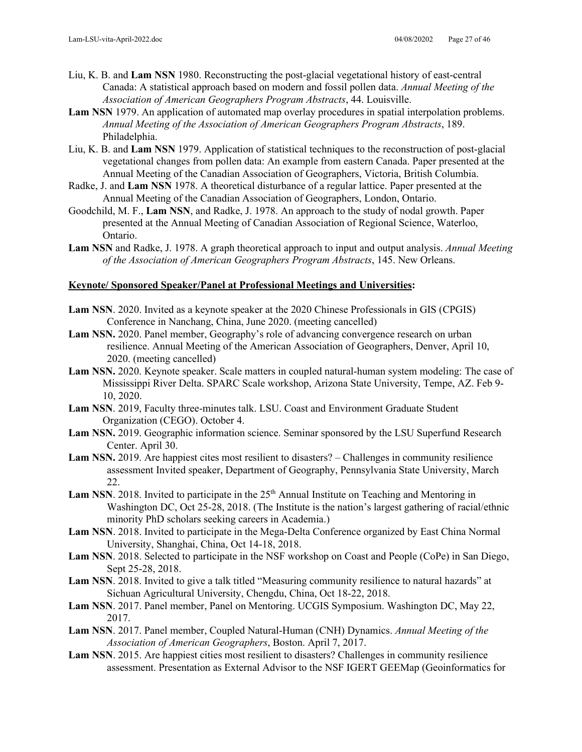- Liu, K. B. and **Lam NSN** 1980. Reconstructing the post-glacial vegetational history of east-central Canada: A statistical approach based on modern and fossil pollen data. *Annual Meeting of the Association of American Geographers Program Abstracts*, 44. Louisville.
- **Lam NSN** 1979. An application of automated map overlay procedures in spatial interpolation problems. *Annual Meeting of the Association of American Geographers Program Abstracts*, 189. Philadelphia.
- Liu, K. B. and **Lam NSN** 1979. Application of statistical techniques to the reconstruction of post-glacial vegetational changes from pollen data: An example from eastern Canada. Paper presented at the Annual Meeting of the Canadian Association of Geographers, Victoria, British Columbia.
- Radke, J. and **Lam NSN** 1978. A theoretical disturbance of a regular lattice. Paper presented at the Annual Meeting of the Canadian Association of Geographers, London, Ontario.
- Goodchild, M. F., **Lam NSN**, and Radke, J. 1978. An approach to the study of nodal growth. Paper presented at the Annual Meeting of Canadian Association of Regional Science, Waterloo, Ontario.
- **Lam NSN** and Radke, J. 1978. A graph theoretical approach to input and output analysis. *Annual Meeting of the Association of American Geographers Program Abstracts*, 145. New Orleans.

#### **Keynote/ Sponsored Speaker/Panel at Professional Meetings and Universities:**

- **Lam NSN**. 2020. Invited as a keynote speaker at the 2020 Chinese Professionals in GIS (CPGIS) Conference in Nanchang, China, June 2020. (meeting cancelled)
- **Lam NSN.** 2020. Panel member, Geography's role of advancing convergence research on urban resilience. Annual Meeting of the American Association of Geographers, Denver, April 10, 2020. (meeting cancelled)
- **Lam NSN.** 2020. Keynote speaker. Scale matters in coupled natural-human system modeling: The case of Mississippi River Delta. SPARC Scale workshop, Arizona State University, Tempe, AZ. Feb 9- 10, 2020.
- **Lam NSN**. 2019, Faculty three-minutes talk. LSU. Coast and Environment Graduate Student Organization (CEGO). October 4.
- **Lam NSN.** 2019. Geographic information science. Seminar sponsored by the LSU Superfund Research Center. April 30.
- Lam NSN. 2019. Are happiest cites most resilient to disasters? Challenges in community resilience assessment Invited speaker, Department of Geography, Pennsylvania State University, March 22.
- Lam NSN. 2018. Invited to participate in the 25<sup>th</sup> Annual Institute on Teaching and Mentoring in Washington DC, Oct 25-28, 2018. (The Institute is the nation's largest gathering of racial/ethnic minority PhD scholars seeking careers in Academia.)
- **Lam NSN**. 2018. Invited to participate in the Mega-Delta Conference organized by East China Normal University, Shanghai, China, Oct 14-18, 2018.
- **Lam NSN**. 2018. Selected to participate in the NSF workshop on Coast and People (CoPe) in San Diego, Sept 25-28, 2018.
- **Lam NSN**. 2018. Invited to give a talk titled "Measuring community resilience to natural hazards" at Sichuan Agricultural University, Chengdu, China, Oct 18-22, 2018.
- **Lam NSN**. 2017. Panel member, Panel on Mentoring. UCGIS Symposium. Washington DC, May 22, 2017.
- **Lam NSN**. 2017. Panel member, Coupled Natural-Human (CNH) Dynamics. *Annual Meeting of the Association of American Geographers*, Boston. April 7, 2017.
- **Lam NSN**. 2015. Are happiest cities most resilient to disasters? Challenges in community resilience assessment. Presentation as External Advisor to the NSF IGERT GEEMap (Geoinformatics for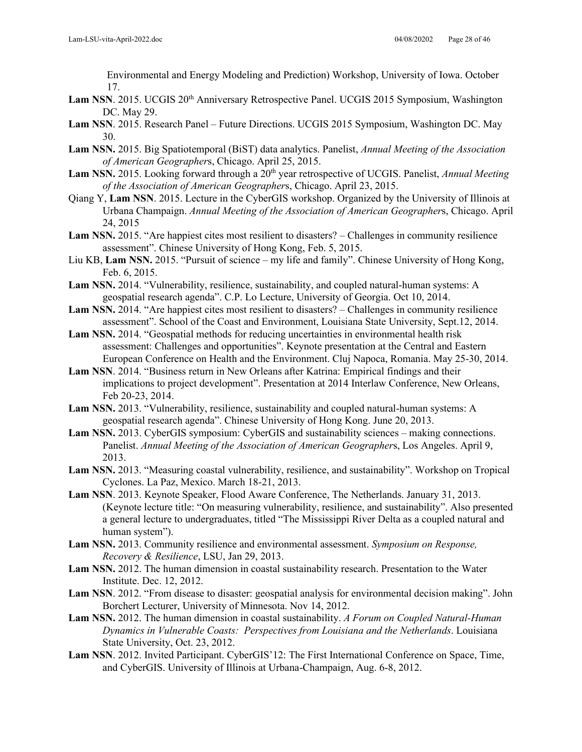Environmental and Energy Modeling and Prediction) Workshop, University of Iowa. October 17.

- Lam NSN. 2015. UCGIS 20<sup>th</sup> Anniversary Retrospective Panel. UCGIS 2015 Symposium, Washington DC. May 29.
- **Lam NSN**. 2015. Research Panel Future Directions. UCGIS 2015 Symposium, Washington DC. May 30.
- **Lam NSN.** 2015. Big Spatiotemporal (BiST) data analytics. Panelist, *Annual Meeting of the Association of American Geographer*s, Chicago. April 25, 2015.
- Lam NSN. 2015. Looking forward through a 20<sup>th</sup> year retrospective of UCGIS. Panelist, *Annual Meeting of the Association of American Geographer*s, Chicago. April 23, 2015.
- Qiang Y, **Lam NSN**. 2015. Lecture in the CyberGIS workshop. Organized by the University of Illinois at Urbana Champaign. *Annual Meeting of the Association of American Geographer*s, Chicago. April 24, 2015
- Lam NSN. 2015. "Are happiest cites most resilient to disasters? Challenges in community resilience assessment". Chinese University of Hong Kong, Feb. 5, 2015.
- Liu KB, **Lam NSN.** 2015. "Pursuit of science my life and family". Chinese University of Hong Kong, Feb. 6, 2015.
- **Lam NSN.** 2014. "Vulnerability, resilience, sustainability, and coupled natural-human systems: A geospatial research agenda". C.P. Lo Lecture, University of Georgia. Oct 10, 2014.
- **Lam NSN.** 2014. "Are happiest cites most resilient to disasters? Challenges in community resilience assessment". School of the Coast and Environment, Louisiana State University, Sept.12, 2014.
- **Lam NSN.** 2014. "Geospatial methods for reducing uncertainties in environmental health risk assessment: Challenges and opportunities". Keynote presentation at the Central and Eastern European Conference on Health and the Environment. Cluj Napoca, Romania. May 25-30, 2014.
- **Lam NSN**. 2014. "Business return in New Orleans after Katrina: Empirical findings and their implications to project development". Presentation at 2014 Interlaw Conference, New Orleans, Feb 20-23, 2014.
- **Lam NSN.** 2013. "Vulnerability, resilience, sustainability and coupled natural-human systems: A geospatial research agenda". Chinese University of Hong Kong. June 20, 2013.
- **Lam NSN.** 2013. CyberGIS symposium: CyberGIS and sustainability sciences making connections. Panelist. *Annual Meeting of the Association of American Geographer*s, Los Angeles. April 9, 2013.
- **Lam NSN.** 2013. "Measuring coastal vulnerability, resilience, and sustainability". Workshop on Tropical Cyclones. La Paz, Mexico. March 18-21, 2013.
- **Lam NSN**. 2013. Keynote Speaker, Flood Aware Conference, The Netherlands. January 31, 2013. (Keynote lecture title: "On measuring vulnerability, resilience, and sustainability". Also presented a general lecture to undergraduates, titled "The Mississippi River Delta as a coupled natural and human system").
- **Lam NSN.** 2013. Community resilience and environmental assessment. *Symposium on Response, Recovery & Resilience*, LSU, Jan 29, 2013.
- **Lam NSN.** 2012. The human dimension in coastal sustainability research. Presentation to the Water Institute. Dec. 12, 2012.
- **Lam NSN**. 2012. "From disease to disaster: geospatial analysis for environmental decision making". John Borchert Lecturer, University of Minnesota. Nov 14, 2012.
- **Lam NSN.** 2012. The human dimension in coastal sustainability. *A Forum on Coupled Natural-Human Dynamics in Vulnerable Coasts: Perspectives from Louisiana and the Netherlands*. Louisiana State University, Oct. 23, 2012.
- **Lam NSN**. 2012. Invited Participant. CyberGIS'12: The First International Conference on Space, Time, and CyberGIS. University of Illinois at Urbana-Champaign, Aug. 6-8, 2012.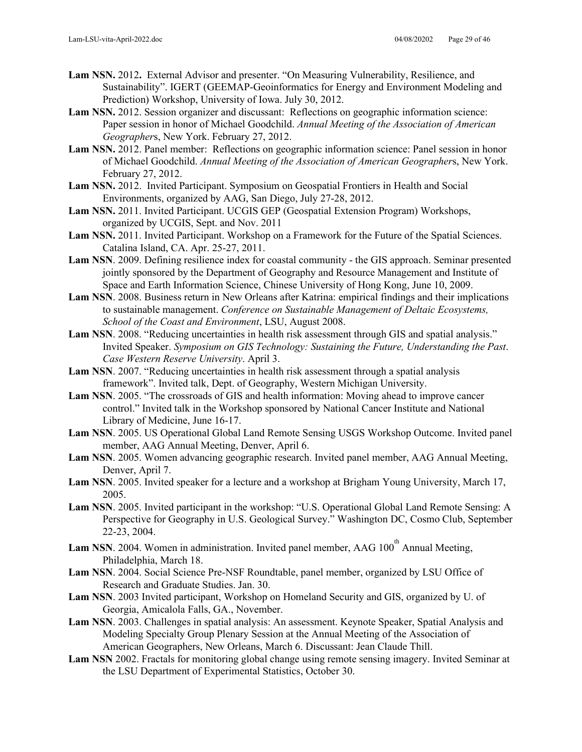- **Lam NSN.** 2012**.** External Advisor and presenter. "On Measuring Vulnerability, Resilience, and Sustainability". IGERT (GEEMAP-Geoinformatics for Energy and Environment Modeling and Prediction) Workshop, University of Iowa. July 30, 2012.
- **Lam NSN.** 2012. Session organizer and discussant: Reflections on geographic information science: Paper session in honor of Michael Goodchild. *Annual Meeting of the Association of American Geographer*s, New York. February 27, 2012.
- **Lam NSN.** 2012. Panel member: Reflections on geographic information science: Panel session in honor of Michael Goodchild. *Annual Meeting of the Association of American Geographer*s, New York. February 27, 2012.
- **Lam NSN.** 2012.Invited Participant. Symposium on Geospatial Frontiers in Health and Social Environments, organized by AAG, San Diego, July 27-28, 2012.
- **Lam NSN.** 2011. Invited Participant. UCGIS GEP (Geospatial Extension Program) Workshops, organized by UCGIS, Sept. and Nov. 2011
- **Lam NSN.** 2011. Invited Participant. Workshop on a Framework for the Future of the Spatial Sciences. Catalina Island, CA. Apr. 25-27, 2011.
- **Lam NSN**. 2009. Defining resilience index for coastal community the GIS approach. Seminar presented jointly sponsored by the Department of Geography and Resource Management and Institute of Space and Earth Information Science, Chinese University of Hong Kong, June 10, 2009.
- **Lam NSN**. 2008. Business return in New Orleans after Katrina: empirical findings and their implications to sustainable management. *Conference on Sustainable Management of Deltaic Ecosystems, School of the Coast and Environment*, LSU, August 2008.
- Lam NSN. 2008. "Reducing uncertainties in health risk assessment through GIS and spatial analysis." Invited Speaker. *Symposium on GIS Technology: Sustaining the Future, Understanding the Past*. *Case Western Reserve University*. April 3.
- **Lam NSN**. 2007. "Reducing uncertainties in health risk assessment through a spatial analysis framework". Invited talk, Dept. of Geography, Western Michigan University.
- **Lam NSN**. 2005. "The crossroads of GIS and health information: Moving ahead to improve cancer control." Invited talk in the Workshop sponsored by National Cancer Institute and National Library of Medicine, June 16-17.
- **Lam NSN**. 2005. US Operational Global Land Remote Sensing USGS Workshop Outcome. Invited panel member, AAG Annual Meeting, Denver, April 6.
- **Lam NSN**. 2005. Women advancing geographic research. Invited panel member, AAG Annual Meeting, Denver, April 7.
- **Lam NSN**. 2005. Invited speaker for a lecture and a workshop at Brigham Young University, March 17, 2005.
- **Lam NSN**. 2005. Invited participant in the workshop: "U.S. Operational Global Land Remote Sensing: A Perspective for Geography in U.S. Geological Survey." Washington DC, Cosmo Club, September 22-23, 2004.
- Lam NSN. 2004. Women in administration. Invited panel member, AAG 100<sup>th</sup> Annual Meeting, Philadelphia, March 18.
- **Lam NSN**. 2004. Social Science Pre-NSF Roundtable, panel member, organized by LSU Office of Research and Graduate Studies. Jan. 30.
- **Lam NSN**. 2003 Invited participant, Workshop on Homeland Security and GIS, organized by U. of Georgia, Amicalola Falls, GA., November.
- **Lam NSN**. 2003. Challenges in spatial analysis: An assessment. Keynote Speaker, Spatial Analysis and Modeling Specialty Group Plenary Session at the Annual Meeting of the Association of American Geographers, New Orleans, March 6. Discussant: Jean Claude Thill.
- **Lam NSN** 2002. Fractals for monitoring global change using remote sensing imagery. Invited Seminar at the LSU Department of Experimental Statistics, October 30.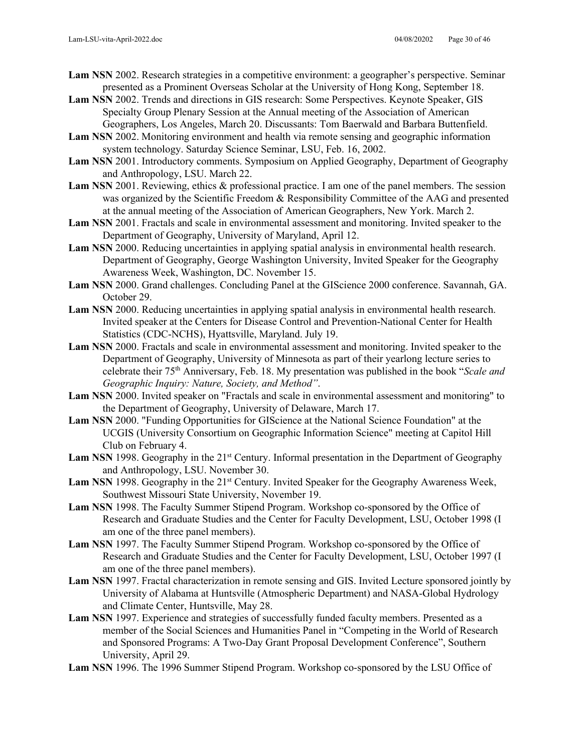- **Lam NSN** 2002. Research strategies in a competitive environment: a geographer's perspective. Seminar presented as a Prominent Overseas Scholar at the University of Hong Kong, September 18.
- **Lam NSN** 2002. Trends and directions in GIS research: Some Perspectives. Keynote Speaker, GIS Specialty Group Plenary Session at the Annual meeting of the Association of American Geographers, Los Angeles, March 20. Discussants: Tom Baerwald and Barbara Buttenfield.
- **Lam NSN** 2002. Monitoring environment and health via remote sensing and geographic information system technology. Saturday Science Seminar, LSU, Feb. 16, 2002.
- **Lam NSN** 2001. Introductory comments. Symposium on Applied Geography, Department of Geography and Anthropology, LSU. March 22.
- **Lam NSN** 2001. Reviewing, ethics & professional practice. I am one of the panel members. The session was organized by the Scientific Freedom & Responsibility Committee of the AAG and presented at the annual meeting of the Association of American Geographers, New York. March 2.
- **Lam NSN** 2001. Fractals and scale in environmental assessment and monitoring. Invited speaker to the Department of Geography, University of Maryland, April 12.
- **Lam NSN** 2000. Reducing uncertainties in applying spatial analysis in environmental health research. Department of Geography, George Washington University, Invited Speaker for the Geography Awareness Week, Washington, DC. November 15.
- **Lam NSN** 2000. Grand challenges. Concluding Panel at the GIScience 2000 conference. Savannah, GA. October 29.
- **Lam NSN** 2000. Reducing uncertainties in applying spatial analysis in environmental health research. Invited speaker at the Centers for Disease Control and Prevention-National Center for Health Statistics (CDC-NCHS), Hyattsville, Maryland. July 19.
- **Lam NSN** 2000. Fractals and scale in environmental assessment and monitoring. Invited speaker to the Department of Geography, University of Minnesota as part of their yearlong lecture series to celebrate their 75th Anniversary, Feb. 18. My presentation was published in the book "*Scale and Geographic Inquiry: Nature, Society, and Method"*.
- **Lam NSN** 2000. Invited speaker on "Fractals and scale in environmental assessment and monitoring" to the Department of Geography, University of Delaware, March 17.
- **Lam NSN** 2000. "Funding Opportunities for GIScience at the National Science Foundation" at the UCGIS (University Consortium on Geographic Information Science" meeting at Capitol Hill Club on February 4.
- Lam NSN 1998. Geography in the 21<sup>st</sup> Century. Informal presentation in the Department of Geography and Anthropology, LSU. November 30.
- Lam NSN 1998. Geography in the 21<sup>st</sup> Century. Invited Speaker for the Geography Awareness Week, Southwest Missouri State University, November 19.
- **Lam NSN** 1998. The Faculty Summer Stipend Program. Workshop co-sponsored by the Office of Research and Graduate Studies and the Center for Faculty Development, LSU, October 1998 (I am one of the three panel members).
- **Lam NSN** 1997. The Faculty Summer Stipend Program. Workshop co-sponsored by the Office of Research and Graduate Studies and the Center for Faculty Development, LSU, October 1997 (I am one of the three panel members).
- **Lam NSN** 1997. Fractal characterization in remote sensing and GIS. Invited Lecture sponsored jointly by University of Alabama at Huntsville (Atmospheric Department) and NASA-Global Hydrology and Climate Center, Huntsville, May 28.
- **Lam NSN** 1997. Experience and strategies of successfully funded faculty members. Presented as a member of the Social Sciences and Humanities Panel in "Competing in the World of Research and Sponsored Programs: A Two-Day Grant Proposal Development Conference", Southern University, April 29.
- **Lam NSN** 1996. The 1996 Summer Stipend Program. Workshop co-sponsored by the LSU Office of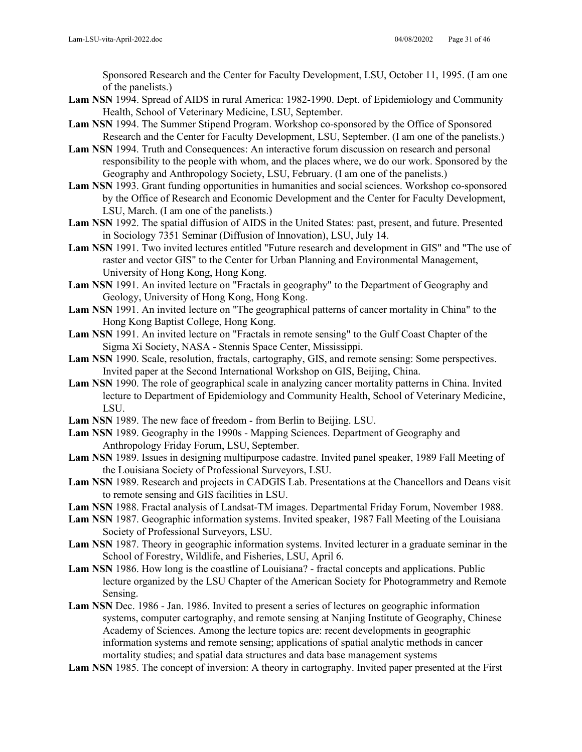Sponsored Research and the Center for Faculty Development, LSU, October 11, 1995. (I am one of the panelists.)

- **Lam NSN** 1994. Spread of AIDS in rural America: 1982-1990. Dept. of Epidemiology and Community Health, School of Veterinary Medicine, LSU, September.
- **Lam NSN** 1994. The Summer Stipend Program. Workshop co-sponsored by the Office of Sponsored Research and the Center for Faculty Development, LSU, September. (I am one of the panelists.)
- **Lam NSN** 1994. Truth and Consequences: An interactive forum discussion on research and personal responsibility to the people with whom, and the places where, we do our work. Sponsored by the Geography and Anthropology Society, LSU, February. (I am one of the panelists.)
- **Lam NSN** 1993. Grant funding opportunities in humanities and social sciences. Workshop co-sponsored by the Office of Research and Economic Development and the Center for Faculty Development, LSU, March. (I am one of the panelists.)
- **Lam NSN** 1992. The spatial diffusion of AIDS in the United States: past, present, and future. Presented in Sociology 7351 Seminar (Diffusion of Innovation), LSU, July 14.
- **Lam NSN** 1991. Two invited lectures entitled "Future research and development in GIS" and "The use of raster and vector GIS" to the Center for Urban Planning and Environmental Management, University of Hong Kong, Hong Kong.
- **Lam NSN** 1991. An invited lecture on "Fractals in geography" to the Department of Geography and Geology, University of Hong Kong, Hong Kong.
- **Lam NSN** 1991. An invited lecture on "The geographical patterns of cancer mortality in China" to the Hong Kong Baptist College, Hong Kong.
- **Lam NSN** 1991. An invited lecture on "Fractals in remote sensing" to the Gulf Coast Chapter of the Sigma Xi Society, NASA - Stennis Space Center, Mississippi.
- **Lam NSN** 1990. Scale, resolution, fractals, cartography, GIS, and remote sensing: Some perspectives. Invited paper at the Second International Workshop on GIS, Beijing, China.
- **Lam NSN** 1990. The role of geographical scale in analyzing cancer mortality patterns in China. Invited lecture to Department of Epidemiology and Community Health, School of Veterinary Medicine, LSU.
- **Lam NSN** 1989. The new face of freedom from Berlin to Beijing. LSU.
- **Lam NSN** 1989. Geography in the 1990s Mapping Sciences. Department of Geography and Anthropology Friday Forum, LSU, September.
- **Lam NSN** 1989. Issues in designing multipurpose cadastre. Invited panel speaker, 1989 Fall Meeting of the Louisiana Society of Professional Surveyors, LSU.
- **Lam NSN** 1989. Research and projects in CADGIS Lab. Presentations at the Chancellors and Deans visit to remote sensing and GIS facilities in LSU.
- **Lam NSN** 1988. Fractal analysis of Landsat-TM images. Departmental Friday Forum, November 1988.
- **Lam NSN** 1987. Geographic information systems. Invited speaker, 1987 Fall Meeting of the Louisiana Society of Professional Surveyors, LSU.
- **Lam NSN** 1987. Theory in geographic information systems. Invited lecturer in a graduate seminar in the School of Forestry, Wildlife, and Fisheries, LSU, April 6.
- Lam NSN 1986. How long is the coastline of Louisiana? fractal concepts and applications. Public lecture organized by the LSU Chapter of the American Society for Photogrammetry and Remote Sensing.
- **Lam NSN** Dec. 1986 Jan. 1986. Invited to present a series of lectures on geographic information systems, computer cartography, and remote sensing at Nanjing Institute of Geography, Chinese Academy of Sciences. Among the lecture topics are: recent developments in geographic information systems and remote sensing; applications of spatial analytic methods in cancer mortality studies; and spatial data structures and data base management systems
- **Lam NSN** 1985. The concept of inversion: A theory in cartography. Invited paper presented at the First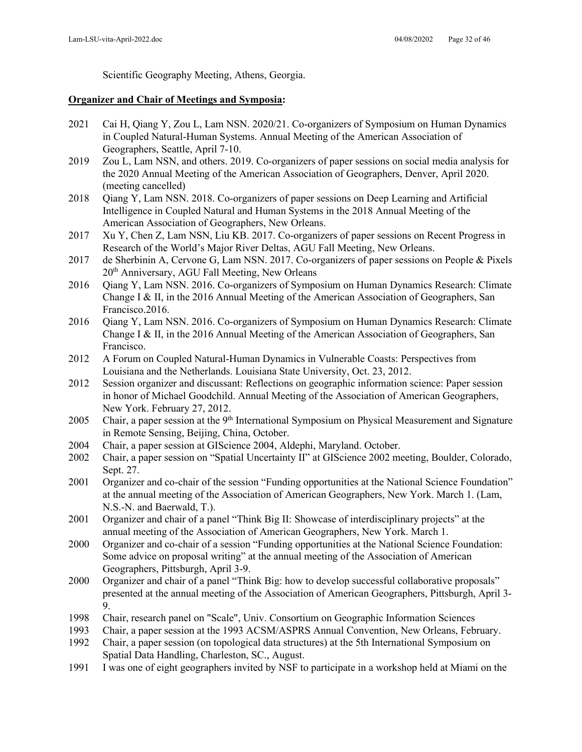Scientific Geography Meeting, Athens, Georgia.

#### **Organizer and Chair of Meetings and Symposia:**

- 2021 Cai H, Qiang Y, Zou L, Lam NSN. 2020/21. Co-organizers of Symposium on Human Dynamics in Coupled Natural-Human Systems. Annual Meeting of the American Association of Geographers, Seattle, April 7-10.
- 2019 Zou L, Lam NSN, and others. 2019. Co-organizers of paper sessions on social media analysis for the 2020 Annual Meeting of the American Association of Geographers, Denver, April 2020. (meeting cancelled)
- 2018 Qiang Y, Lam NSN. 2018. Co-organizers of paper sessions on Deep Learning and Artificial Intelligence in Coupled Natural and Human Systems in the 2018 Annual Meeting of the American Association of Geographers, New Orleans.
- 2017 Xu Y, Chen Z, Lam NSN, Liu KB. 2017. Co-organizers of paper sessions on Recent Progress in Research of the World's Major River Deltas, AGU Fall Meeting, New Orleans.
- 2017 de Sherbinin A, Cervone G, Lam NSN. 2017. Co-organizers of paper sessions on People & Pixels 20th Anniversary, AGU Fall Meeting, New Orleans
- 2016 Qiang Y, Lam NSN. 2016. Co-organizers of Symposium on Human Dynamics Research: Climate Change I & II, in the 2016 Annual Meeting of the American Association of Geographers, San Francisco.2016.
- 2016 Qiang Y, Lam NSN. 2016. Co-organizers of Symposium on Human Dynamics Research: Climate Change I & II, in the 2016 Annual Meeting of the American Association of Geographers, San Francisco.
- 2012 A Forum on Coupled Natural-Human Dynamics in Vulnerable Coasts: Perspectives from Louisiana and the Netherlands. Louisiana State University, Oct. 23, 2012.
- 2012 Session organizer and discussant: Reflections on geographic information science: Paper session in honor of Michael Goodchild. Annual Meeting of the Association of American Geographers, New York. February 27, 2012.
- 2005 Chair, a paper session at the 9<sup>th</sup> International Symposium on Physical Measurement and Signature in Remote Sensing, Beijing, China, October.
- 2004 Chair, a paper session at GIScience 2004, Aldephi, Maryland. October.
- 2002 Chair, a paper session on "Spatial Uncertainty II" at GIScience 2002 meeting, Boulder, Colorado, Sept. 27.
- 2001 Organizer and co-chair of the session "Funding opportunities at the National Science Foundation" at the annual meeting of the Association of American Geographers, New York. March 1. (Lam, N.S.-N. and Baerwald, T.).
- 2001 Organizer and chair of a panel "Think Big II: Showcase of interdisciplinary projects" at the annual meeting of the Association of American Geographers, New York. March 1.
- 2000 Organizer and co-chair of a session "Funding opportunities at the National Science Foundation: Some advice on proposal writing" at the annual meeting of the Association of American Geographers, Pittsburgh, April 3-9.
- 2000 Organizer and chair of a panel "Think Big: how to develop successful collaborative proposals" presented at the annual meeting of the Association of American Geographers, Pittsburgh, April 3- 9.
- 1998 Chair, research panel on "Scale", Univ. Consortium on Geographic Information Sciences
- 1993 Chair, a paper session at the 1993 ACSM/ASPRS Annual Convention, New Orleans, February.
- 1992 Chair, a paper session (on topological data structures) at the 5th International Symposium on Spatial Data Handling, Charleston, SC., August.
- 1991 I was one of eight geographers invited by NSF to participate in a workshop held at Miami on the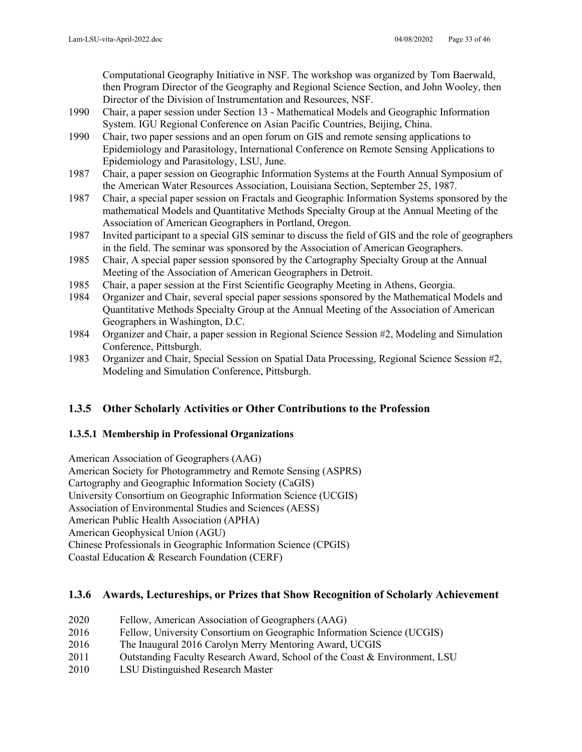Computational Geography Initiative in NSF. The workshop was organized by Tom Baerwald, then Program Director of the Geography and Regional Science Section, and John Wooley, then Director of the Division of Instrumentation and Resources, NSF.

- 1990 Chair, a paper session under Section 13 Mathematical Models and Geographic Information System. IGU Regional Conference on Asian Pacific Countries, Beijing, China.
- 1990 Chair, two paper sessions and an open forum on GIS and remote sensing applications to Epidemiology and Parasitology, International Conference on Remote Sensing Applications to Epidemiology and Parasitology, LSU, June.
- 1987 Chair, a paper session on Geographic Information Systems at the Fourth Annual Symposium of the American Water Resources Association, Louisiana Section, September 25, 1987.
- 1987 Chair, a special paper session on Fractals and Geographic Information Systems sponsored by the mathematical Models and Quantitative Methods Specialty Group at the Annual Meeting of the Association of American Geographers in Portland, Oregon.
- 1987 Invited participant to a special GIS seminar to discuss the field of GIS and the role of geographers in the field. The seminar was sponsored by the Association of American Geographers.
- 1985 Chair, A special paper session sponsored by the Cartography Specialty Group at the Annual Meeting of the Association of American Geographers in Detroit.
- 1985 Chair, a paper session at the First Scientific Geography Meeting in Athens, Georgia.
- 1984 Organizer and Chair, several special paper sessions sponsored by the Mathematical Models and Quantitative Methods Specialty Group at the Annual Meeting of the Association of American Geographers in Washington, D.C.
- 1984 Organizer and Chair, a paper session in Regional Science Session #2, Modeling and Simulation Conference, Pittsburgh.
- 1983 Organizer and Chair, Special Session on Spatial Data Processing, Regional Science Session #2, Modeling and Simulation Conference, Pittsburgh.

## **1.3.5 Other Scholarly Activities or Other Contributions to the Profession**

## **1.3.5.1 Membership in Professional Organizations**

American Association of Geographers (AAG) American Society for Photogrammetry and Remote Sensing (ASPRS) Cartography and Geographic Information Society (CaGIS) University Consortium on Geographic Information Science (UCGIS) Association of Environmental Studies and Sciences (AESS) American Public Health Association (APHA) American Geophysical Union (AGU) Chinese Professionals in Geographic Information Science (CPGIS) Coastal Education & Research Foundation (CERF)

## **1.3.6 Awards, Lectureships, or Prizes that Show Recognition of Scholarly Achievement**

- 2020 Fellow, American Association of Geographers (AAG)
- 2016 Fellow, University Consortium on Geographic Information Science (UCGIS)
- 2016 The Inaugural 2016 Carolyn Merry Mentoring Award, UCGIS
- 2011 Outstanding Faculty Research Award, School of the Coast & Environment, LSU
- 2010 LSU Distinguished Research Master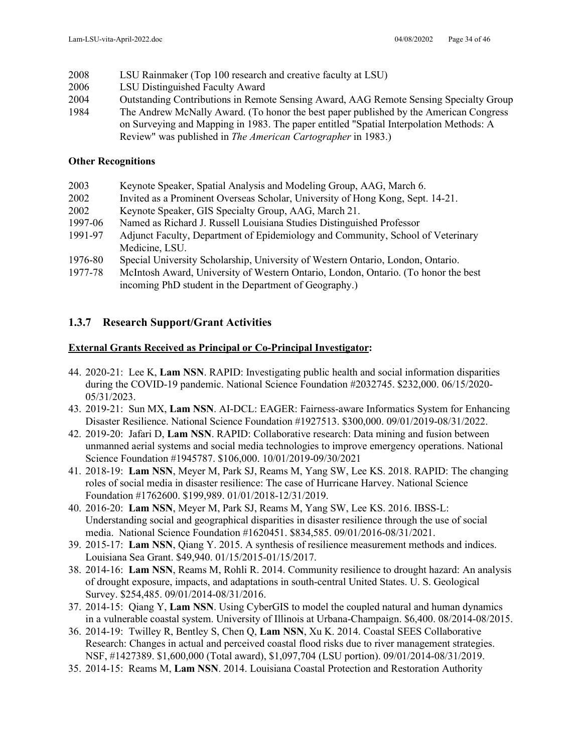- 2008 LSU Rainmaker (Top 100 research and creative faculty at LSU)
- 2006 LSU Distinguished Faculty Award
- 2004 Outstanding Contributions in Remote Sensing Award, AAG Remote Sensing Specialty Group
- 1984 The Andrew McNally Award. (To honor the best paper published by the American Congress on Surveying and Mapping in 1983. The paper entitled "Spatial Interpolation Methods: A Review" was published in *The American Cartographer* in 1983.)

### **Other Recognitions**

| 2003    | Keynote Speaker, Spatial Analysis and Modeling Group, AAG, March 6.                |
|---------|------------------------------------------------------------------------------------|
| 2002    | Invited as a Prominent Overseas Scholar, University of Hong Kong, Sept. 14-21.     |
| 2002    | Keynote Speaker, GIS Specialty Group, AAG, March 21.                               |
| 1997-06 | Named as Richard J. Russell Louisiana Studies Distinguished Professor              |
| 1991-97 | Adjunct Faculty, Department of Epidemiology and Community, School of Veterinary    |
|         | Medicine, LSU.                                                                     |
| 1976-80 | Special University Scholarship, University of Western Ontario, London, Ontario.    |
| 1977-78 | McIntosh Award, University of Western Ontario, London, Ontario. (To honor the best |
|         | incoming PhD student in the Department of Geography.)                              |

## **1.3.7 Research Support/Grant Activities**

## **External Grants Received as Principal or Co-Principal Investigator:**

- 44. 2020-21: Lee K, **Lam NSN**. RAPID: Investigating public health and social information disparities during the COVID-19 pandemic. National Science Foundation #2032745. \$232,000. 06/15/2020- 05/31/2023.
- 43. 2019-21: Sun MX, **Lam NSN**. AI-DCL: EAGER: Fairness-aware Informatics System for Enhancing Disaster Resilience. National Science Foundation #1927513. \$300,000. 09/01/2019-08/31/2022.
- 42. 2019-20: Jafari D, **Lam NSN**. RAPID: Collaborative research: Data mining and fusion between unmanned aerial systems and social media technologies to improve emergency operations. National Science Foundation #1945787. \$106,000. 10/01/2019-09/30/2021
- 41. 2018-19: **Lam NSN**, Meyer M, Park SJ, Reams M, Yang SW, Lee KS. 2018. RAPID: The changing roles of social media in disaster resilience: The case of Hurricane Harvey. National Science Foundation #1762600. \$199,989. 01/01/2018-12/31/2019.
- 40. 2016-20: **Lam NSN**, Meyer M, Park SJ, Reams M, Yang SW, Lee KS. 2016. IBSS-L: Understanding social and geographical disparities in disaster resilience through the use of social media. National Science Foundation #1620451. \$834,585. 09/01/2016-08/31/2021.
- 39. 2015-17: **Lam NSN**, Qiang Y. 2015. A synthesis of resilience measurement methods and indices. Louisiana Sea Grant. \$49,940. 01/15/2015-01/15/2017.
- 38. 2014-16: **Lam NSN**, Reams M, Rohli R. 2014. Community resilience to drought hazard: An analysis of drought exposure, impacts, and adaptations in south-central United States. U. S. Geological Survey. \$254,485. 09/01/2014-08/31/2016.
- 37. 2014-15: Qiang Y, **Lam NSN**. Using CyberGIS to model the coupled natural and human dynamics in a vulnerable coastal system. University of Illinois at Urbana-Champaign. \$6,400. 08/2014-08/2015.
- 36. 2014-19: Twilley R, Bentley S, Chen Q, **Lam NSN**, Xu K. 2014. Coastal SEES Collaborative Research: Changes in actual and perceived coastal flood risks due to river management strategies. NSF, #1427389. \$1,600,000 (Total award), \$1,097,704 (LSU portion). 09/01/2014-08/31/2019.
- 35. 2014-15: Reams M, **Lam NSN**. 2014. Louisiana Coastal Protection and Restoration Authority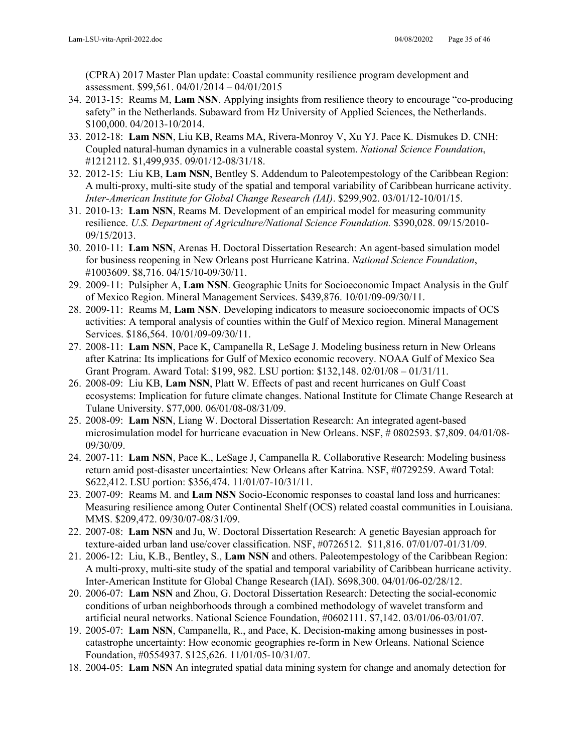(CPRA) 2017 Master Plan update: Coastal community resilience program development and assessment. \$99,561. 04/01/2014 – 04/01/2015

- 34. 2013-15: Reams M, **Lam NSN**. Applying insights from resilience theory to encourage "co-producing safety" in the Netherlands. Subaward from Hz University of Applied Sciences, the Netherlands. \$100,000. 04/2013-10/2014.
- 33. 2012-18: **Lam NSN**, Liu KB, Reams MA, Rivera-Monroy V, Xu YJ. Pace K. Dismukes D. CNH: Coupled natural-human dynamics in a vulnerable coastal system. *National Science Foundation*, #1212112. \$1,499,935. 09/01/12-08/31/18.
- 32. 2012-15: Liu KB, **Lam NSN**, Bentley S. Addendum to Paleotempestology of the Caribbean Region: A multi-proxy, multi-site study of the spatial and temporal variability of Caribbean hurricane activity. *Inter-American Institute for Global Change Research (IAI)*. \$299,902. 03/01/12-10/01/15.
- 31. 2010-13: **Lam NSN**, Reams M. Development of an empirical model for measuring community resilience. *U.S. Department of Agriculture/National Science Foundation.* \$390,028. 09/15/2010- 09/15/2013.
- 30. 2010-11: **Lam NSN**, Arenas H. Doctoral Dissertation Research: An agent-based simulation model for business reopening in New Orleans post Hurricane Katrina. *National Science Foundation*, #1003609. \$8,716. 04/15/10-09/30/11.
- 29. 2009-11: Pulsipher A, **Lam NSN**. Geographic Units for Socioeconomic Impact Analysis in the Gulf of Mexico Region. Mineral Management Services. \$439,876. 10/01/09-09/30/11.
- 28. 2009-11: Reams M, **Lam NSN**. Developing indicators to measure socioeconomic impacts of OCS activities: A temporal analysis of counties within the Gulf of Mexico region. Mineral Management Services. \$186,564. 10/01/09-09/30/11.
- 27. 2008-11: **Lam NSN**, Pace K, Campanella R, LeSage J. Modeling business return in New Orleans after Katrina: Its implications for Gulf of Mexico economic recovery. NOAA Gulf of Mexico Sea Grant Program. Award Total: \$199, 982. LSU portion: \$132,148. 02/01/08 – 01/31/11.
- 26. 2008-09: Liu KB, **Lam NSN**, Platt W. Effects of past and recent hurricanes on Gulf Coast ecosystems: Implication for future climate changes. National Institute for Climate Change Research at Tulane University. \$77,000. 06/01/08-08/31/09.
- 25. 2008-09: **Lam NSN**, Liang W. Doctoral Dissertation Research: An integrated agent-based microsimulation model for hurricane evacuation in New Orleans. NSF, # 0802593. \$7,809. 04/01/08- 09/30/09.
- 24. 2007-11: **Lam NSN**, Pace K., LeSage J, Campanella R. Collaborative Research: Modeling business return amid post-disaster uncertainties: New Orleans after Katrina. NSF, #0729259. Award Total: \$622,412. LSU portion: \$356,474. 11/01/07-10/31/11.
- 23. 2007-09: Reams M. and **Lam NSN** Socio-Economic responses to coastal land loss and hurricanes: Measuring resilience among Outer Continental Shelf (OCS) related coastal communities in Louisiana. MMS. \$209,472. 09/30/07-08/31/09.
- 22. 2007-08: **Lam NSN** and Ju, W. Doctoral Dissertation Research: A genetic Bayesian approach for texture-aided urban land use/cover classification. NSF, #0726512. \$11,816. 07/01/07-01/31/09.
- 21. 2006-12: Liu, K.B., Bentley, S., **Lam NSN** and others. Paleotempestology of the Caribbean Region: A multi-proxy, multi-site study of the spatial and temporal variability of Caribbean hurricane activity. Inter-American Institute for Global Change Research (IAI). \$698,300. 04/01/06-02/28/12.
- 20. 2006-07: **Lam NSN** and Zhou, G. Doctoral Dissertation Research: Detecting the social-economic conditions of urban neighborhoods through a combined methodology of wavelet transform and artificial neural networks. National Science Foundation, #0602111. \$7,142. 03/01/06-03/01/07.
- 19. 2005-07: **Lam NSN**, Campanella, R., and Pace, K. Decision-making among businesses in postcatastrophe uncertainty: How economic geographies re-form in New Orleans. National Science Foundation, #0554937. \$125,626. 11/01/05-10/31/07.
- 18. 2004-05: **Lam NSN** An integrated spatial data mining system for change and anomaly detection for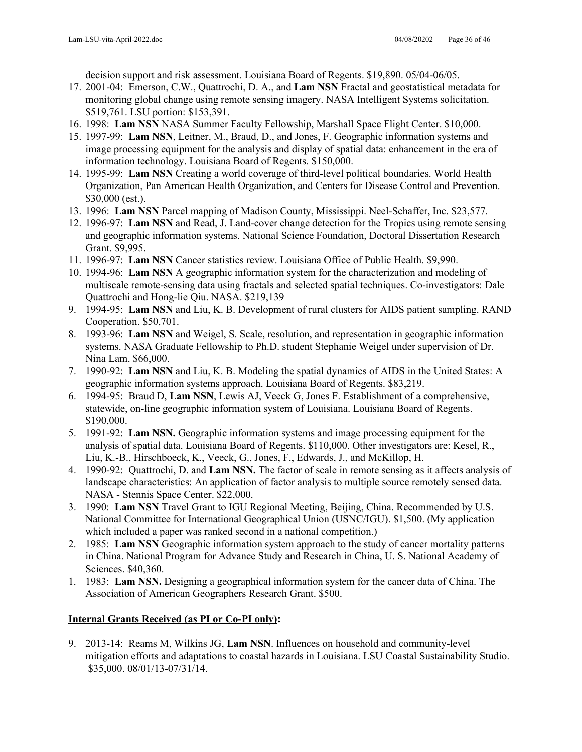decision support and risk assessment. Louisiana Board of Regents. \$19,890. 05/04-06/05.

- 17. 2001-04: Emerson, C.W., Quattrochi, D. A., and **Lam NSN** Fractal and geostatistical metadata for monitoring global change using remote sensing imagery. NASA Intelligent Systems solicitation. \$519,761. LSU portion: \$153,391.
- 16. 1998: **Lam NSN** NASA Summer Faculty Fellowship, Marshall Space Flight Center. \$10,000.
- 15. 1997-99: **Lam NSN**, Leitner, M., Braud, D., and Jones, F. Geographic information systems and image processing equipment for the analysis and display of spatial data: enhancement in the era of information technology. Louisiana Board of Regents. \$150,000.
- 14. 1995-99: **Lam NSN** Creating a world coverage of third-level political boundaries. World Health Organization, Pan American Health Organization, and Centers for Disease Control and Prevention. \$30,000 (est.).
- 13. 1996: **Lam NSN** Parcel mapping of Madison County, Mississippi. Neel-Schaffer, Inc. \$23,577.
- 12. 1996-97: **Lam NSN** and Read, J. Land-cover change detection for the Tropics using remote sensing and geographic information systems. National Science Foundation, Doctoral Dissertation Research Grant. \$9,995.
- 11. 1996-97: **Lam NSN** Cancer statistics review. Louisiana Office of Public Health. \$9,990.
- 10. 1994-96: **Lam NSN** A geographic information system for the characterization and modeling of multiscale remote-sensing data using fractals and selected spatial techniques. Co-investigators: Dale Quattrochi and Hong-lie Qiu. NASA. \$219,139
- 9. 1994-95: **Lam NSN** and Liu, K. B. Development of rural clusters for AIDS patient sampling. RAND Cooperation. \$50,701.
- 8. 1993-96: **Lam NSN** and Weigel, S. Scale, resolution, and representation in geographic information systems. NASA Graduate Fellowship to Ph.D. student Stephanie Weigel under supervision of Dr. Nina Lam. \$66,000.
- 7. 1990-92: **Lam NSN** and Liu, K. B. Modeling the spatial dynamics of AIDS in the United States: A geographic information systems approach. Louisiana Board of Regents. \$83,219.
- 6. 1994-95: Braud D, **Lam NSN**, Lewis AJ, Veeck G, Jones F. Establishment of a comprehensive, statewide, on-line geographic information system of Louisiana. Louisiana Board of Regents. \$190,000.
- 5. 1991-92: **Lam NSN.** Geographic information systems and image processing equipment for the analysis of spatial data. Louisiana Board of Regents. \$110,000. Other investigators are: Kesel, R., Liu, K.-B., Hirschboeck, K., Veeck, G., Jones, F., Edwards, J., and McKillop, H.
- 4. 1990-92: Quattrochi, D. and **Lam NSN.** The factor of scale in remote sensing as it affects analysis of landscape characteristics: An application of factor analysis to multiple source remotely sensed data. NASA - Stennis Space Center. \$22,000.
- 3. 1990: **Lam NSN** Travel Grant to IGU Regional Meeting, Beijing, China. Recommended by U.S. National Committee for International Geographical Union (USNC/IGU). \$1,500. (My application which included a paper was ranked second in a national competition.)
- 2. 1985: **Lam NSN** Geographic information system approach to the study of cancer mortality patterns in China. National Program for Advance Study and Research in China, U. S. National Academy of Sciences. \$40,360.
- 1. 1983: **Lam NSN.** Designing a geographical information system for the cancer data of China. The Association of American Geographers Research Grant. \$500.

### **Internal Grants Received (as PI or Co-PI only):**

9. 2013-14: Reams M, Wilkins JG, **Lam NSN**. Influences on household and community-level mitigation efforts and adaptations to coastal hazards in Louisiana. LSU Coastal Sustainability Studio. \$35,000. 08/01/13-07/31/14.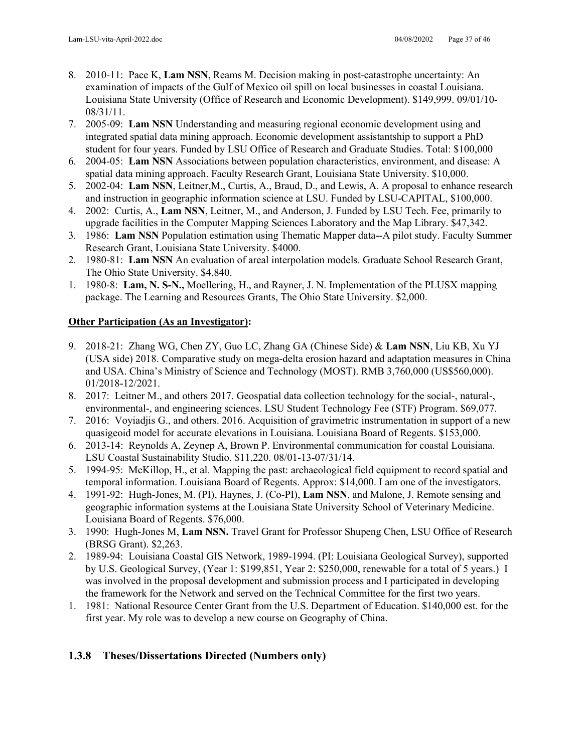- 8. 2010-11: Pace K, **Lam NSN**, Reams M. Decision making in post-catastrophe uncertainty: An examination of impacts of the Gulf of Mexico oil spill on local businesses in coastal Louisiana. Louisiana State University (Office of Research and Economic Development). \$149,999. 09/01/10- 08/31/11.
- 7. 2005-09: **Lam NSN** Understanding and measuring regional economic development using and integrated spatial data mining approach. Economic development assistantship to support a PhD student for four years. Funded by LSU Office of Research and Graduate Studies. Total: \$100,000
- 6. 2004-05: **Lam NSN** Associations between population characteristics, environment, and disease: A spatial data mining approach. Faculty Research Grant, Louisiana State University. \$10,000.
- 5. 2002-04: **Lam NSN**, Leitner,M., Curtis, A., Braud, D., and Lewis, A. A proposal to enhance research and instruction in geographic information science at LSU. Funded by LSU-CAPITAL, \$100,000.
- 4. 2002: Curtis, A., **Lam NSN**, Leitner, M., and Anderson, J. Funded by LSU Tech. Fee, primarily to upgrade facilities in the Computer Mapping Sciences Laboratory and the Map Library. \$47,342.
- 3. 1986: **Lam NSN** Population estimation using Thematic Mapper data--A pilot study. Faculty Summer Research Grant, Louisiana State University. \$4000.
- 2. 1980-81: **Lam NSN** An evaluation of areal interpolation models. Graduate School Research Grant, The Ohio State University. \$4,840.
- 1. 1980-8: **Lam, N. S-N.,** Moellering, H., and Rayner, J. N. Implementation of the PLUSX mapping package. The Learning and Resources Grants, The Ohio State University. \$2,000.

### **Other Participation (As an Investigator):**

- 9. 2018-21: Zhang WG, Chen ZY, Guo LC, Zhang GA (Chinese Side) & **Lam NSN**, Liu KB, Xu YJ (USA side) 2018. Comparative study on mega-delta erosion hazard and adaptation measures in China and USA. China's Ministry of Science and Technology (MOST). RMB 3,760,000 (US\$560,000). 01/2018-12/2021.
- 8. 2017: Leitner M., and others 2017. Geospatial data collection technology for the social-, natural-, environmental-, and engineering sciences. LSU Student Technology Fee (STF) Program. \$69,077.
- 7. 2016: Voyiadjis G., and others. 2016. Acquisition of gravimetric instrumentation in support of a new quasigeoid model for accurate elevations in Louisiana. Louisiana Board of Regents. \$153,000.
- 6. 2013-14: Reynolds A, Zeynep A, Brown P. Environmental communication for coastal Louisiana. LSU Coastal Sustainability Studio. \$11,220. 08/01-13-07/31/14.
- 5. 1994-95: McKillop, H., et al. Mapping the past: archaeological field equipment to record spatial and temporal information. Louisiana Board of Regents. Approx: \$14,000. I am one of the investigators.
- 4. 1991-92: Hugh-Jones, M. (PI), Haynes, J. (Co-PI), **Lam NSN**, and Malone, J. Remote sensing and geographic information systems at the Louisiana State University School of Veterinary Medicine. Louisiana Board of Regents. \$76,000.
- 3. 1990: Hugh-Jones M, **Lam NSN.** Travel Grant for Professor Shupeng Chen, LSU Office of Research (BRSG Grant). \$2,263.
- 2. 1989-94: Louisiana Coastal GIS Network, 1989-1994. (PI: Louisiana Geological Survey), supported by U.S. Geological Survey, (Year 1: \$199,851, Year 2: \$250,000, renewable for a total of 5 years.) I was involved in the proposal development and submission process and I participated in developing the framework for the Network and served on the Technical Committee for the first two years.
- 1. 1981: National Resource Center Grant from the U.S. Department of Education. \$140,000 est. for the first year. My role was to develop a new course on Geography of China.

## **1.3.8 Theses/Dissertations Directed (Numbers only)**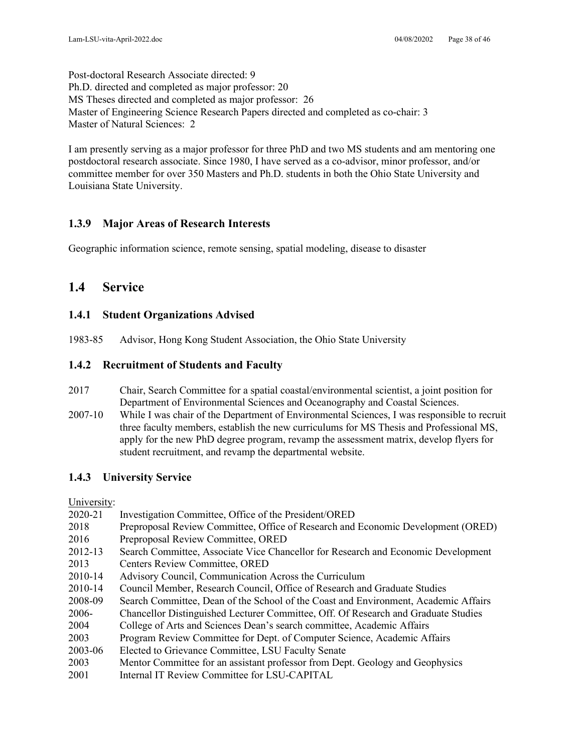Post-doctoral Research Associate directed: 9 Ph.D. directed and completed as major professor: 20 MS Theses directed and completed as major professor: 26 Master of Engineering Science Research Papers directed and completed as co-chair: 3 Master of Natural Sciences: 2

I am presently serving as a major professor for three PhD and two MS students and am mentoring one postdoctoral research associate. Since 1980, I have served as a co-advisor, minor professor, and/or committee member for over 350 Masters and Ph.D. students in both the Ohio State University and Louisiana State University.

## **1.3.9 Major Areas of Research Interests**

Geographic information science, remote sensing, spatial modeling, disease to disaster

## **1.4 Service**

## **1.4.1 Student Organizations Advised**

1983-85 Advisor, Hong Kong Student Association, the Ohio State University

## **1.4.2 Recruitment of Students and Faculty**

- 2017 Chair, Search Committee for a spatial coastal/environmental scientist, a joint position for Department of Environmental Sciences and Oceanography and Coastal Sciences.
- 2007-10 While I was chair of the Department of Environmental Sciences, I was responsible to recruit three faculty members, establish the new curriculums for MS Thesis and Professional MS, apply for the new PhD degree program, revamp the assessment matrix, develop flyers for student recruitment, and revamp the departmental website.

## **1.4.3 University Service**

University:

| 2020-21 | Investigation Committee, Office of the President/ORED                               |
|---------|-------------------------------------------------------------------------------------|
| 2018    | Preproposal Review Committee, Office of Research and Economic Development (ORED)    |
| 2016    | Preproposal Review Committee, ORED                                                  |
| 2012-13 | Search Committee, Associate Vice Chancellor for Research and Economic Development   |
| 2013    | <b>Centers Review Committee, ORED</b>                                               |
| 2010-14 | Advisory Council, Communication Across the Curriculum                               |
| 2010-14 | Council Member, Research Council, Office of Research and Graduate Studies           |
| 2008-09 | Search Committee, Dean of the School of the Coast and Environment, Academic Affairs |
| 2006-   | Chancellor Distinguished Lecturer Committee, Off. Of Research and Graduate Studies  |
| 2004    | College of Arts and Sciences Dean's search committee, Academic Affairs              |
| 2003    | Program Review Committee for Dept. of Computer Science, Academic Affairs            |
| 2003-06 | Elected to Grievance Committee, LSU Faculty Senate                                  |
| 2003    | Mentor Committee for an assistant professor from Dept. Geology and Geophysics       |
| 2001    | Internal IT Review Committee for LSU-CAPITAL                                        |
|         |                                                                                     |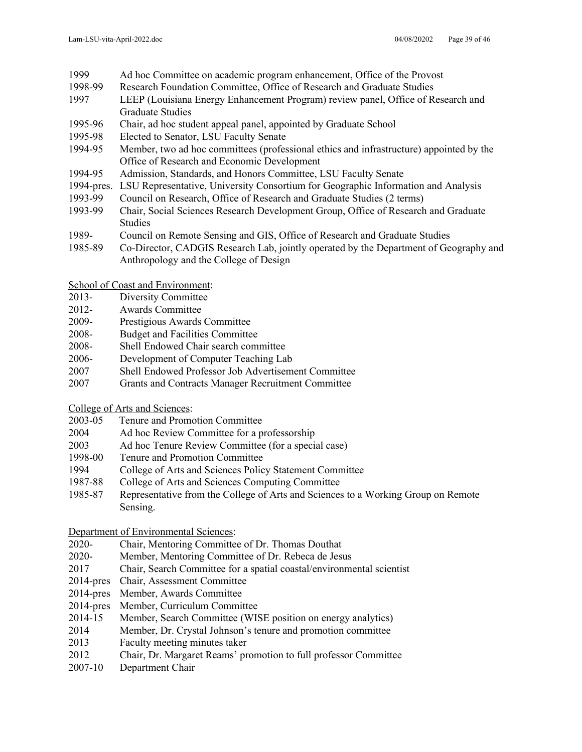- 1999 Ad hoc Committee on academic program enhancement, Office of the Provost<br>1998-99 Research Foundation Committee, Office of Research and Graduate Studies
- Research Foundation Committee, Office of Research and Graduate Studies
- 1997 LEEP (Louisiana Energy Enhancement Program) review panel, Office of Research and Graduate Studies
- 1995-96 Chair, ad hoc student appeal panel, appointed by Graduate School
- 1995-98 Elected to Senator, LSU Faculty Senate
- 1994-95 Member, two ad hoc committees (professional ethics and infrastructure) appointed by the Office of Research and Economic Development
- 1994-95 Admission, Standards, and Honors Committee, LSU Faculty Senate
- 1994-pres. LSU Representative, University Consortium for Geographic Information and Analysis
- 1993-99 Council on Research, Office of Research and Graduate Studies (2 terms)
- 1993-99 Chair, Social Sciences Research Development Group, Office of Research and Graduate Studies
- 1989- Council on Remote Sensing and GIS, Office of Research and Graduate Studies
- 1985-89 Co-Director, CADGIS Research Lab, jointly operated by the Department of Geography and Anthropology and the College of Design
- School of Coast and Environment:
- 2013- Diversity Committee
- 2012- Awards Committee
- 2009- Prestigious Awards Committee
- 2008- Budget and Facilities Committee
- 2008- Shell Endowed Chair search committee
- 2006- Development of Computer Teaching Lab
- 2007 Shell Endowed Professor Job Advertisement Committee
- 2007 Grants and Contracts Manager Recruitment Committee

College of Arts and Sciences:

- 2003-05 Tenure and Promotion Committee
- 2004 Ad hoc Review Committee for a professorship
- 2003 Ad hoc Tenure Review Committee (for a special case)
- 1998-00 Tenure and Promotion Committee
- 1994 College of Arts and Sciences Policy Statement Committee
- 1987-88 College of Arts and Sciences Computing Committee
- 1985-87 Representative from the College of Arts and Sciences to a Working Group on Remote Sensing.

Department of Environmental Sciences:

- 2020- Chair, Mentoring Committee of Dr. Thomas Douthat
- 2020- Member, Mentoring Committee of Dr. Rebeca de Jesus
- 2017 Chair, Search Committee for a spatial coastal/environmental scientist
- 2014-pres Chair, Assessment Committee
- 2014-pres Member, Awards Committee
- 2014-pres Member, Curriculum Committee
- 2014-15 Member, Search Committee (WISE position on energy analytics)
- 2014 Member, Dr. Crystal Johnson's tenure and promotion committee
- 2013 Faculty meeting minutes taker
- 2012 Chair, Dr. Margaret Reams' promotion to full professor Committee
- 2007-10 Department Chair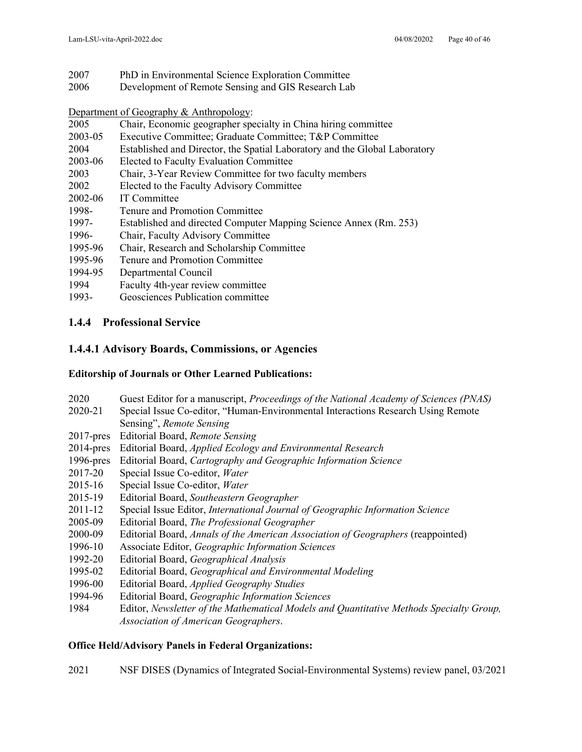- 2007 PhD in Environmental Science Exploration Committee
- 2006 Development of Remote Sensing and GIS Research Lab

Department of Geography & Anthropology:

- 2005 Chair, Economic geographer specialty in China hiring committee
- 2003-05 Executive Committee; Graduate Committee; T&P Committee
- 2004 Established and Director, the Spatial Laboratory and the Global Laboratory
- 2003-06 Elected to Faculty Evaluation Committee
- 2003 Chair, 3-Year Review Committee for two faculty members
- 2002 Elected to the Faculty Advisory Committee
- 2002-06 IT Committee
- 1998- Tenure and Promotion Committee
- 1997- Established and directed Computer Mapping Science Annex (Rm. 253)
- 1996- Chair, Faculty Advisory Committee
- 1995-96 Chair, Research and Scholarship Committee
- 1995-96 Tenure and Promotion Committee
- 1994-95 Departmental Council
- 1994 Faculty 4th-year review committee
- 1993- Geosciences Publication committee

## **1.4.4 Professional Service**

## **1.4.4.1 Advisory Boards, Commissions, or Agencies**

### **Editorship of Journals or Other Learned Publications:**

2020 Guest Editor for a manuscript, *Proceedings of the National Academy of Sciences (PNAS)* 2020-21 Special Issue Co-editor, "Human-Environmental Interactions Research Using Remote Sensing", *Remote Sensing* 2017-pres Editorial Board, *Remote Sensing* 2014-pres Editorial Board, *Applied Ecology and Environmental Research* 1996-pres Editorial Board, *Cartography and Geographic Information Science* 2017-20 Special Issue Co-editor, *Water* 2015-16 Special Issue Co-editor, *Water* 2015-19 Editorial Board, *Southeastern Geographer* 2011-12 Special Issue Editor, *International Journal of Geographic Information Science* 2005-09 Editorial Board, *The Professional Geographer* 2000-09 Editorial Board, *Annals of the American Association of Geographers* (reappointed) 1996-10 Associate Editor, *Geographic Information Sciences* 1992-20 Editorial Board, *Geographical Analysis* 1995-02 Editorial Board, *Geographical and Environmental Modeling* 1996-00 Editorial Board, *Applied Geography Studies*  1994-96 Editorial Board, *Geographic Information Sciences* 1984 Editor, *Newsletter of the Mathematical Models and Quantitative Methods Specialty Group, Association of American Geographers*.

## **Office Held/Advisory Panels in Federal Organizations:**

2021 NSF DISES (Dynamics of Integrated Social-Environmental Systems) review panel, 03/2021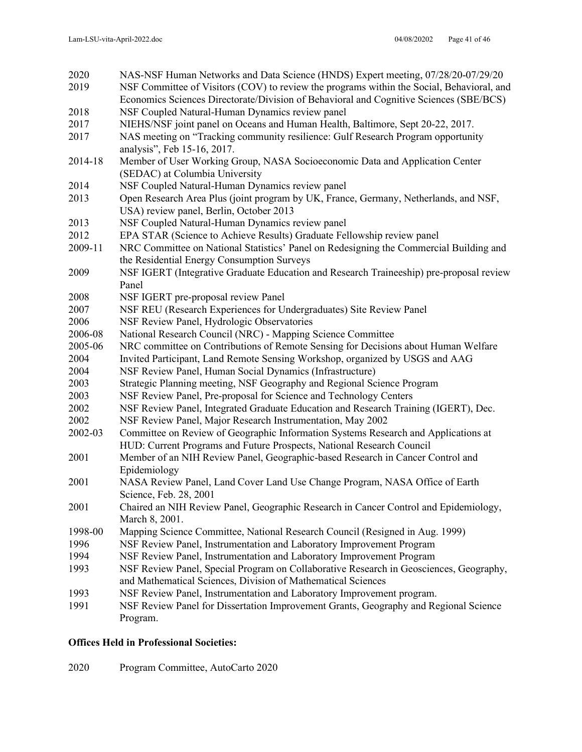| 2020    | NAS-NSF Human Networks and Data Science (HNDS) Expert meeting, 07/28/20-07/29/20          |
|---------|-------------------------------------------------------------------------------------------|
| 2019    | NSF Committee of Visitors (COV) to review the programs within the Social, Behavioral, and |
|         | Economics Sciences Directorate/Division of Behavioral and Cognitive Sciences (SBE/BCS)    |
| 2018    | NSF Coupled Natural-Human Dynamics review panel                                           |
| 2017    | NIEHS/NSF joint panel on Oceans and Human Health, Baltimore, Sept 20-22, 2017.            |
| 2017    | NAS meeting on "Tracking community resilience: Gulf Research Program opportunity          |
|         | analysis", Feb 15-16, 2017.                                                               |
| 2014-18 | Member of User Working Group, NASA Socioeconomic Data and Application Center              |
|         | (SEDAC) at Columbia University                                                            |
| 2014    | NSF Coupled Natural-Human Dynamics review panel                                           |
| 2013    | Open Research Area Plus (joint program by UK, France, Germany, Netherlands, and NSF,      |
|         | USA) review panel, Berlin, October 2013                                                   |
| 2013    | NSF Coupled Natural-Human Dynamics review panel                                           |
| 2012    | EPA STAR (Science to Achieve Results) Graduate Fellowship review panel                    |
| 2009-11 | NRC Committee on National Statistics' Panel on Redesigning the Commercial Building and    |
|         | the Residential Energy Consumption Surveys                                                |
| 2009    | NSF IGERT (Integrative Graduate Education and Research Traineeship) pre-proposal review   |
|         | Panel                                                                                     |
| 2008    | NSF IGERT pre-proposal review Panel                                                       |
| 2007    | NSF REU (Research Experiences for Undergraduates) Site Review Panel                       |
| 2006    | NSF Review Panel, Hydrologic Observatories                                                |
| 2006-08 | National Research Council (NRC) - Mapping Science Committee                               |
| 2005-06 | NRC committee on Contributions of Remote Sensing for Decisions about Human Welfare        |
| 2004    | Invited Participant, Land Remote Sensing Workshop, organized by USGS and AAG              |
| 2004    | NSF Review Panel, Human Social Dynamics (Infrastructure)                                  |
| 2003    | Strategic Planning meeting, NSF Geography and Regional Science Program                    |
| 2003    | NSF Review Panel, Pre-proposal for Science and Technology Centers                         |
| 2002    | NSF Review Panel, Integrated Graduate Education and Research Training (IGERT), Dec.       |
| 2002    | NSF Review Panel, Major Research Instrumentation, May 2002                                |
| 2002-03 | Committee on Review of Geographic Information Systems Research and Applications at        |
|         | HUD: Current Programs and Future Prospects, National Research Council                     |
| 2001    | Member of an NIH Review Panel, Geographic-based Research in Cancer Control and            |
|         | Epidemiology                                                                              |
| 2001    | NASA Review Panel, Land Cover Land Use Change Program, NASA Office of Earth               |
|         | Science, Feb. 28, 2001                                                                    |
| 2001    | Chaired an NIH Review Panel, Geographic Research in Cancer Control and Epidemiology,      |
|         | March 8, 2001.                                                                            |
| 1998-00 | Mapping Science Committee, National Research Council (Resigned in Aug. 1999)              |
| 1996    | NSF Review Panel, Instrumentation and Laboratory Improvement Program                      |
| 1994    | NSF Review Panel, Instrumentation and Laboratory Improvement Program                      |
| 1993    | NSF Review Panel, Special Program on Collaborative Research in Geosciences, Geography,    |
|         | and Mathematical Sciences, Division of Mathematical Sciences                              |
| 1993    | NSF Review Panel, Instrumentation and Laboratory Improvement program.                     |
| 1991    | NSF Review Panel for Dissertation Improvement Grants, Geography and Regional Science      |
|         | Program.                                                                                  |

## **Offices Held in Professional Societies:**

2020 Program Committee, AutoCarto 2020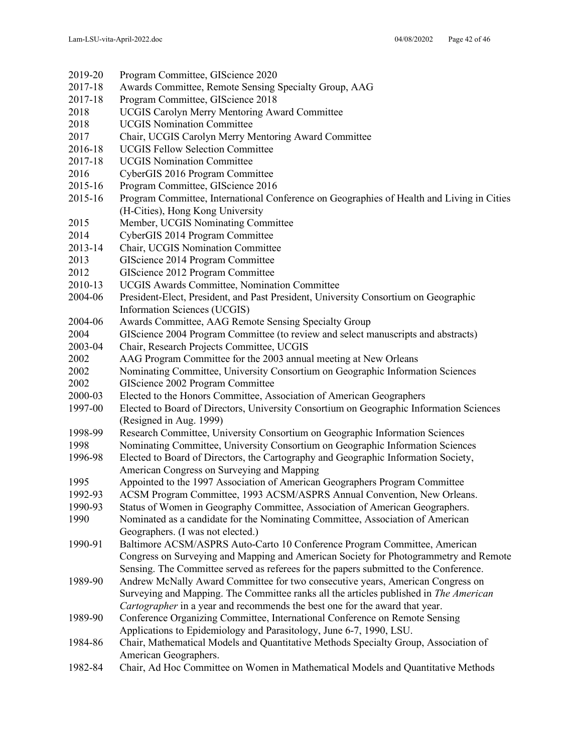| 2019-20 | Program Committee, GIScience 2020                                                            |
|---------|----------------------------------------------------------------------------------------------|
| 2017-18 | Awards Committee, Remote Sensing Specialty Group, AAG                                        |
| 2017-18 | Program Committee, GIScience 2018                                                            |
| 2018    | <b>UCGIS Carolyn Merry Mentoring Award Committee</b>                                         |
| 2018    | <b>UCGIS Nomination Committee</b>                                                            |
| 2017    | Chair, UCGIS Carolyn Merry Mentoring Award Committee                                         |
| 2016-18 | <b>UCGIS Fellow Selection Committee</b>                                                      |
| 2017-18 | <b>UCGIS Nomination Committee</b>                                                            |
| 2016    | CyberGIS 2016 Program Committee                                                              |
| 2015-16 | Program Committee, GIScience 2016                                                            |
| 2015-16 | Program Committee, International Conference on Geographies of Health and Living in Cities    |
|         | (H-Cities), Hong Kong University                                                             |
| 2015    | Member, UCGIS Nominating Committee                                                           |
| 2014    | CyberGIS 2014 Program Committee                                                              |
| 2013-14 | Chair, UCGIS Nomination Committee                                                            |
| 2013    | GIScience 2014 Program Committee                                                             |
| 2012    | GIScience 2012 Program Committee                                                             |
| 2010-13 | <b>UCGIS Awards Committee, Nomination Committee</b>                                          |
| 2004-06 | President-Elect, President, and Past President, University Consortium on Geographic          |
|         | Information Sciences (UCGIS)                                                                 |
| 2004-06 | Awards Committee, AAG Remote Sensing Specialty Group                                         |
| 2004    | GIScience 2004 Program Committee (to review and select manuscripts and abstracts)            |
| 2003-04 | Chair, Research Projects Committee, UCGIS                                                    |
| 2002    | AAG Program Committee for the 2003 annual meeting at New Orleans                             |
| 2002    | Nominating Committee, University Consortium on Geographic Information Sciences               |
| 2002    | GIScience 2002 Program Committee                                                             |
| 2000-03 | Elected to the Honors Committee, Association of American Geographers                         |
| 1997-00 | Elected to Board of Directors, University Consortium on Geographic Information Sciences      |
|         | (Resigned in Aug. 1999)                                                                      |
| 1998-99 | Research Committee, University Consortium on Geographic Information Sciences                 |
| 1998    | Nominating Committee, University Consortium on Geographic Information Sciences               |
| 1996-98 | Elected to Board of Directors, the Cartography and Geographic Information Society,           |
|         | American Congress on Surveying and Mapping                                                   |
| 1995    | Appointed to the 1997 Association of American Geographers Program Committee                  |
| 1992-93 | ACSM Program Committee, 1993 ACSM/ASPRS Annual Convention, New Orleans.                      |
| 1990-93 | Status of Women in Geography Committee, Association of American Geographers.                 |
| 1990    | Nominated as a candidate for the Nominating Committee, Association of American               |
|         | Geographers. (I was not elected.)                                                            |
| 1990-91 | Baltimore ACSM/ASPRS Auto-Carto 10 Conference Program Committee, American                    |
|         | Congress on Surveying and Mapping and American Society for Photogrammetry and Remote         |
|         | Sensing. The Committee served as referees for the papers submitted to the Conference.        |
| 1989-90 | Andrew McNally Award Committee for two consecutive years, American Congress on               |
|         | Surveying and Mapping. The Committee ranks all the articles published in <i>The American</i> |
|         | Cartographer in a year and recommends the best one for the award that year.                  |
| 1989-90 | Conference Organizing Committee, International Conference on Remote Sensing                  |
|         | Applications to Epidemiology and Parasitology, June 6-7, 1990, LSU.                          |
| 1984-86 | Chair, Mathematical Models and Quantitative Methods Specialty Group, Association of          |
|         | American Geographers.                                                                        |
| 1982-84 | Chair, Ad Hoc Committee on Women in Mathematical Models and Quantitative Methods             |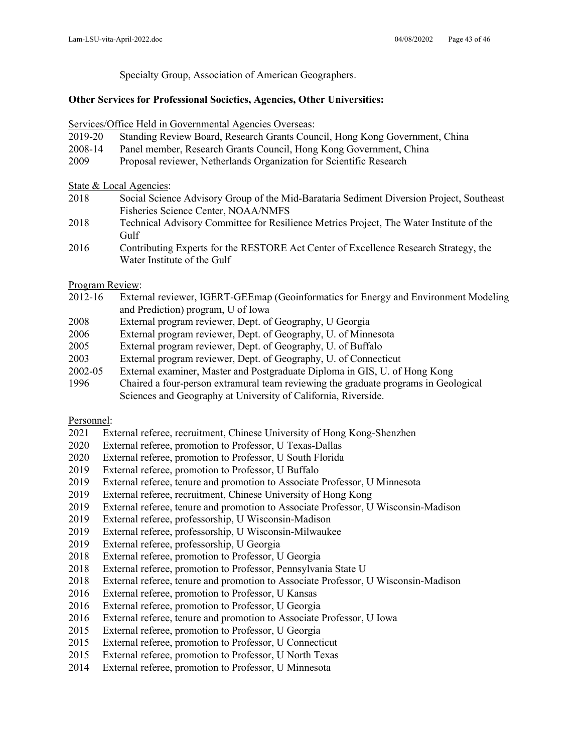Specialty Group, Association of American Geographers.

#### **Other Services for Professional Societies, Agencies, Other Universities:**

Services/Office Held in Governmental Agencies Overseas:

- 2019-20 Standing Review Board, Research Grants Council, Hong Kong Government, China
- 2008-14 Panel member, Research Grants Council, Hong Kong Government, China
- 2009 Proposal reviewer, Netherlands Organization for Scientific Research

State & Local Agencies:

- 2018 Social Science Advisory Group of the Mid-Barataria Sediment Diversion Project, Southeast Fisheries Science Center, NOAA/NMFS
- 2018 Technical Advisory Committee for Resilience Metrics Project, The Water Institute of the Gulf
- 2016 Contributing Experts for the RESTORE Act Center of Excellence Research Strategy, the Water Institute of the Gulf

Program Review:

- 2012-16 External reviewer, IGERT-GEEmap (Geoinformatics for Energy and Environment Modeling and Prediction) program, U of Iowa
- 2008 External program reviewer, Dept. of Geography, U Georgia
- 2006 External program reviewer, Dept. of Geography, U. of Minnesota
- 2005 External program reviewer, Dept. of Geography, U. of Buffalo
- 2003 External program reviewer, Dept. of Geography, U. of Connecticut
- 2002-05 External examiner, Master and Postgraduate Diploma in GIS, U. of Hong Kong
- 1996 Chaired a four-person extramural team reviewing the graduate programs in Geological Sciences and Geography at University of California, Riverside.

### Personnel:

- 2021 External referee, recruitment, Chinese University of Hong Kong-Shenzhen
- 2020 External referee, promotion to Professor, U Texas-Dallas
- 2020 External referee, promotion to Professor, U South Florida
- 2019 External referee, promotion to Professor, U Buffalo
- 2019 External referee, tenure and promotion to Associate Professor, U Minnesota
- 2019 External referee, recruitment, Chinese University of Hong Kong
- 2019 External referee, tenure and promotion to Associate Professor, U Wisconsin-Madison
- 2019 External referee, professorship, U Wisconsin-Madison
- 2019 External referee, professorship, U Wisconsin-Milwaukee
- 2019 External referee, professorship, U Georgia
- 2018 External referee, promotion to Professor, U Georgia
- 2018 External referee, promotion to Professor, Pennsylvania State U
- 2018 External referee, tenure and promotion to Associate Professor, U Wisconsin-Madison
- 2016 External referee, promotion to Professor, U Kansas
- 2016 External referee, promotion to Professor, U Georgia
- 2016 External referee, tenure and promotion to Associate Professor, U Iowa
- 2015 External referee, promotion to Professor, U Georgia
- 2015 External referee, promotion to Professor, U Connecticut
- 2015 External referee, promotion to Professor, U North Texas
- 2014 External referee, promotion to Professor, U Minnesota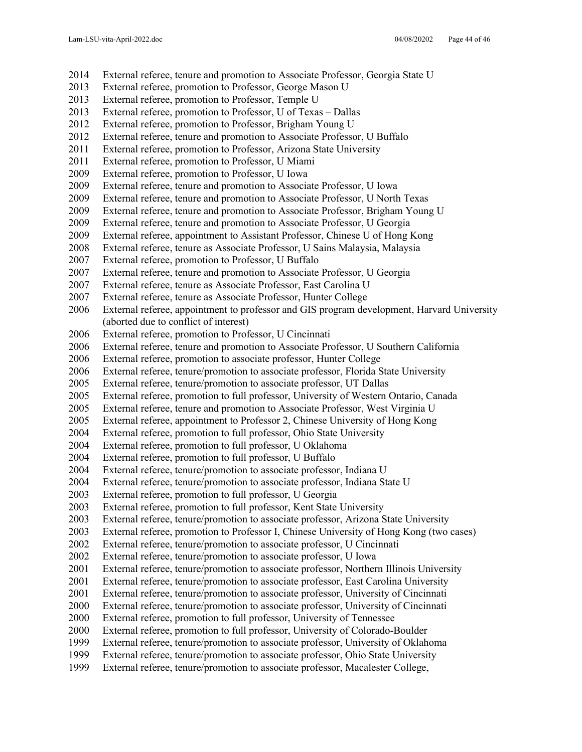- External referee, tenure and promotion to Associate Professor, Georgia State U
- External referee, promotion to Professor, George Mason U
- External referee, promotion to Professor, Temple U
- External referee, promotion to Professor, U of Texas Dallas
- External referee, promotion to Professor, Brigham Young U
- External referee, tenure and promotion to Associate Professor, U Buffalo
- External referee, promotion to Professor, Arizona State University
- External referee, promotion to Professor, U Miami
- External referee, promotion to Professor, U Iowa
- External referee, tenure and promotion to Associate Professor, U Iowa
- External referee, tenure and promotion to Associate Professor, U North Texas
- External referee, tenure and promotion to Associate Professor, Brigham Young U
- External referee, tenure and promotion to Associate Professor, U Georgia
- External referee, appointment to Assistant Professor, Chinese U of Hong Kong
- External referee, tenure as Associate Professor, U Sains Malaysia, Malaysia
- External referee, promotion to Professor, U Buffalo
- External referee, tenure and promotion to Associate Professor, U Georgia
- External referee, tenure as Associate Professor, East Carolina U
- External referee, tenure as Associate Professor, Hunter College
- External referee, appointment to professor and GIS program development, Harvard University (aborted due to conflict of interest)
- External referee, promotion to Professor, U Cincinnati
- External referee, tenure and promotion to Associate Professor, U Southern California
- External referee, promotion to associate professor, Hunter College
- External referee, tenure/promotion to associate professor, Florida State University
- External referee, tenure/promotion to associate professor, UT Dallas
- External referee, promotion to full professor, University of Western Ontario, Canada
- External referee, tenure and promotion to Associate Professor, West Virginia U
- External referee, appointment to Professor 2, Chinese University of Hong Kong
- External referee, promotion to full professor, Ohio State University
- External referee, promotion to full professor, U Oklahoma
- External referee, promotion to full professor, U Buffalo
- External referee, tenure/promotion to associate professor, Indiana U
- External referee, tenure/promotion to associate professor, Indiana State U
- External referee, promotion to full professor, U Georgia
- External referee, promotion to full professor, Kent State University
- External referee, tenure/promotion to associate professor, Arizona State University
- External referee, promotion to Professor I, Chinese University of Hong Kong (two cases)
- External referee, tenure/promotion to associate professor, U Cincinnati
- External referee, tenure/promotion to associate professor, U Iowa
- External referee, tenure/promotion to associate professor, Northern Illinois University
- External referee, tenure/promotion to associate professor, East Carolina University
- External referee, tenure/promotion to associate professor, University of Cincinnati
- External referee, tenure/promotion to associate professor, University of Cincinnati
- External referee, promotion to full professor, University of Tennessee
- External referee, promotion to full professor, University of Colorado-Boulder
- External referee, tenure/promotion to associate professor, University of Oklahoma
- External referee, tenure/promotion to associate professor, Ohio State University
- External referee, tenure/promotion to associate professor, Macalester College,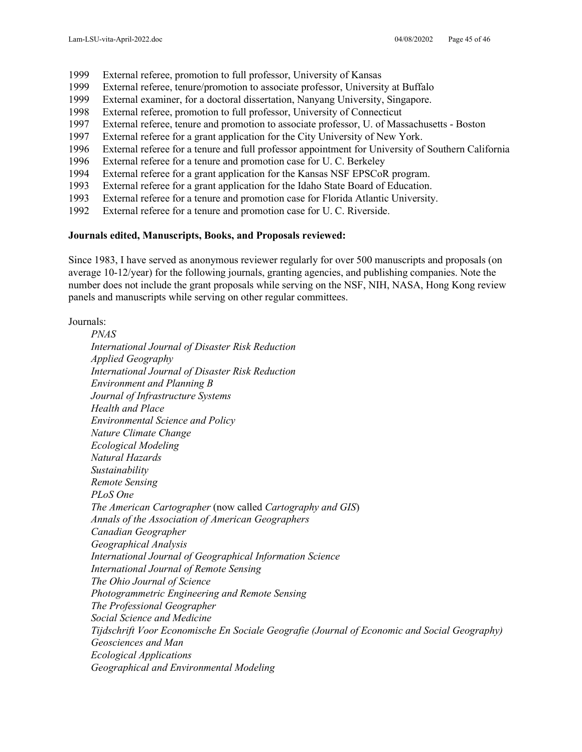- 1999 External referee, promotion to full professor, University of Kansas
- 1999 External referee, tenure/promotion to associate professor, University at Buffalo
- 1999 External examiner, for a doctoral dissertation, Nanyang University, Singapore.
- 1998 External referee, promotion to full professor, University of Connecticut
- 1997 External referee, tenure and promotion to associate professor, U. of Massachusetts Boston
- 1997 External referee for a grant application for the City University of New York.
- 1996 External referee for a tenure and full professor appointment for University of Southern California
- 1996 External referee for a tenure and promotion case for U. C. Berkeley
- 1994 External referee for a grant application for the Kansas NSF EPSCoR program.
- 1993 External referee for a grant application for the Idaho State Board of Education.
- 1993 External referee for a tenure and promotion case for Florida Atlantic University.
- 1992 External referee for a tenure and promotion case for U. C. Riverside.

#### **Journals edited, Manuscripts, Books, and Proposals reviewed:**

Since 1983, I have served as anonymous reviewer regularly for over 500 manuscripts and proposals (on average 10-12/year) for the following journals, granting agencies, and publishing companies. Note the number does not include the grant proposals while serving on the NSF, NIH, NASA, Hong Kong review panels and manuscripts while serving on other regular committees.

Journals:

*PNAS International Journal of Disaster Risk Reduction Applied Geography International Journal of Disaster Risk Reduction Environment and Planning B Journal of Infrastructure Systems Health and Place Environmental Science and Policy Nature Climate Change Ecological Modeling Natural Hazards Sustainability Remote Sensing PLoS One The American Cartographer* (now called *Cartography and GIS*) *Annals of the Association of American Geographers Canadian Geographer Geographical Analysis International Journal of Geographical Information Science International Journal of Remote Sensing The Ohio Journal of Science Photogrammetric Engineering and Remote Sensing The Professional Geographer Social Science and Medicine Tijdschrift Voor Economische En Sociale Geografie (Journal of Economic and Social Geography) Geosciences and Man Ecological Applications Geographical and Environmental Modeling*